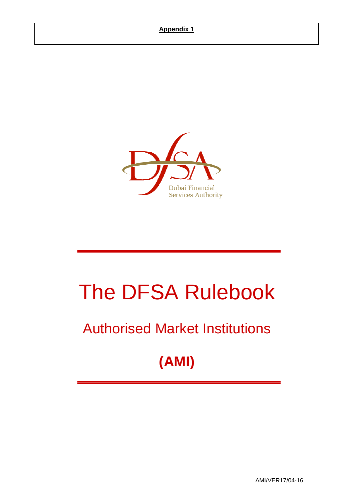

# The DFSA Rulebook

## Authorised Market Institutions

## **(AMI)**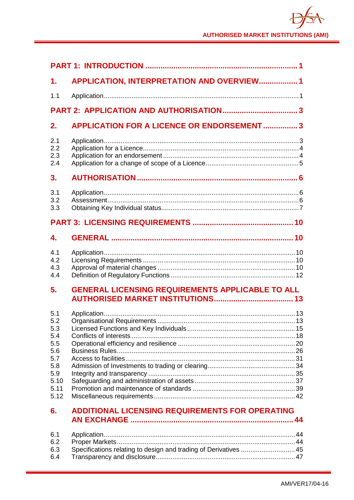| 1.                                                                                  | APPLICATION, INTERPRETATION AND OVERVIEW 1                       |  |
|-------------------------------------------------------------------------------------|------------------------------------------------------------------|--|
| 1.1                                                                                 |                                                                  |  |
|                                                                                     |                                                                  |  |
| 2.                                                                                  | <b>APPLICATION FOR A LICENCE OR ENDORSEMENT  3</b>               |  |
| 2.1<br>2.2<br>2.3<br>2.4                                                            |                                                                  |  |
| 3.                                                                                  |                                                                  |  |
| 3.1<br>3.2<br>3.3                                                                   |                                                                  |  |
|                                                                                     |                                                                  |  |
| 4.                                                                                  |                                                                  |  |
| 4.1<br>4.2<br>4.3<br>4.4                                                            |                                                                  |  |
| 5.                                                                                  | <b>GENERAL LICENSING REQUIREMENTS APPLICABLE TO ALL</b>          |  |
| 5.1<br>5.2<br>5.3<br>5.4<br>5.5<br>5.6<br>5.7<br>5.8<br>5.9<br>5.10<br>5.11<br>5.12 |                                                                  |  |
| 6.                                                                                  | <b>ADDITIONAL LICENSING REQUIREMENTS FOR OPERATING</b>           |  |
| 6.1<br>6.2<br>6.3<br>6.4                                                            | Specifications relating to design and trading of Derivatives  45 |  |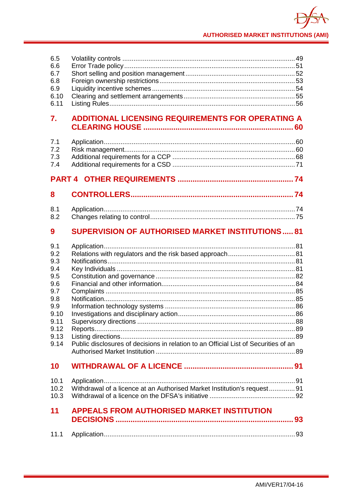| 6.5<br>6.6<br>6.7<br>6.8<br>6.9<br>6.10<br>6.11                                                     |                                                                                     |  |
|-----------------------------------------------------------------------------------------------------|-------------------------------------------------------------------------------------|--|
| 7.                                                                                                  | <b>ADDITIONAL LICENSING REQUIREMENTS FOR OPERATING A</b>                            |  |
| 7.1<br>7.2<br>7.3<br>7.4                                                                            |                                                                                     |  |
|                                                                                                     |                                                                                     |  |
| 8                                                                                                   |                                                                                     |  |
| 8.1<br>8.2                                                                                          |                                                                                     |  |
| 9                                                                                                   | <b>SUPERVISION OF AUTHORISED MARKET INSTITUTIONS 81</b>                             |  |
| 9.1<br>9.2<br>9.3<br>9.4<br>9.5<br>9.6<br>9.7<br>9.8<br>9.9<br>9.10<br>9.11<br>9.12<br>9.13<br>9.14 | Public disclosures of decisions in relation to an Official List of Securities of an |  |
| 10                                                                                                  |                                                                                     |  |
| 10.1<br>10.2<br>10.3                                                                                | Withdrawal of a licence at an Authorised Market Institution's request 91            |  |
| 11                                                                                                  | <b>APPEALS FROM AUTHORISED MARKET INSTITUTION</b>                                   |  |
| 11.1                                                                                                |                                                                                     |  |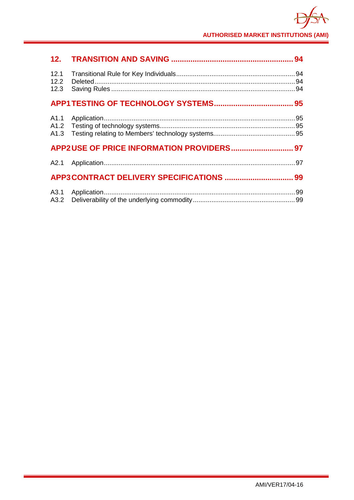| 12.1<br>12.2<br>12.3 |  |
|----------------------|--|
|                      |  |
| A1.1                 |  |
|                      |  |
|                      |  |
|                      |  |
| A3.1<br>A3.2         |  |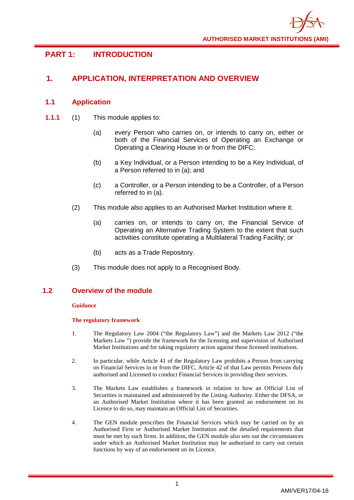## <span id="page-4-0"></span>**PART 1: INTRODUCTION**

## <span id="page-4-1"></span>**1. APPLICATION, INTERPRETATION AND OVERVIEW**

## <span id="page-4-2"></span>**1.1 Application**

- **1.1.1** (1) This module applies to:
	- (a) every Person who carries on, or intends to carry on, either or both of the Financial Services of Operating an Exchange or Operating a Clearing House in or from the DIFC;
	- (b) a Key Individual, or a Person intending to be a Key Individual, of a Person referred to in (a); and
	- (c) a Controller, or a Person intending to be a Controller, of a Person referred to in (a).
	- (2) This module also applies to an Authorised Market Institution where it:
		- (a) carries on, or intends to carry on, the Financial Service of Operating an Alternative Trading System to the extent that such activities constitute operating a Multilateral Trading Facility; or
		- (b) acts as a Trade Repository.
	- (3) This module does not apply to a Recognised Body.

## **1.2 Overview of the module**

#### **Guidance**

#### **The regulatory framework**

- 1. The Regulatory Law 2004 ("the Regulatory Law") and the Markets Law 2012 ("the Markets Law ") provide the framework for the licensing and supervision of Authorised Market Institutions and for taking regulatory action against those licensed institutions.
- 2. In particular, while Article 41 of the Regulatory Law prohibits a Person from carrying on Financial Services in or from the DIFC, Article 42 of that Law permits Persons duly authorised and Licensed to conduct Financial Services in providing their services.
- 3. The Markets Law establishes a framework in relation to how an Official List of Securities is maintained and administered by the Listing Authority. Either the DFSA, or an Authorised Market Institution where it has been granted an endorsement on its Licence to do so, may maintain an Official List of Securities.
- 4. The GEN module prescribes the Financial Services which may be carried on by an Authorised Firm or Authorised Market Institution and the detailed requirements that must be met by such firms. In addition, the GEN module also sets out the circumstances under which an Authorised Market Institution may be authorised to carry out certain functions by way of an endorsement on its Licence.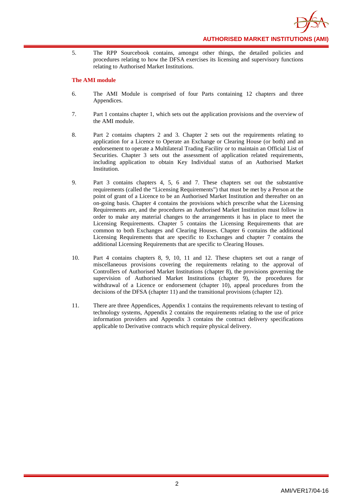

5. The RPP Sourcebook contains, amongst other things, the detailed policies and procedures relating to how the DFSA exercises its licensing and supervisory functions relating to Authorised Market Institutions.

#### **The AMI module**

- 6. The AMI Module is comprised of four Parts containing 12 chapters and three Appendices.
- 7. Part 1 contains chapter 1, which sets out the application provisions and the overview of the AMI module.
- 8. Part 2 contains chapters 2 and 3. Chapter 2 sets out the requirements relating to application for a Licence to Operate an Exchange or Clearing House (or both) and an endorsement to operate a Multilateral Trading Facility or to maintain an Official List of Securities. Chapter 3 sets out the assessment of application related requirements, including application to obtain Key Individual status of an Authorised Market Institution.
- 9. Part 3 contains chapters 4, 5, 6 and 7. These chapters set out the substantive requirements (called the "Licensing Requirements") that must be met by a Person at the point of grant of a Licence to be an Authorised Market Institution and thereafter on an on-going basis. Chapter 4 contains the provisions which prescribe what the Licensing Requirements are, and the procedures an Authorised Market Institution must follow in order to make any material changes to the arrangements it has in place to meet the Licensing Requirements. Chapter 5 contains the Licensing Requirements that are common to both Exchanges and Clearing Houses. Chapter 6 contains the additional Licensing Requirements that are specific to Exchanges and chapter 7 contains the additional Licensing Requirements that are specific to Clearing Houses.
- 10. Part 4 contains chapters 8, 9, 10, 11 and 12. These chapters set out a range of miscellaneous provisions covering the requirements relating to the approval of Controllers of Authorised Market Institutions (chapter 8), the provisions governing the supervision of Authorised Market Institutions (chapter 9), the procedures for withdrawal of a Licence or endorsement (chapter 10), appeal procedures from the decisions of the DFSA (chapter 11) and the transitional provisions (chapter 12).
- 11. There are three Appendices, Appendix 1 contains the requirements relevant to testing of technology systems, Appendix 2 contains the requirements relating to the use of price information providers and Appendix 3 contains the contract delivery specifications applicable to Derivative contracts which require physical delivery.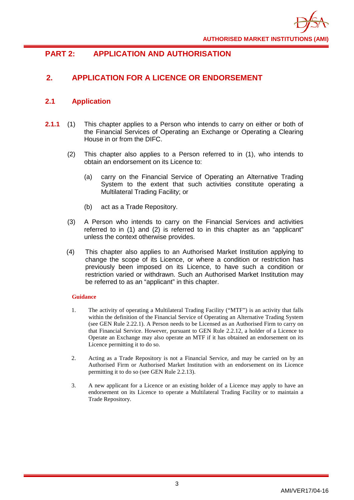

## <span id="page-6-0"></span>**PART 2: APPLICATION AND AUTHORISATION**

## <span id="page-6-1"></span>**2. APPLICATION FOR A LICENCE OR ENDORSEMENT**

## <span id="page-6-2"></span>**2.1 Application**

- **2.1.1** (1) This chapter applies to a Person who intends to carry on either or both of the Financial Services of Operating an Exchange or Operating a Clearing House in or from the DIFC.
	- (2) This chapter also applies to a Person referred to in (1), who intends to obtain an endorsement on its Licence to:
		- (a) carry on the Financial Service of Operating an Alternative Trading System to the extent that such activities constitute operating a Multilateral Trading Facility; or
		- (b) act as a Trade Repository.
	- (3) A Person who intends to carry on the Financial Services and activities referred to in (1) and (2) is referred to in this chapter as an "applicant" unless the context otherwise provides.
	- (4) This chapter also applies to an Authorised Market Institution applying to change the scope of its Licence, or where a condition or restriction has previously been imposed on its Licence, to have such a condition or restriction varied or withdrawn. Such an Authorised Market Institution may be referred to as an "applicant" in this chapter.

- 1. The activity of operating a Multilateral Trading Facility ("MTF") is an activity that falls within the definition of the Financial Service of Operating an Alternative Trading System (see GEN Rule 2.22.1). A Person needs to be Licensed as an Authorised Firm to carry on that Financial Service. However, pursuant to GEN Rule 2.2.12, a holder of a Licence to Operate an Exchange may also operate an MTF if it has obtained an endorsement on its Licence permitting it to do so.
- 2. Acting as a Trade Repository is not a Financial Service, and may be carried on by an Authorised Firm or Authorised Market Institution with an endorsement on its Licence permitting it to do so (see GEN Rule 2.2.13).
- 3. A new applicant for a Licence or an existing holder of a Licence may apply to have an endorsement on its Licence to operate a Multilateral Trading Facility or to maintain a Trade Repository.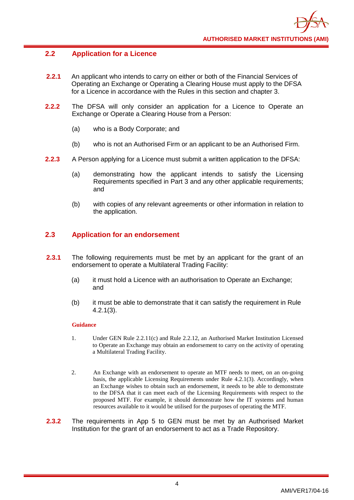## <span id="page-7-0"></span>**2.2 Application for a Licence**

- **2.2.1** An applicant who intends to carry on either or both of the Financial Services of Operating an Exchange or Operating a Clearing House must apply to the DFSA for a Licence in accordance with the Rules in this section and chapter 3.
- **2.2.2** The DFSA will only consider an application for a Licence to Operate an Exchange or Operate a Clearing House from a Person:
	- (a) who is a Body Corporate; and
	- (b) who is not an Authorised Firm or an applicant to be an Authorised Firm.
- **2.2.3** A Person applying for a Licence must submit a written application to the DFSA:
	- (a) demonstrating how the applicant intends to satisfy the Licensing Requirements specified in Part 3 and any other applicable requirements; and
	- (b) with copies of any relevant agreements or other information in relation to the application.

## <span id="page-7-1"></span>**2.3 Application for an endorsement**

- **2.3.1** The following requirements must be met by an applicant for the grant of an endorsement to operate a Multilateral Trading Facility:
	- (a) it must hold a Licence with an authorisation to Operate an Exchange; and
	- (b) it must be able to demonstrate that it can satisfy the requirement in Rule 4.2.1(3).

- 1. Under GEN Rule 2.2.11(c) and Rule 2.2.12, an Authorised Market Institution Licensed to Operate an Exchange may obtain an endorsement to carry on the activity of operating a Multilateral Trading Facility.
- 2. An Exchange with an endorsement to operate an MTF needs to meet, on an on-going basis, the applicable Licensing Requirements under Rule 4.2.1(3). Accordingly, when an Exchange wishes to obtain such an endorsement, it needs to be able to demonstrate to the DFSA that it can meet each of the Licensing Requirements with respect to the proposed MTF. For example, it should demonstrate how the IT systems and human resources available to it would be utilised for the purposes of operating the MTF.
- **2.3.2** The requirements in App 5 to GEN must be met by an Authorised Market Institution for the grant of an endorsement to act as a Trade Repository.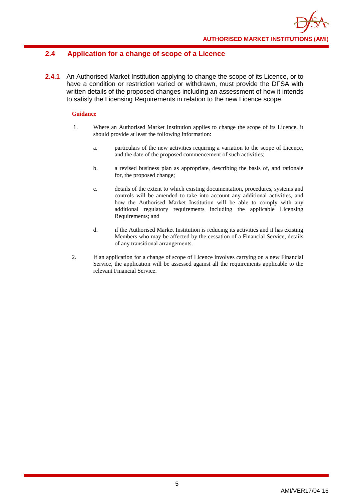## <span id="page-8-0"></span>**2.4 Application for a change of scope of a Licence**

**2.4.1** An Authorised Market Institution applying to change the scope of its Licence, or to have a condition or restriction varied or withdrawn, must provide the DFSA with written details of the proposed changes including an assessment of how it intends to satisfy the Licensing Requirements in relation to the new Licence scope.

- 1. Where an Authorised Market Institution applies to change the scope of its Licence, it should provide at least the following information:
	- a. particulars of the new activities requiring a variation to the scope of Licence, and the date of the proposed commencement of such activities;
	- b. a revised business plan as appropriate, describing the basis of, and rationale for, the proposed change;
	- c. details of the extent to which existing documentation, procedures, systems and controls will be amended to take into account any additional activities, and how the Authorised Market Institution will be able to comply with any additional regulatory requirements including the applicable Licensing Requirements; and
	- d. if the Authorised Market Institution is reducing its activities and it has existing Members who may be affected by the cessation of a Financial Service, details of any transitional arrangements.
- 2. If an application for a change of scope of Licence involves carrying on a new Financial Service, the application will be assessed against all the requirements applicable to the relevant Financial Service.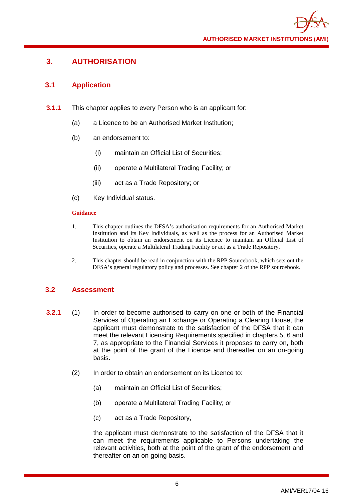## <span id="page-9-0"></span>**3. AUTHORISATION**

## <span id="page-9-1"></span>**3.1 Application**

- **3.1.1** This chapter applies to every Person who is an applicant for:
	- (a) a Licence to be an Authorised Market Institution;
	- (b) an endorsement to:
		- (i) maintain an Official List of Securities;
		- (ii) operate a Multilateral Trading Facility; or
		- (iii) act as a Trade Repository; or
	- (c) Key Individual status.

## **Guidance**

- 1. This chapter outlines the DFSA's authorisation requirements for an Authorised Market Institution and its Key Individuals, as well as the process for an Authorised Market Institution to obtain an endorsement on its Licence to maintain an Official List of Securities, operate a Multilateral Trading Facility or act as a Trade Repository.
- 2. This chapter should be read in conjunction with the RPP Sourcebook, which sets out the DFSA's general regulatory policy and processes. See chapter 2 of the RPP sourcebook.

## <span id="page-9-2"></span>**3.2 Assessment**

- **3.2.1** (1) In order to become authorised to carry on one or both of the Financial Services of Operating an Exchange or Operating a Clearing House, the applicant must demonstrate to the satisfaction of the DFSA that it can meet the relevant Licensing Requirements specified in chapters 5, 6 and 7, as appropriate to the Financial Services it proposes to carry on, both at the point of the grant of the Licence and thereafter on an on-going basis.
	- (2) In order to obtain an endorsement on its Licence to:
		- (a) maintain an Official List of Securities;
		- (b) operate a Multilateral Trading Facility; or
		- (c) act as a Trade Repository,

the applicant must demonstrate to the satisfaction of the DFSA that it can meet the requirements applicable to Persons undertaking the relevant activities, both at the point of the grant of the endorsement and thereafter on an on-going basis.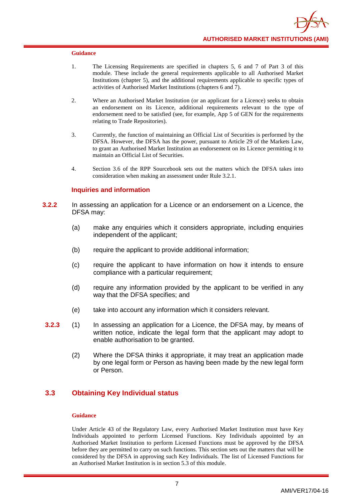- 1. The Licensing Requirements are specified in chapters 5, 6 and 7 of Part 3 of this module. These include the general requirements applicable to all Authorised Market Institutions (chapter 5), and the additional requirements applicable to specific types of activities of Authorised Market Institutions (chapters 6 and 7).
- 2. Where an Authorised Market Institution (or an applicant for a Licence) seeks to obtain an endorsement on its Licence, additional requirements relevant to the type of endorsement need to be satisfied (see, for example, App 5 of GEN for the requirements relating to Trade Repositories).
- 3. Currently, the function of maintaining an Official List of Securities is performed by the DFSA. However, the DFSA has the power, pursuant to Article 29 of the Markets Law, to grant an Authorised Market Institution an endorsement on its Licence permitting it to maintain an Official List of Securities.
- 4. Section 3.6 of the RPP Sourcebook sets out the matters which the DFSA takes into consideration when making an assessment under Rule 3.2.1.

#### **Inquiries and information**

- **3.2.2** In assessing an application for a Licence or an endorsement on a Licence, the DFSA may:
	- (a) make any enquiries which it considers appropriate, including enquiries independent of the applicant;
	- (b) require the applicant to provide additional information;
	- (c) require the applicant to have information on how it intends to ensure compliance with a particular requirement;
	- (d) require any information provided by the applicant to be verified in any way that the DFSA specifies; and
	- (e) take into account any information which it considers relevant.
- **3.2.3** (1) In assessing an application for a Licence, the DFSA may, by means of written notice, indicate the legal form that the applicant may adopt to enable authorisation to be granted.
	- (2) Where the DFSA thinks it appropriate, it may treat an application made by one legal form or Person as having been made by the new legal form or Person.

## <span id="page-10-0"></span>**3.3 Obtaining Key Individual status**

#### **Guidance**

Under Article 43 of the Regulatory Law, every Authorised Market Institution must have Key Individuals appointed to perform Licensed Functions. Key Individuals appointed by an Authorised Market Institution to perform Licensed Functions must be approved by the DFSA before they are permitted to carry on such functions. This section sets out the matters that will be considered by the DFSA in approving such Key Individuals. The list of Licensed Functions for an Authorised Market Institution is in section 5.3 of this module.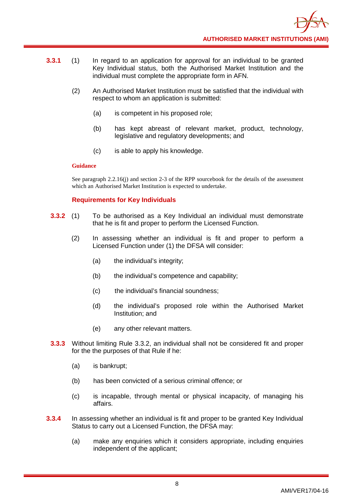- **3.3.1** (1) In regard to an application for approval for an individual to be granted Key Individual status, both the Authorised Market Institution and the individual must complete the appropriate form in AFN.
	- (2) An Authorised Market Institution must be satisfied that the individual with respect to whom an application is submitted:
		- (a) is competent in his proposed role;
		- (b) has kept abreast of relevant market, product, technology, legislative and regulatory developments; and
		- (c) is able to apply his knowledge.

See paragraph 2.2.16(j) and section 2-3 of the RPP sourcebook for the details of the assessment which an Authorised Market Institution is expected to undertake.

## **Requirements for Key Individuals**

- **3.3.2** (1) To be authorised as a Key Individual an individual must demonstrate that he is fit and proper to perform the Licensed Function.
	- (2) In assessing whether an individual is fit and proper to perform a Licensed Function under (1) the DFSA will consider:
		- (a) the individual's integrity;
		- (b) the individual's competence and capability;
		- (c) the individual's financial soundness;
		- (d) the individual's proposed role within the Authorised Market Institution; and
		- (e) any other relevant matters.
- **3.3.3** Without limiting Rule 3.3.2, an individual shall not be considered fit and proper for the the purposes of that Rule if he:
	- (a) is bankrupt;
	- (b) has been convicted of a serious criminal offence; or
	- (c) is incapable, through mental or physical incapacity, of managing his affairs.
- **3.3.4** In assessing whether an individual is fit and proper to be granted Key Individual Status to carry out a Licensed Function, the DFSA may:
	- (a) make any enquiries which it considers appropriate, including enquiries independent of the applicant;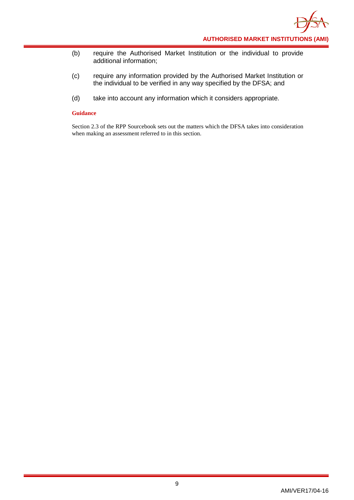- (b) require the Authorised Market Institution or the individual to provide additional information;
- (c) require any information provided by the Authorised Market Institution or the individual to be verified in any way specified by the DFSA; and
- (d) take into account any information which it considers appropriate.

Section 2.3 of the RPP Sourcebook sets out the matters which the DFSA takes into consideration when making an assessment referred to in this section.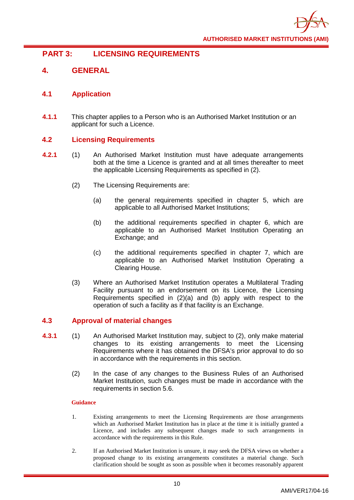

## <span id="page-13-0"></span>**PART 3: LICENSING REQUIREMENTS**

## <span id="page-13-1"></span>**4. GENERAL**

## <span id="page-13-2"></span>**4.1 Application**

**4.1.1** This chapter applies to a Person who is an Authorised Market Institution or an applicant for such a Licence.

## <span id="page-13-3"></span>**4.2 Licensing Requirements**

- **4.2.1** (1) An Authorised Market Institution must have adequate arrangements both at the time a Licence is granted and at all times thereafter to meet the applicable Licensing Requirements as specified in (2).
	- (2) The Licensing Requirements are:
		- (a) the general requirements specified in chapter 5, which are applicable to all Authorised Market Institutions;
		- (b) the additional requirements specified in chapter 6, which are applicable to an Authorised Market Institution Operating an Exchange; and
		- (c) the additional requirements specified in chapter 7, which are applicable to an Authorised Market Institution Operating a Clearing House.
	- (3) Where an Authorised Market Institution operates a Multilateral Trading Facility pursuant to an endorsement on its Licence, the Licensing Requirements specified in (2)(a) and (b) apply with respect to the operation of such a facility as if that facility is an Exchange.

## <span id="page-13-4"></span>**4.3 Approval of material changes**

- **4.3.1** (1) An Authorised Market Institution may, subject to (2), only make material changes to its existing arrangements to meet the Licensing Requirements where it has obtained the DFSA's prior approval to do so in accordance with the requirements in this section.
	- (2) In the case of any changes to the Business Rules of an Authorised Market Institution, such changes must be made in accordance with the requirements in section 5.6.

- 1. Existing arrangements to meet the Licensing Requirements are those arrangements which an Authorised Market Institution has in place at the time it is initially granted a Licence, and includes any subsequent changes made to such arrangements in accordance with the requirements in this Rule.
- 2. If an Authorised Market Institution is unsure, it may seek the DFSA views on whether a proposed change to its existing arrangements constitutes a material change. Such clarification should be sought as soon as possible when it becomes reasonably apparent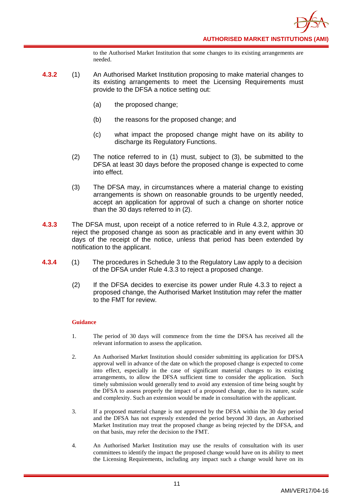to the Authorised Market Institution that some changes to its existing arrangements are needed.

- **4.3.2** (1) An Authorised Market Institution proposing to make material changes to its existing arrangements to meet the Licensing Requirements must provide to the DFSA a notice setting out:
	- (a) the proposed change;
	- (b) the reasons for the proposed change; and
	- (c) what impact the proposed change might have on its ability to discharge its Regulatory Functions.
	- (2) The notice referred to in (1) must, subject to (3), be submitted to the DFSA at least 30 days before the proposed change is expected to come into effect.
	- (3) The DFSA may, in circumstances where a material change to existing arrangements is shown on reasonable grounds to be urgently needed, accept an application for approval of such a change on shorter notice than the 30 days referred to in (2).
- **4.3.3** The DFSA must, upon receipt of a notice referred to in Rule 4.3.2, approve or reject the proposed change as soon as practicable and in any event within 30 days of the receipt of the notice, unless that period has been extended by notification to the applicant.
- **4.3.4** (1) The procedures in Schedule 3 to the Regulatory Law apply to a decision of the DFSA under Rule 4.3.3 to reject a proposed change.
	- (2) If the DFSA decides to exercise its power under Rule 4.3.3 to reject a proposed change, the Authorised Market Institution may refer the matter to the FMT for review.

- 1. The period of 30 days will commence from the time the DFSA has received all the relevant information to assess the application.
- 2. An Authorised Market Institution should consider submitting its application for DFSA approval well in advance of the date on which the proposed change is expected to come into effect, especially in the case of significant material changes to its existing arrangements, to allow the DFSA sufficient time to consider the application. Such timely submission would generally tend to avoid any extension of time being sought by the DFSA to assess properly the impact of a proposed change, due to its nature, scale and complexity. Such an extension would be made in consultation with the applicant.
- 3. If a proposed material change is not approved by the DFSA within the 30 day period and the DFSA has not expressly extended the period beyond 30 days, an Authorised Market Institution may treat the proposed change as being rejected by the DFSA, and on that basis, may refer the decision to the FMT.
- 4. An Authorised Market Institution may use the results of consultation with its user committees to identify the impact the proposed change would have on its ability to meet the Licensing Requirements, including any impact such a change would have on its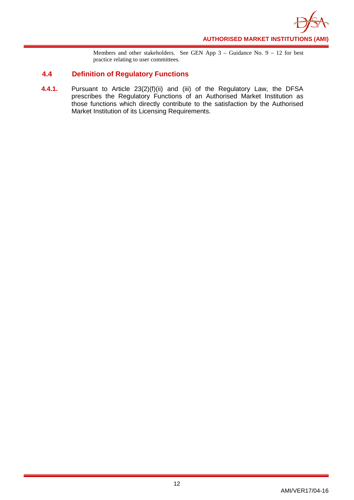

Members and other stakeholders. See GEN App 3 – Guidance No. 9 – 12 for best practice relating to user committees.

## <span id="page-15-0"></span>**4.4 Definition of Regulatory Functions**

**4.4.1.** Pursuant to Article 23(2)(f)(ii) and (iii) of the Regulatory Law, the DFSA prescribes the Regulatory Functions of an Authorised Market Institution as those functions which directly contribute to the satisfaction by the Authorised Market Institution of its Licensing Requirements.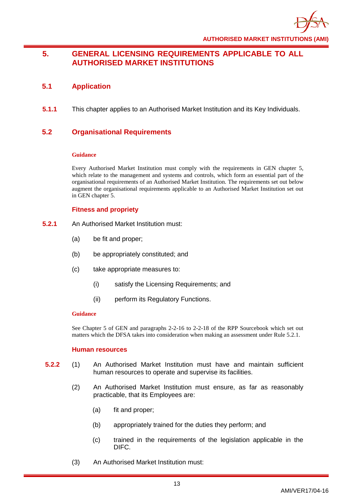

## <span id="page-16-0"></span>**5. GENERAL LICENSING REQUIREMENTS APPLICABLE TO ALL AUTHORISED MARKET INSTITUTIONS**

## <span id="page-16-1"></span>**5.1 Application**

**5.1.1** This chapter applies to an Authorised Market Institution and its Key Individuals.

## <span id="page-16-2"></span>**5.2 Organisational Requirements**

## **Guidance**

Every Authorised Market Institution must comply with the requirements in GEN chapter 5, which relate to the management and systems and controls, which form an essential part of the organisational requirements of an Authorised Market Institution. The requirements set out below augment the organisational requirements applicable to an Authorised Market Institution set out in GEN chapter 5.

## **Fitness and propriety**

- **5.2.1** An Authorised Market Institution must:
	- (a) be fit and proper;
	- (b) be appropriately constituted; and
	- (c) take appropriate measures to:
		- (i) satisfy the Licensing Requirements; and
		- (ii) perform its Regulatory Functions.

## **Guidance**

See Chapter 5 of GEN and paragraphs 2-2-16 to 2-2-18 of the RPP Sourcebook which set out matters which the DFSA takes into consideration when making an assessment under Rule 5.2.1.

## **Human resources**

- **5.2.2** (1) An Authorised Market Institution must have and maintain sufficient human resources to operate and supervise its facilities.
	- (2) An Authorised Market Institution must ensure, as far as reasonably practicable, that its Employees are:
		- (a) fit and proper;
		- (b) appropriately trained for the duties they perform; and
		- (c) trained in the requirements of the legislation applicable in the DIFC.
	- (3) An Authorised Market Institution must: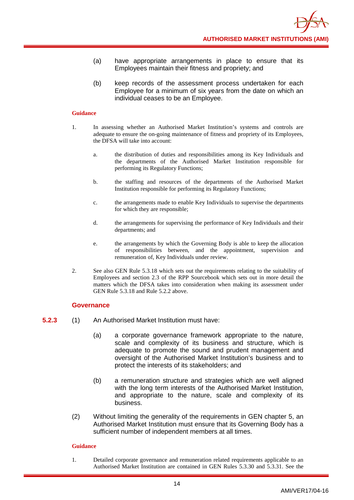- (a) have appropriate arrangements in place to ensure that its Employees maintain their fitness and propriety; and
- (b) keep records of the assessment process undertaken for each Employee for a minimum of six years from the date on which an individual ceases to be an Employee.

- 1. In assessing whether an Authorised Market Institution's systems and controls are adequate to ensure the on-going maintenance of fitness and propriety of its Employees, the DFSA will take into account:
	- a. the distribution of duties and responsibilities among its Key Individuals and the departments of the Authorised Market Institution responsible for performing its Regulatory Functions;
	- b. the staffing and resources of the departments of the Authorised Market Institution responsible for performing its Regulatory Functions;
	- c. the arrangements made to enable Key Individuals to supervise the departments for which they are responsible;
	- d. the arrangements for supervising the performance of Key Individuals and their departments; and
	- e. the arrangements by which the Governing Body is able to keep the allocation of responsibilities between, and the appointment, supervision and remuneration of, Key Individuals under review.
- 2. See also GEN Rule 5.3.18 which sets out the requirements relating to the suitability of Employees and section 2.3 of the RPP Sourcebook which sets out in more detail the matters which the DFSA takes into consideration when making its assessment under GEN Rule 5.3.18 and Rule 5.2.2 above.

#### **Governance**

- **5.2.3** (1) An Authorised Market Institution must have:
	- (a) a corporate governance framework appropriate to the nature, scale and complexity of its business and structure, which is adequate to promote the sound and prudent management and oversight of the Authorised Market Institution's business and to protect the interests of its stakeholders; and
	- (b) a remuneration structure and strategies which are well aligned with the long term interests of the Authorised Market Institution, and appropriate to the nature, scale and complexity of its business.
	- (2) Without limiting the generality of the requirements in GEN chapter 5, an Authorised Market Institution must ensure that its Governing Body has a sufficient number of independent members at all times.

#### **Guidance**

1. Detailed corporate governance and remuneration related requirements applicable to an Authorised Market Institution are contained in GEN Rules 5.3.30 and 5.3.31. See the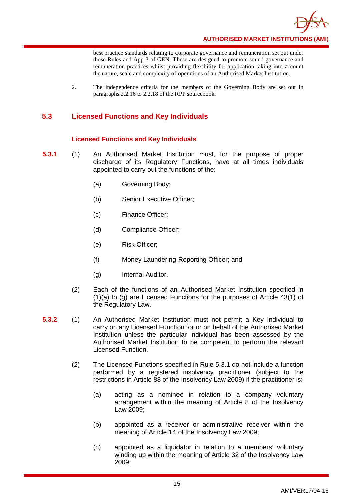

best practice standards relating to corporate governance and remuneration set out under those Rules and App 3 of GEN. These are designed to promote sound governance and remuneration practices whilst providing flexibility for application taking into account the nature, scale and complexity of operations of an Authorised Market Institution.

2. The independence criteria for the members of the Governing Body are set out in paragraphs 2.2.16 to 2.2.18 of the RPP sourcebook.

## <span id="page-18-0"></span>**5.3 Licensed Functions and Key Individuals**

## **Licensed Functions and Key Individuals**

- **5.3.1** (1) An Authorised Market Institution must, for the purpose of proper discharge of its Regulatory Functions, have at all times individuals appointed to carry out the functions of the:
	- (a) Governing Body;
	- (b) Senior Executive Officer;
	- (c) Finance Officer;
	- (d) Compliance Officer;
	- (e) Risk Officer;
	- (f) Money Laundering Reporting Officer; and
	- (g) Internal Auditor.
	- (2) Each of the functions of an Authorised Market Institution specified in (1)(a) to (g) are Licensed Functions for the purposes of Article 43(1) of the Regulatory Law.
- **5.3.2** (1) An Authorised Market Institution must not permit a Key Individual to carry on any Licensed Function for or on behalf of the Authorised Market Institution unless the particular individual has been assessed by the Authorised Market Institution to be competent to perform the relevant Licensed Function.
	- (2) The Licensed Functions specified in Rule 5.3.1 do not include a function performed by a registered insolvency practitioner (subject to the restrictions in Article 88 of the Insolvency Law 2009) if the practitioner is:
		- (a) acting as a nominee in relation to a company voluntary arrangement within the meaning of Article 8 of the Insolvency Law 2009;
		- (b) appointed as a receiver or administrative receiver within the meaning of Article 14 of the Insolvency Law 2009;
		- (c) appointed as a liquidator in relation to a members' voluntary winding up within the meaning of Article 32 of the Insolvency Law 2009;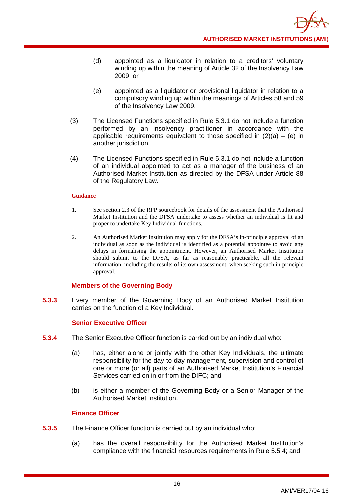- (d) appointed as a liquidator in relation to a creditors' voluntary winding up within the meaning of Article 32 of the Insolvency Law 2009; or
- (e) appointed as a liquidator or provisional liquidator in relation to a compulsory winding up within the meanings of Articles 58 and 59 of the Insolvency Law 2009.
- (3) The Licensed Functions specified in Rule 5.3.1 do not include a function performed by an insolvency practitioner in accordance with the applicable requirements equivalent to those specified in  $(2)(a) - (e)$  in another jurisdiction.
- (4) The Licensed Functions specified in Rule 5.3.1 do not include a function of an individual appointed to act as a manager of the business of an Authorised Market Institution as directed by the DFSA under Article 88 of the Regulatory Law.

- 1. See section 2.3 of the RPP sourcebook for details of the assessment that the Authorised Market Institution and the DFSA undertake to assess whether an individual is fit and proper to undertake Key Individual functions.
- 2. An Authorised Market Institution may apply for the DFSA's in-principle approval of an individual as soon as the individual is identified as a potential appointee to avoid any delays in formalising the appointment. However, an Authorised Market Institution should submit to the DFSA, as far as reasonably practicable, all the relevant information, including the results of its own assessment, when seeking such in-principle approval.

## **Members of the Governing Body**

**5.3.3** Every member of the Governing Body of an Authorised Market Institution carries on the function of a Key Individual.

## **Senior Executive Officer**

- **5.3.4** The Senior Executive Officer function is carried out by an individual who:
	- (a) has, either alone or jointly with the other Key Individuals, the ultimate responsibility for the day-to-day management, supervision and control of one or more (or all) parts of an Authorised Market Institution's Financial Services carried on in or from the DIFC; and
	- (b) is either a member of the Governing Body or a Senior Manager of the Authorised Market Institution.

## **Finance Officer**

- **5.3.5** The Finance Officer function is carried out by an individual who:
	- (a) has the overall responsibility for the Authorised Market Institution's compliance with the financial resources requirements in Rule 5.5.4; and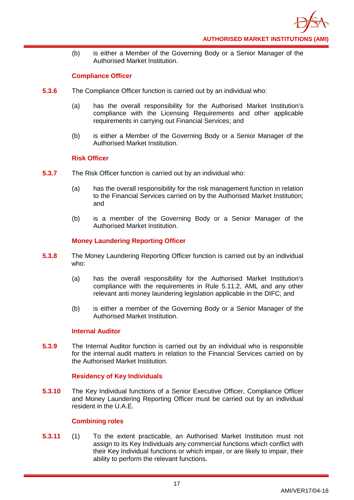(b) is either a Member of the Governing Body or a Senior Manager of the Authorised Market Institution.

## **Compliance Officer**

- **5.3.6** The Compliance Officer function is carried out by an individual who:
	- (a) has the overall responsibility for the Authorised Market Institution's compliance with the Licensing Requirements and other applicable requirements in carrying out Financial Services; and
	- (b) is either a Member of the Governing Body or a Senior Manager of the Authorised Market Institution.

## **Risk Officer**

- **5.3.7** The Risk Officer function is carried out by an individual who:
	- (a) has the overall responsibility for the risk management function in relation to the Financial Services carried on by the Authorised Market Institution; and
	- (b) is a member of the Governing Body or a Senior Manager of the Authorised Market Institution.

## **Money Laundering Reporting Officer**

- **5.3.8** The Money Laundering Reporting Officer function is carried out by an individual who:
	- (a) has the overall responsibility for the Authorised Market Institution's compliance with the requirements in Rule 5.11.2, AML and any other relevant anti money laundering legislation applicable in the DIFC; and
	- (b) is either a member of the Governing Body or a Senior Manager of the Authorised Market Institution.

## **Internal Auditor**

**5.3.9** The Internal Auditor function is carried out by an individual who is responsible for the internal audit matters in relation to the Financial Services carried on by the Authorised Market Institution.

## **Residency of Key Individuals**

**5.3.10** The Key Individual functions of a Senior Executive Officer, Compliance Officer and Money Laundering Reporting Officer must be carried out by an individual resident in the U.A.E.

## **Combining roles**

**5.3.11** (1) To the extent practicable, an Authorised Market Institution must not assign to its Key Individuals any commercial functions which conflict with their Key Individual functions or which impair, or are likely to impair, their ability to perform the relevant functions.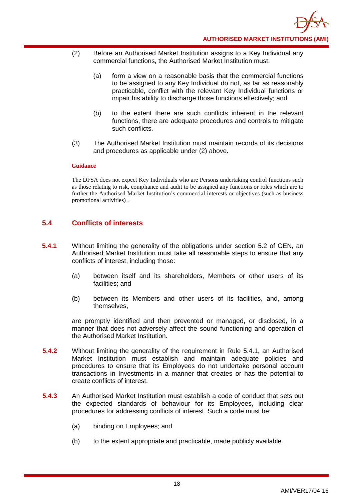- (2) Before an Authorised Market Institution assigns to a Key Individual any commercial functions, the Authorised Market Institution must:
	- (a) form a view on a reasonable basis that the commercial functions to be assigned to any Key Individual do not, as far as reasonably practicable, conflict with the relevant Key Individual functions or impair his ability to discharge those functions effectively; and
	- (b) to the extent there are such conflicts inherent in the relevant functions, there are adequate procedures and controls to mitigate such conflicts.
- (3) The Authorised Market Institution must maintain records of its decisions and procedures as applicable under (2) above.

The DFSA does not expect Key Individuals who are Persons undertaking control functions such as those relating to risk, compliance and audit to be assigned any functions or roles which are to further the Authorised Market Institution's commercial interests or objectives (such as business promotional activities) .

## <span id="page-21-0"></span>**5.4 Conflicts of interests**

- **5.4.1** Without limiting the generality of the obligations under section 5.2 of GEN, an Authorised Market Institution must take all reasonable steps to ensure that any conflicts of interest, including those:
	- (a) between itself and its shareholders, Members or other users of its facilities; and
	- (b) between its Members and other users of its facilities, and, among themselves,

are promptly identified and then prevented or managed, or disclosed, in a manner that does not adversely affect the sound functioning and operation of the Authorised Market Institution.

- **5.4.2** Without limiting the generality of the requirement in Rule 5.4.1, an Authorised Market Institution must establish and maintain adequate policies and procedures to ensure that its Employees do not undertake personal account transactions in Investments in a manner that creates or has the potential to create conflicts of interest.
- **5.4.3** An Authorised Market Institution must establish a code of conduct that sets out the expected standards of behaviour for its Employees, including clear procedures for addressing conflicts of interest. Such a code must be:
	- (a) binding on Employees; and
	- (b) to the extent appropriate and practicable, made publicly available.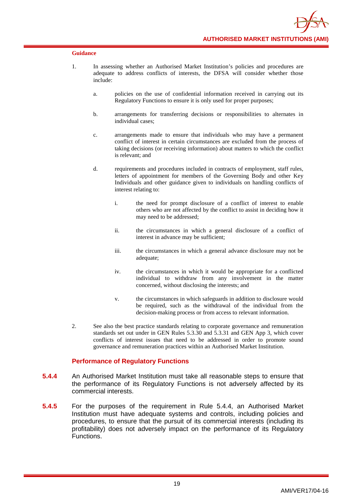- 1. In assessing whether an Authorised Market Institution's policies and procedures are adequate to address conflicts of interests, the DFSA will consider whether those include:
	- a. policies on the use of confidential information received in carrying out its Regulatory Functions to ensure it is only used for proper purposes;
	- b. arrangements for transferring decisions or responsibilities to alternates in individual cases;
	- c. arrangements made to ensure that individuals who may have a permanent conflict of interest in certain circumstances are excluded from the process of taking decisions (or receiving information) about matters to which the conflict is relevant; and
	- d. requirements and procedures included in contracts of employment, staff rules, letters of appointment for members of the Governing Body and other Key Individuals and other guidance given to individuals on handling conflicts of interest relating to:
		- i. the need for prompt disclosure of a conflict of interest to enable others who are not affected by the conflict to assist in deciding how it may need to be addressed;
		- ii. the circumstances in which a general disclosure of a conflict of interest in advance may be sufficient;
		- iii. the circumstances in which a general advance disclosure may not be adequate;
		- iv. the circumstances in which it would be appropriate for a conflicted individual to withdraw from any involvement in the matter concerned, without disclosing the interests; and
		- v. the circumstances in which safeguards in addition to disclosure would be required, such as the withdrawal of the individual from the decision-making process or from access to relevant information.
- 2. See also the best practice standards relating to corporate governance and remuneration standards set out under in GEN Rules 5.3.30 and 5.3.31 and GEN App 3, which cover conflicts of interest issues that need to be addressed in order to promote sound governance and remuneration practices within an Authorised Market Institution.

## **Performance of Regulatory Functions**

- **5.4.4** An Authorised Market Institution must take all reasonable steps to ensure that the performance of its Regulatory Functions is not adversely affected by its commercial interests.
- **5.4.5** For the purposes of the requirement in Rule 5.4.4, an Authorised Market Institution must have adequate systems and controls, including policies and procedures, to ensure that the pursuit of its commercial interests (including its profitability) does not adversely impact on the performance of its Regulatory Functions.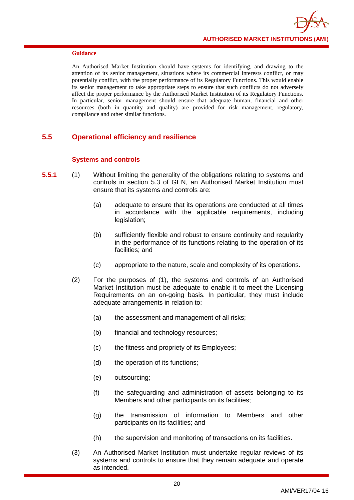An Authorised Market Institution should have systems for identifying, and drawing to the attention of its senior management, situations where its commercial interests conflict, or may potentially conflict, with the proper performance of its Regulatory Functions. This would enable its senior management to take appropriate steps to ensure that such conflicts do not adversely affect the proper performance by the Authorised Market Institution of its Regulatory Functions. In particular, senior management should ensure that adequate human, financial and other resources (both in quantity and quality) are provided for risk management, regulatory, compliance and other similar functions.

## <span id="page-23-0"></span>**5.5 Operational efficiency and resilience**

## **Systems and controls**

- **5.5.1** (1) Without limiting the generality of the obligations relating to systems and controls in section 5.3 of GEN, an Authorised Market Institution must ensure that its systems and controls are:
	- (a) adequate to ensure that its operations are conducted at all times in accordance with the applicable requirements, including legislation;
	- (b) sufficiently flexible and robust to ensure continuity and regularity in the performance of its functions relating to the operation of its facilities; and
	- (c) appropriate to the nature, scale and complexity of its operations.
	- (2) For the purposes of (1), the systems and controls of an Authorised Market Institution must be adequate to enable it to meet the Licensing Requirements on an on-going basis. In particular, they must include adequate arrangements in relation to:
		- (a) the assessment and management of all risks;
		- (b) financial and technology resources;
		- (c) the fitness and propriety of its Employees;
		- (d) the operation of its functions;
		- (e) outsourcing;
		- (f) the safeguarding and administration of assets belonging to its Members and other participants on its facilities;
		- (g) the transmission of information to Members and other participants on its facilities; and
		- (h) the supervision and monitoring of transactions on its facilities.
	- (3) An Authorised Market Institution must undertake regular reviews of its systems and controls to ensure that they remain adequate and operate as intended.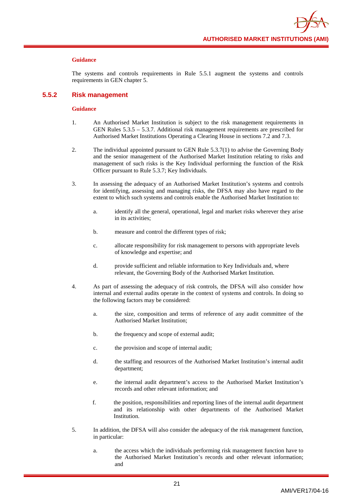The systems and controls requirements in Rule 5.5.1 augment the systems and controls requirements in GEN chapter 5.

#### **5.5.2 Risk management**

- 1. An Authorised Market Institution is subject to the risk management requirements in GEN Rules 5.3.5 – 5.3.7. Additional risk management requirements are prescribed for Authorised Market Institutions Operating a Clearing House in sections 7.2 and 7.3.
- 2. The individual appointed pursuant to GEN Rule 5.3.7(1) to advise the Governing Body and the senior management of the Authorised Market Institution relating to risks and management of such risks is the Key Individual performing the function of the Risk Officer pursuant to Rule 5.3.7; Key Individuals.
- 3. In assessing the adequacy of an Authorised Market Institution's systems and controls for identifying, assessing and managing risks, the DFSA may also have regard to the extent to which such systems and controls enable the Authorised Market Institution to:
	- a. identify all the general, operational, legal and market risks wherever they arise in its activities;
	- b. measure and control the different types of risk;
	- c. allocate responsibility for risk management to persons with appropriate levels of knowledge and expertise; and
	- d. provide sufficient and reliable information to Key Individuals and, where relevant, the Governing Body of the Authorised Market Institution.
- 4. As part of assessing the adequacy of risk controls, the DFSA will also consider how internal and external audits operate in the context of systems and controls. In doing so the following factors may be considered:
	- a. the size, composition and terms of reference of any audit committee of the Authorised Market Institution;
	- b. the frequency and scope of external audit;
	- c. the provision and scope of internal audit;
	- d. the staffing and resources of the Authorised Market Institution's internal audit department;
	- e. the internal audit department's access to the Authorised Market Institution's records and other relevant information; and
	- f. the position, responsibilities and reporting lines of the internal audit department and its relationship with other departments of the Authorised Market Institution.
- 5. In addition, the DFSA will also consider the adequacy of the risk management function, in particular:
	- a. the access which the individuals performing risk management function have to the Authorised Market Institution's records and other relevant information; and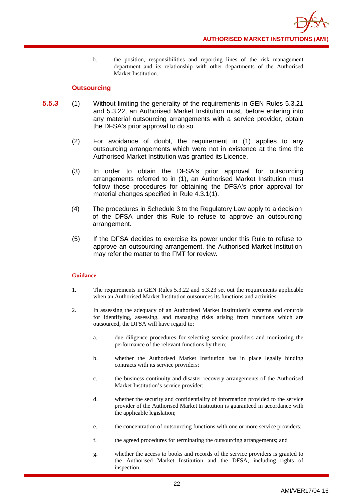b. the position, responsibilities and reporting lines of the risk management department and its relationship with other departments of the Authorised Market Institution.

## **Outsourcing**

- **5.5.3** (1) Without limiting the generality of the requirements in GEN Rules 5.3.21 and 5.3.22, an Authorised Market Institution must, before entering into any material outsourcing arrangements with a service provider, obtain the DFSA's prior approval to do so.
	- (2) For avoidance of doubt, the requirement in (1) applies to any outsourcing arrangements which were not in existence at the time the Authorised Market Institution was granted its Licence.
	- (3) In order to obtain the DFSA's prior approval for outsourcing arrangements referred to in (1), an Authorised Market Institution must follow those procedures for obtaining the DFSA's prior approval for material changes specified in Rule 4.3.1(1).
	- (4) The procedures in Schedule 3 to the Regulatory Law apply to a decision of the DFSA under this Rule to refuse to approve an outsourcing arrangement.
	- (5) If the DFSA decides to exercise its power under this Rule to refuse to approve an outsourcing arrangement, the Authorised Market Institution may refer the matter to the FMT for review.

- 1. The requirements in GEN Rules 5.3.22 and 5.3.23 set out the requirements applicable when an Authorised Market Institution outsources its functions and activities.
- 2. In assessing the adequacy of an Authorised Market Institution's systems and controls for identifying, assessing, and managing risks arising from functions which are outsourced, the DFSA will have regard to:
	- a. due diligence procedures for selecting service providers and monitoring the performance of the relevant functions by them;
	- b. whether the Authorised Market Institution has in place legally binding contracts with its service providers;
	- c. the business continuity and disaster recovery arrangements of the Authorised Market Institution's service provider;
	- d. whether the security and confidentiality of information provided to the service provider of the Authorised Market Institution is guaranteed in accordance with the applicable legislation;
	- e. the concentration of outsourcing functions with one or more service providers;
	- f. the agreed procedures for terminating the outsourcing arrangements; and
	- g. whether the access to books and records of the service providers is granted to the Authorised Market Institution and the DFSA, including rights of inspection.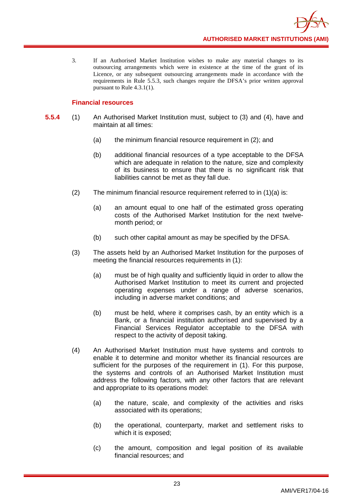3. If an Authorised Market Institution wishes to make any material changes to its outsourcing arrangements which were in existence at the time of the grant of its Licence, or any subsequent outsourcing arrangements made in accordance with the requirements in Rule 5.5.3, such changes require the DFSA's prior written approval pursuant to Rule 4.3.1(1).

## **Financial resources**

- **5.5.4** (1) An Authorised Market Institution must, subject to (3) and (4), have and maintain at all times:
	- (a) the minimum financial resource requirement in (2); and
	- (b) additional financial resources of a type acceptable to the DFSA which are adequate in relation to the nature, size and complexity of its business to ensure that there is no significant risk that liabilities cannot be met as they fall due.
	- (2) The minimum financial resource requirement referred to in (1)(a) is:
		- (a) an amount equal to one half of the estimated gross operating costs of the Authorised Market Institution for the next twelvemonth period; or
		- (b) such other capital amount as may be specified by the DFSA.
	- (3) The assets held by an Authorised Market Institution for the purposes of meeting the financial resources requirements in (1):
		- (a) must be of high quality and sufficiently liquid in order to allow the Authorised Market Institution to meet its current and projected operating expenses under a range of adverse scenarios, including in adverse market conditions; and
		- (b) must be held, where it comprises cash, by an entity which is a Bank, or a financial institution authorised and supervised by a Financial Services Regulator acceptable to the DFSA with respect to the activity of deposit taking.
	- (4) An Authorised Market Institution must have systems and controls to enable it to determine and monitor whether its financial resources are sufficient for the purposes of the requirement in (1). For this purpose, the systems and controls of an Authorised Market Institution must address the following factors, with any other factors that are relevant and appropriate to its operations model:
		- (a) the nature, scale, and complexity of the activities and risks associated with its operations;
		- (b) the operational, counterparty, market and settlement risks to which it is exposed;
		- (c) the amount, composition and legal position of its available financial resources; and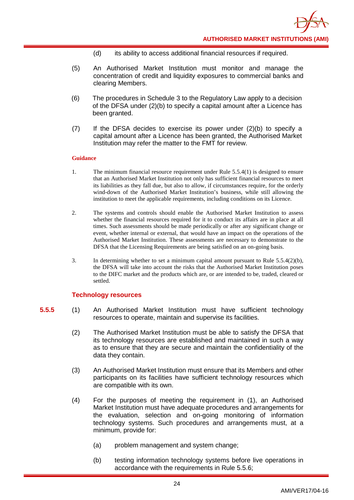- (d) its ability to access additional financial resources if required.
- (5) An Authorised Market Institution must monitor and manage the concentration of credit and liquidity exposures to commercial banks and clearing Members.
- (6) The procedures in Schedule 3 to the Regulatory Law apply to a decision of the DFSA under (2)(b) to specify a capital amount after a Licence has been granted.
- (7) If the DFSA decides to exercise its power under (2)(b) to specify a capital amount after a Licence has been granted, the Authorised Market Institution may refer the matter to the FMT for review.

- 1. The minimum financial resource requirement under Rule 5.5.4(1) is designed to ensure that an Authorised Market Institution not only has sufficient financial resources to meet its liabilities as they fall due, but also to allow, if circumstances require, for the orderly wind-down of the Authorised Market Institution's business, while still allowing the institution to meet the applicable requirements, including conditions on its Licence.
- 2. The systems and controls should enable the Authorised Market Institution to assess whether the financial resources required for it to conduct its affairs are in place at all times. Such assessments should be made periodically or after any significant change or event, whether internal or external, that would have an impact on the operations of the Authorised Market Institution. These assessments are necessary to demonstrate to the DFSA that the Licensing Requirements are being satisfied on an on-going basis.
- 3. In determining whether to set a minimum capital amount pursuant to Rule 5.5.4(2)(b), the DFSA will take into account the risks that the Authorised Market Institution poses to the DIFC market and the products which are, or are intended to be, traded, cleared or settled.

## **Technology resources**

- **5.5.5** (1) An Authorised Market Institution must have sufficient technology resources to operate, maintain and supervise its facilities.
	- (2) The Authorised Market Institution must be able to satisfy the DFSA that its technology resources are established and maintained in such a way as to ensure that they are secure and maintain the confidentiality of the data they contain.
	- (3) An Authorised Market Institution must ensure that its Members and other participants on its facilities have sufficient technology resources which are compatible with its own.
	- (4) For the purposes of meeting the requirement in (1), an Authorised Market Institution must have adequate procedures and arrangements for the evaluation, selection and on-going monitoring of information technology systems. Such procedures and arrangements must, at a minimum, provide for:
		- (a) problem management and system change;
		- (b) testing information technology systems before live operations in accordance with the requirements in Rule 5.5.6;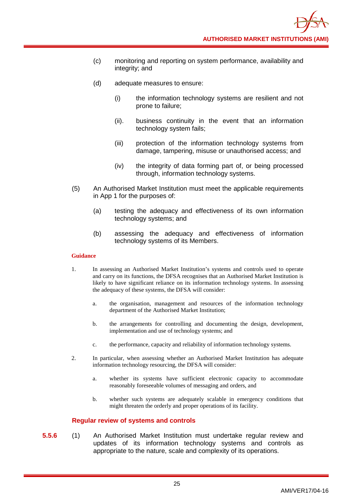- (c) monitoring and reporting on system performance, availability and integrity; and
- (d) adequate measures to ensure:
	- (i) the information technology systems are resilient and not prone to failure;
	- (ii). business continuity in the event that an information technology system fails;
	- (iii) protection of the information technology systems from damage, tampering, misuse or unauthorised access; and
	- (iv) the integrity of data forming part of, or being processed through, information technology systems.
- (5) An Authorised Market Institution must meet the applicable requirements in App 1 for the purposes of:
	- (a) testing the adequacy and effectiveness of its own information technology systems; and
	- (b) assessing the adequacy and effectiveness of information technology systems of its Members.

- 1. In assessing an Authorised Market Institution's systems and controls used to operate and carry on its functions, the DFSA recognises that an Authorised Market Institution is likely to have significant reliance on its information technology systems. In assessing the adequacy of these systems, the DFSA will consider:
	- a. the organisation, management and resources of the information technology department of the Authorised Market Institution;
	- b. the arrangements for controlling and documenting the design, development, implementation and use of technology systems; and
	- c. the performance, capacity and reliability of information technology systems.
- 2. In particular, when assessing whether an Authorised Market Institution has adequate information technology resourcing, the DFSA will consider:
	- a. whether its systems have sufficient electronic capacity to accommodate reasonably foreseeable volumes of messaging and orders, and
	- b. whether such systems are adequately scalable in emergency conditions that might threaten the orderly and proper operations of its facility.

## **Regular review of systems and controls**

**5.5.6** (1) An Authorised Market Institution must undertake regular review and updates of its information technology systems and controls as appropriate to the nature, scale and complexity of its operations.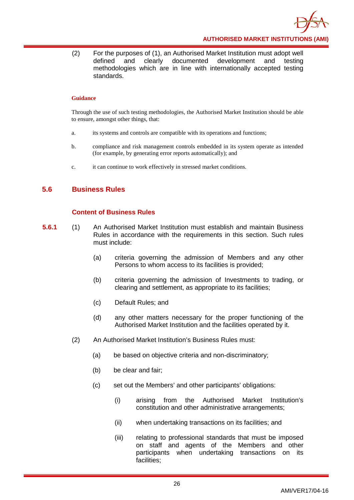

(2) For the purposes of (1), an Authorised Market Institution must adopt well defined and clearly documented development and testing methodologies which are in line with internationally accepted testing standards.

#### **Guidance**

Through the use of such testing methodologies, the Authorised Market Institution should be able to ensure, amongst other things, that:

- a. its systems and controls are compatible with its operations and functions;
- b. compliance and risk management controls embedded in its system operate as intended (for example, by generating error reports automatically); and
- c. it can continue to work effectively in stressed market conditions.

## <span id="page-29-0"></span>**5.6 Business Rules**

## **Content of Business Rules**

- **5.6.1** (1) An Authorised Market Institution must establish and maintain Business Rules in accordance with the requirements in this section. Such rules must include:
	- (a) criteria governing the admission of Members and any other Persons to whom access to its facilities is provided;
	- (b) criteria governing the admission of Investments to trading, or clearing and settlement, as appropriate to its facilities;
	- (c) Default Rules; and
	- (d) any other matters necessary for the proper functioning of the Authorised Market Institution and the facilities operated by it.
	- (2) An Authorised Market Institution's Business Rules must:
		- (a) be based on objective criteria and non-discriminatory;
		- (b) be clear and fair;
		- (c) set out the Members' and other participants' obligations:
			- (i) arising from the Authorised Market Institution's constitution and other administrative arrangements;
			- (ii) when undertaking transactions on its facilities; and
			- (iii) relating to professional standards that must be imposed on staff and agents of the Members and other participants when undertaking transactions on its facilities;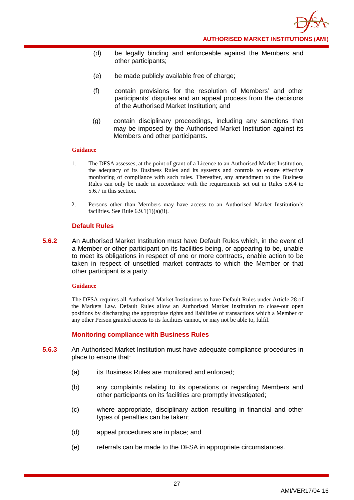- (d) be legally binding and enforceable against the Members and other participants;
- (e) be made publicly available free of charge:
- (f) contain provisions for the resolution of Members' and other participants' disputes and an appeal process from the decisions of the Authorised Market Institution; and
- (g) contain disciplinary proceedings, including any sanctions that may be imposed by the Authorised Market Institution against its Members and other participants.

- 1. The DFSA assesses, at the point of grant of a Licence to an Authorised Market Institution, the adequacy of its Business Rules and its systems and controls to ensure effective monitoring of compliance with such rules. Thereafter, any amendment to the Business Rules can only be made in accordance with the requirements set out in Rules 5.6.4 to 5.6.7 in this section.
- 2. Persons other than Members may have access to an Authorised Market Institution's facilities. See Rule  $6.9.1(1)(a)(ii)$ .

## **Default Rules**

**5.6.2** An Authorised Market Institution must have Default Rules which, in the event of a Member or other participant on its facilities being, or appearing to be, unable to meet its obligations in respect of one or more contracts, enable action to be taken in respect of unsettled market contracts to which the Member or that other participant is a party.

#### **Guidance**

The DFSA requires all Authorised Market Institutions to have Default Rules under Article 28 of the Markets Law. Default Rules allow an Authorised Market Institution to close-out open positions by discharging the appropriate rights and liabilities of transactions which a Member or any other Person granted access to its facilities cannot, or may not be able to, fulfil.

## **Monitoring compliance with Business Rules**

- **5.6.3** An Authorised Market Institution must have adequate compliance procedures in place to ensure that:
	- (a) its Business Rules are monitored and enforced;
	- (b) any complaints relating to its operations or regarding Members and other participants on its facilities are promptly investigated;
	- (c) where appropriate, disciplinary action resulting in financial and other types of penalties can be taken;
	- (d) appeal procedures are in place; and
	- (e) referrals can be made to the DFSA in appropriate circumstances.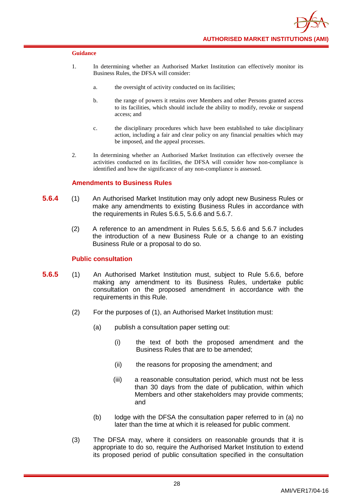

- 1. In determining whether an Authorised Market Institution can effectively monitor its Business Rules, the DFSA will consider:
	- a. the oversight of activity conducted on its facilities;
	- b. the range of powers it retains over Members and other Persons granted access to its facilities, which should include the ability to modify, revoke or suspend access; and
	- c. the disciplinary procedures which have been established to take disciplinary action, including a fair and clear policy on any financial penalties which may be imposed, and the appeal processes.
- 2. In determining whether an Authorised Market Institution can effectively oversee the activities conducted on its facilities, the DFSA will consider how non-compliance is identified and how the significance of any non-compliance is assessed.

## **Amendments to Business Rules**

- **5.6.4** (1) An Authorised Market Institution may only adopt new Business Rules or make any amendments to existing Business Rules in accordance with the requirements in Rules 5.6.5, 5.6.6 and 5.6.7.
	- (2) A reference to an amendment in Rules 5.6.5, 5.6.6 and 5.6.7 includes the introduction of a new Business Rule or a change to an existing Business Rule or a proposal to do so.

## **Public consultation**

- **5.6.5** (1) An Authorised Market Institution must, subject to Rule 5.6.6, before making any amendment to its Business Rules, undertake public consultation on the proposed amendment in accordance with the requirements in this Rule.
	- (2) For the purposes of (1), an Authorised Market Institution must:
		- (a) publish a consultation paper setting out:
			- (i) the text of both the proposed amendment and the Business Rules that are to be amended;
			- (ii) the reasons for proposing the amendment; and
			- (iii) a reasonable consultation period, which must not be less than 30 days from the date of publication, within which Members and other stakeholders may provide comments; and
		- (b) lodge with the DFSA the consultation paper referred to in (a) no later than the time at which it is released for public comment.
	- (3) The DFSA may, where it considers on reasonable grounds that it is appropriate to do so, require the Authorised Market Institution to extend its proposed period of public consultation specified in the consultation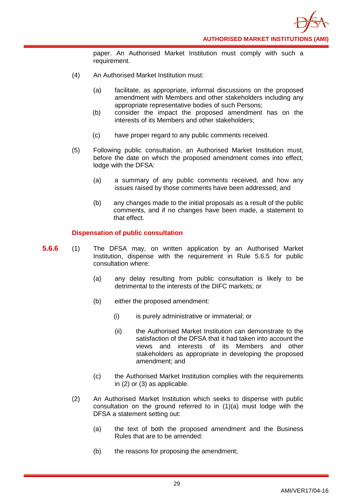paper. An Authorised Market Institution must comply with such a requirement.

- (4) An Authorised Market Institution must:
	- (a) facilitate, as appropriate, informal discussions on the proposed amendment with Members and other stakeholders including any appropriate representative bodies of such Persons;
	- (b) consider the impact the proposed amendment has on the interests of its Members and other stakeholders;
	- (c) have proper regard to any public comments received.
- (5) Following public consultation, an Authorised Market Institution must, before the date on which the proposed amendment comes into effect, lodge with the DFSA:
	- (a) a summary of any public comments received, and how any issues raised by those comments have been addressed; and
	- (b) any changes made to the initial proposals as a result of the public comments, and if no changes have been made, a statement to that effect.

## **Dispensation of public consultation**

- **5.6.6** (1) The DFSA may, on written application by an Authorised Market Institution, dispense with the requirement in Rule 5.6.5 for public consultation where:
	- (a) any delay resulting from public consultation is likely to be detrimental to the interests of the DIFC markets; or
	- (b) either the proposed amendment:
		- (i) is purely administrative or immaterial; or
		- (ii) the Authorised Market Institution can demonstrate to the satisfaction of the DFSA that it had taken into account the views and interests of its Members and other stakeholders as appropriate in developing the proposed amendment; and
	- (c) the Authorised Market Institution complies with the requirements in (2) or (3) as applicable.
	- (2) An Authorised Market Institution which seeks to dispense with public consultation on the ground referred to in (1)(a) must lodge with the DFSA a statement setting out:
		- (a) the text of both the proposed amendment and the Business Rules that are to be amended:
		- (b) the reasons for proposing the amendment;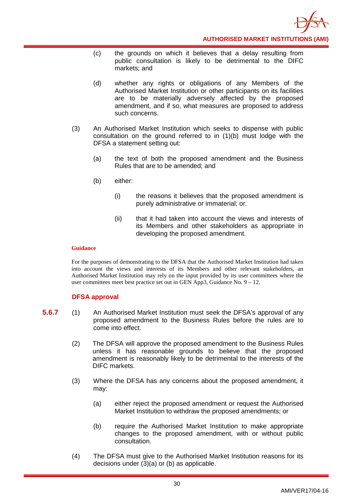

- (c) the grounds on which it believes that a delay resulting from public consultation is likely to be detrimental to the DIFC markets; and
- (d) whether any rights or obligations of any Members of the Authorised Market Institution or other participants on its facilities are to be materially adversely affected by the proposed amendment, and if so, what measures are proposed to address such concerns.
- (3) An Authorised Market Institution which seeks to dispense with public consultation on the ground referred to in (1)(b) must lodge with the DFSA a statement setting out:
	- (a) the text of both the proposed amendment and the Business Rules that are to be amended; and
	- (b) either:
		- (i) the reasons it believes that the proposed amendment is purely administrative or immaterial; or.
		- (ii) that it had taken into account the views and interests of its Members and other stakeholders as appropriate in developing the proposed amendment.

For the purposes of demonstrating to the DFSA that the Authorised Market Institution had taken into account the views and interests of its Members and other relevant stakeholders, an Authorised Market Institution may rely on the input provided by its user committees where the user committees meet best practice set out in GEN App3, Guidance No. 9 – 12.

## **DFSA approval**

- **5.6.7** (1) An Authorised Market Institution must seek the DFSA's approval of any proposed amendment to the Business Rules before the rules are to come into effect.
	- (2) The DFSA will approve the proposed amendment to the Business Rules unless it has reasonable grounds to believe that the proposed amendment is reasonably likely to be detrimental to the interests of the DIFC markets.
	- (3) Where the DFSA has any concerns about the proposed amendment, it may:
		- (a) either reject the proposed amendment or request the Authorised Market Institution to withdraw the proposed amendments; or
		- (b) require the Authorised Market Institution to make appropriate changes to the proposed amendment, with or without public consultation.
	- (4) The DFSA must give to the Authorised Market Institution reasons for its decisions under (3)(a) or (b) as applicable.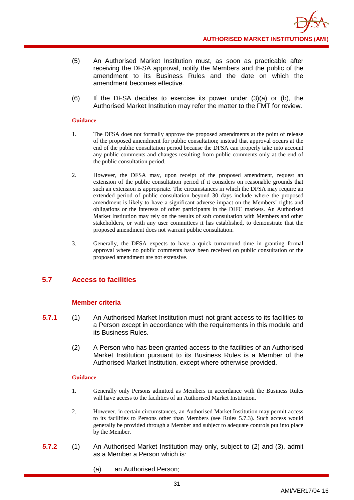- (5) An Authorised Market Institution must, as soon as practicable after receiving the DFSA approval, notify the Members and the public of the amendment to its Business Rules and the date on which the amendment becomes effective.
- (6) If the DFSA decides to exercise its power under (3)(a) or (b), the Authorised Market Institution may refer the matter to the FMT for review.

- 1. The DFSA does not formally approve the proposed amendments at the point of release of the proposed amendment for public consultation; instead that approval occurs at the end of the public consultation period because the DFSA can properly take into account any public comments and changes resulting from public comments only at the end of the public consultation period.
- 2. However, the DFSA may, upon receipt of the proposed amendment, request an extension of the public consultation period if it considers on reasonable grounds that such an extension is appropriate. The circumstances in which the DFSA may require an extended period of public consultation beyond 30 days include where the proposed amendment is likely to have a significant adverse impact on the Members' rights and obligations or the interests of other participants in the DIFC markets. An Authorised Market Institution may rely on the results of soft consultation with Members and other stakeholders, or with any user committees it has established, to demonstrate that the proposed amendment does not warrant public consultation.
- 3. Generally, the DFSA expects to have a quick turnaround time in granting formal approval where no public comments have been received on public consultation or the proposed amendment are not extensive.

## <span id="page-34-0"></span>**5.7 Access to facilities**

## **Member criteria**

- **5.7.1** (1) An Authorised Market Institution must not grant access to its facilities to a Person except in accordance with the requirements in this module and its Business Rules.
	- (2) A Person who has been granted access to the facilities of an Authorised Market Institution pursuant to its Business Rules is a Member of the Authorised Market Institution, except where otherwise provided.

- 1. Generally only Persons admitted as Members in accordance with the Business Rules will have access to the facilities of an Authorised Market Institution.
- 2. However, in certain circumstances, an Authorised Market Institution may permit access to its facilities to Persons other than Members (see Rules 5.7.3). Such access would generally be provided through a Member and subject to adequate controls put into place by the Member.
- **5.7.2** (1) An Authorised Market Institution may only, subject to (2) and (3), admit as a Member a Person which is:
	- (a) an Authorised Person;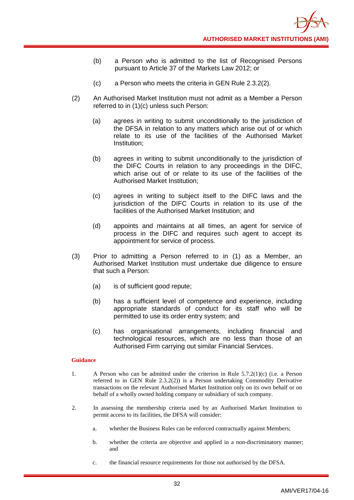- (b) a Person who is admitted to the list of Recognised Persons pursuant to Article 37 of the Markets Law 2012; or
- (c) a Person who meets the criteria in GEN Rule 2.3.2(2).
- (2) An Authorised Market Institution must not admit as a Member a Person referred to in (1)(c) unless such Person:
	- (a) agrees in writing to submit unconditionally to the jurisdiction of the DFSA in relation to any matters which arise out of or which relate to its use of the facilities of the Authorised Market Institution;
	- (b) agrees in writing to submit unconditionally to the jurisdiction of the DIFC Courts in relation to any proceedings in the DIFC, which arise out of or relate to its use of the facilities of the Authorised Market Institution;
	- (c) agrees in writing to subject itself to the DIFC laws and the jurisdiction of the DIFC Courts in relation to its use of the facilities of the Authorised Market Institution; and
	- (d) appoints and maintains at all times, an agent for service of process in the DIFC and requires such agent to accept its appointment for service of process.
- (3) Prior to admitting a Person referred to in (1) as a Member, an Authorised Market Institution must undertake due diligence to ensure that such a Person:
	- (a) is of sufficient good repute;
	- (b) has a sufficient level of competence and experience, including appropriate standards of conduct for its staff who will be permitted to use its order entry system; and
	- (c) has organisational arrangements, including financial and technological resources, which are no less than those of an Authorised Firm carrying out similar Financial Services.

- 1. A Person who can be admitted under the criterion in Rule 5.7.2(1)(c) (i.e. a Person referred to in GEN Rule 2.3.2(2)) is a Person undertaking Commodity Derivative transactions on the relevant Authorised Market Institution only on its own behalf or on behalf of a wholly owned holding company or subsidiary of such company.
- 2. In assessing the membership criteria used by an Authorised Market Institution to permit access to its facilities, the DFSA will consider:
	- a. whether the Business Rules can be enforced contractually against Members;
	- b. whether the criteria are objective and applied in a non-discriminatory manner; and
	- c. the financial resource requirements for those not authorised by the DFSA.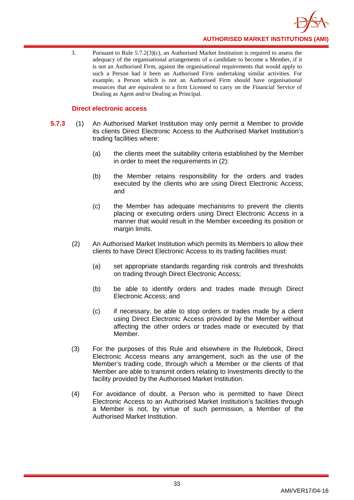

3. Pursuant to Rule 5.7.2(3)(c), an Authorised Market Institution is required to assess the adequacy of the organisational arrangements of a candidate to become a Member, if it is not an Authorised Firm, against the organisational requirements that would apply to such a Person had it been an Authorised Firm undertaking similar activities. For example, a Person which is not an Authorised Firm should have organisational resources that are equivalent to a firm Licensed to carry on the Financial Service of Dealing as Agent and/or Dealing as Principal.

### **Direct electronic access**

- **5.7.3** (1) An Authorised Market Institution may only permit a Member to provide its clients Direct Electronic Access to the Authorised Market Institution's trading facilities where:
	- (a) the clients meet the suitability criteria established by the Member in order to meet the requirements in (2):
	- (b) the Member retains responsibility for the orders and trades executed by the clients who are using Direct Electronic Access; and
	- (c) the Member has adequate mechanisms to prevent the clients placing or executing orders using Direct Electronic Access in a manner that would result in the Member exceeding its position or margin limits.
	- (2) An Authorised Market Institution which permits its Members to allow their clients to have Direct Electronic Access to its trading facilities must:
		- (a) set appropriate standards regarding risk controls and thresholds on trading through Direct Electronic Access;
		- (b) be able to identify orders and trades made through Direct Electronic Access; and
		- (c) if necessary, be able to stop orders or trades made by a client using Direct Electronic Access provided by the Member without affecting the other orders or trades made or executed by that Member.
	- (3) For the purposes of this Rule and elsewhere in the Rulebook, Direct Electronic Access means any arrangement, such as the use of the Member's trading code, through which a Member or the clients of that Member are able to transmit orders relating to Investments directly to the facility provided by the Authorised Market Institution.
	- (4) For avoidance of doubt, a Person who is permitted to have Direct Electronic Access to an Authorised Market Institution's facilities through a Member is not, by virtue of such permission, a Member of the Authorised Market Institution.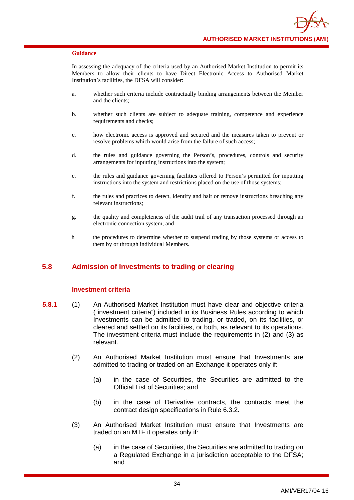In assessing the adequacy of the criteria used by an Authorised Market Institution to permit its Members to allow their clients to have Direct Electronic Access to Authorised Market Institution's facilities, the DFSA will consider:

- a. whether such criteria include contractually binding arrangements between the Member and the clients;
- b. whether such clients are subject to adequate training, competence and experience requirements and checks;
- c. how electronic access is approved and secured and the measures taken to prevent or resolve problems which would arise from the failure of such access;
- d. the rules and guidance governing the Person's, procedures, controls and security arrangements for inputting instructions into the system;
- e. the rules and guidance governing facilities offered to Person's permitted for inputting instructions into the system and restrictions placed on the use of those systems;
- f. the rules and practices to detect, identify and halt or remove instructions breaching any relevant instructions;
- g. the quality and completeness of the audit trail of any transaction processed through an electronic connection system; and
- h the procedures to determine whether to suspend trading by those systems or access to them by or through individual Members.

## **5.8 Admission of Investments to trading or clearing**

### **Investment criteria**

- **5.8.1** (1) An Authorised Market Institution must have clear and objective criteria ("investment criteria") included in its Business Rules according to which Investments can be admitted to trading, or traded, on its facilities, or cleared and settled on its facilities, or both, as relevant to its operations. The investment criteria must include the requirements in (2) and (3) as relevant.
	- (2) An Authorised Market Institution must ensure that Investments are admitted to trading or traded on an Exchange it operates only if:
		- (a) in the case of Securities, the Securities are admitted to the Official List of Securities; and
		- (b) in the case of Derivative contracts, the contracts meet the contract design specifications in Rule 6.3.2.
	- (3) An Authorised Market Institution must ensure that Investments are traded on an MTF it operates only if:
		- (a) in the case of Securities, the Securities are admitted to trading on a Regulated Exchange in a jurisdiction acceptable to the DFSA; and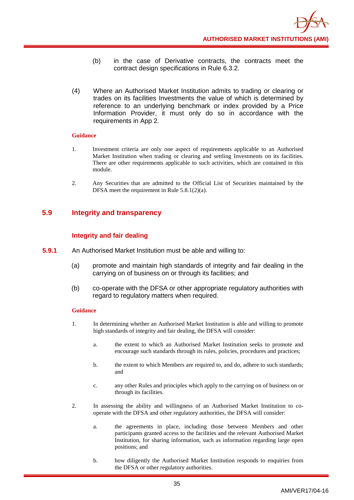- (b) in the case of Derivative contracts, the contracts meet the contract design specifications in Rule 6.3.2.
- (4) Where an Authorised Market Institution admits to trading or clearing or trades on its facilities Investments the value of which is determined by reference to an underlying benchmark or index provided by a Price Information Provider, it must only do so in accordance with the requirements in App 2.

- 1. Investment criteria are only one aspect of requirements applicable to an Authorised Market Institution when trading or clearing and settling Investments on its facilities. There are other requirements applicable to such activities, which are contained in this module.
- 2. Any Securities that are admitted to the Official List of Securities maintained by the DFSA meet the requirement in Rule 5.8.1(2)(a).

## **5.9 Integrity and transparency**

## **Integrity and fair dealing**

- **5.9.1** An Authorised Market Institution must be able and willing to:
	- (a) promote and maintain high standards of integrity and fair dealing in the carrying on of business on or through its facilities; and
	- (b) co-operate with the DFSA or other appropriate regulatory authorities with regard to regulatory matters when required.

- 1. In determining whether an Authorised Market Institution is able and willing to promote high standards of integrity and fair dealing, the DFSA will consider:
	- a. the extent to which an Authorised Market Institution seeks to promote and encourage such standards through its rules, policies, procedures and practices;
	- b. the extent to which Members are required to, and do, adhere to such standards; and
	- c. any other Rules and principles which apply to the carrying on of business on or through its facilities.
- 2. In assessing the ability and willingness of an Authorised Market Institution to cooperate with the DFSA and other regulatory authorities, the DFSA will consider:
	- a. the agreements in place, including those between Members and other participants granted access to the facilities and the relevant Authorised Market Institution, for sharing information, such as information regarding large open positions; and
	- b. how diligently the Authorised Market Institution responds to enquiries from the DFSA or other regulatory authorities.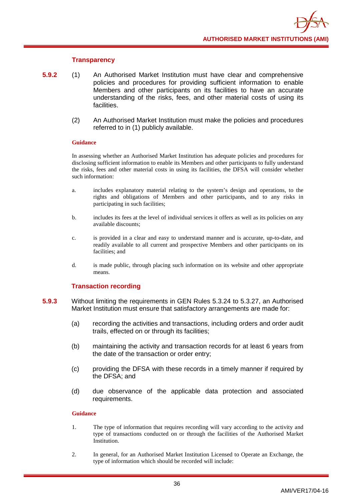### **Transparency**

- **5.9.2** (1) An Authorised Market Institution must have clear and comprehensive policies and procedures for providing sufficient information to enable Members and other participants on its facilities to have an accurate understanding of the risks, fees, and other material costs of using its facilities.
	- (2) An Authorised Market Institution must make the policies and procedures referred to in (1) publicly available.

### **Guidance**

In assessing whether an Authorised Market Institution has adequate policies and procedures for disclosing sufficient information to enable its Members and other participants to fully understand the risks, fees and other material costs in using its facilities, the DFSA will consider whether such information:

- a. includes explanatory material relating to the system's design and operations, to the rights and obligations of Members and other participants, and to any risks in participating in such facilities;
- b. includes its fees at the level of individual services it offers as well as its policies on any available discounts;
- c. is provided in a clear and easy to understand manner and is accurate, up-to-date, and readily available to all current and prospective Members and other participants on its facilities; and
- d. is made public, through placing such information on its website and other appropriate means.

### **Transaction recording**

- **5.9.3** Without limiting the requirements in GEN Rules 5.3.24 to 5.3.27, an Authorised Market Institution must ensure that satisfactory arrangements are made for:
	- (a) recording the activities and transactions, including orders and order audit trails, effected on or through its facilities;
	- (b) maintaining the activity and transaction records for at least 6 years from the date of the transaction or order entry;
	- (c) providing the DFSA with these records in a timely manner if required by the DFSA; and
	- (d) due observance of the applicable data protection and associated requirements.

- 1. The type of information that requires recording will vary according to the activity and type of transactions conducted on or through the facilities of the Authorised Market Institution.
- 2. In general, for an Authorised Market Institution Licensed to Operate an Exchange, the type of information which should be recorded will include: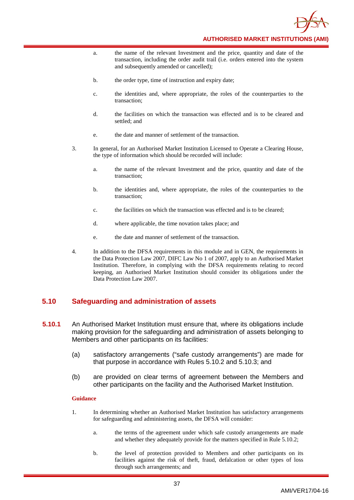

- a. the name of the relevant Investment and the price, quantity and date of the transaction, including the order audit trail (i.e. orders entered into the system and subsequently amended or cancelled);
- b. the order type, time of instruction and expiry date;
- c. the identities and, where appropriate, the roles of the counterparties to the transaction;
- d. the facilities on which the transaction was effected and is to be cleared and settled; and
- e. the date and manner of settlement of the transaction.
- 3. In general, for an Authorised Market Institution Licensed to Operate a Clearing House, the type of information which should be recorded will include:
	- a. the name of the relevant Investment and the price, quantity and date of the transaction;
	- b. the identities and, where appropriate, the roles of the counterparties to the transaction;
	- c. the facilities on which the transaction was effected and is to be cleared;
	- d. where applicable, the time novation takes place; and
	- e. the date and manner of settlement of the transaction.
- 4. In addition to the DFSA requirements in this module and in GEN, the requirements in the Data Protection Law 2007, DIFC Law No 1 of 2007, apply to an Authorised Market Institution. Therefore, in complying with the DFSA requirements relating to record keeping, an Authorised Market Institution should consider its obligations under the Data Protection Law 2007.

## **5.10 Safeguarding and administration of assets**

- **5.10.1** An Authorised Market Institution must ensure that, where its obligations include making provision for the safeguarding and administration of assets belonging to Members and other participants on its facilities:
	- (a) satisfactory arrangements ("safe custody arrangements") are made for that purpose in accordance with Rules 5.10.2 and 5.10.3; and
	- (b) are provided on clear terms of agreement between the Members and other participants on the facility and the Authorised Market Institution.

- 1. In determining whether an Authorised Market Institution has satisfactory arrangements for safeguarding and administering assets, the DFSA will consider:
	- a. the terms of the agreement under which safe custody arrangements are made and whether they adequately provide for the matters specified in Rule 5.10.2;
	- b. the level of protection provided to Members and other participants on its facilities against the risk of theft, fraud, defalcation or other types of loss through such arrangements; and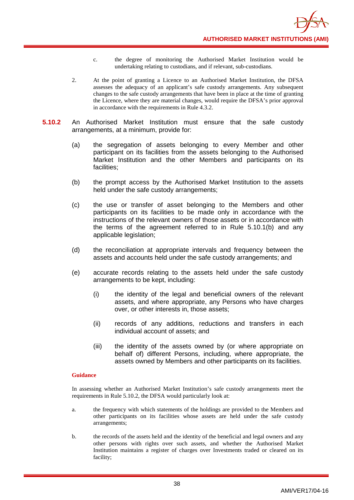- c. the degree of monitoring the Authorised Market Institution would be undertaking relating to custodians, and if relevant, sub-custodians.
- 2. At the point of granting a Licence to an Authorised Market Institution, the DFSA assesses the adequacy of an applicant's safe custody arrangements. Any subsequent changes to the safe custody arrangements that have been in place at the time of granting the Licence, where they are material changes, would require the DFSA's prior approval in accordance with the requirements in Rule 4.3.2.
- **5.10.2** An Authorised Market Institution must ensure that the safe custody arrangements, at a minimum, provide for:
	- (a) the segregation of assets belonging to every Member and other participant on its facilities from the assets belonging to the Authorised Market Institution and the other Members and participants on its facilities;
	- (b) the prompt access by the Authorised Market Institution to the assets held under the safe custody arrangements;
	- (c) the use or transfer of asset belonging to the Members and other participants on its facilities to be made only in accordance with the instructions of the relevant owners of those assets or in accordance with the terms of the agreement referred to in Rule 5.10.1(b) and any applicable legislation;
	- (d) the reconciliation at appropriate intervals and frequency between the assets and accounts held under the safe custody arrangements; and
	- (e) accurate records relating to the assets held under the safe custody arrangements to be kept, including:
		- (i) the identity of the legal and beneficial owners of the relevant assets, and where appropriate, any Persons who have charges over, or other interests in, those assets;
		- (ii) records of any additions, reductions and transfers in each individual account of assets; and
		- (iii) the identity of the assets owned by (or where appropriate on behalf of) different Persons, including, where appropriate, the assets owned by Members and other participants on its facilities.

In assessing whether an Authorised Market Institution's safe custody arrangements meet the requirements in Rule 5.10.2, the DFSA would particularly look at:

- a. the frequency with which statements of the holdings are provided to the Members and other participants on its facilities whose assets are held under the safe custody arrangements;
- b. the records of the assets held and the identity of the beneficial and legal owners and any other persons with rights over such assets, and whether the Authorised Market Institution maintains a register of charges over Investments traded or cleared on its facility;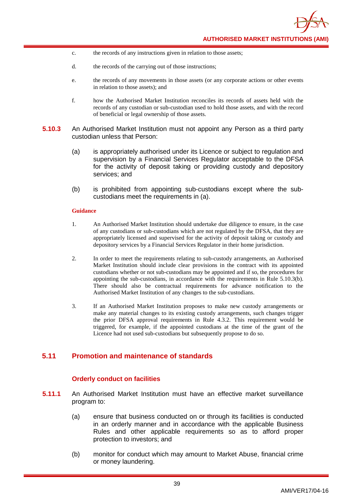- c. the records of any instructions given in relation to those assets;
- d. the records of the carrying out of those instructions;
- e. the records of any movements in those assets (or any corporate actions or other events in relation to those assets); and
- f. how the Authorised Market Institution reconciles its records of assets held with the records of any custodian or sub-custodian used to hold those assets, and with the record of beneficial or legal ownership of those assets.
- **5.10.3** An Authorised Market Institution must not appoint any Person as a third party custodian unless that Person:
	- (a) is appropriately authorised under its Licence or subject to regulation and supervision by a Financial Services Regulator acceptable to the DFSA for the activity of deposit taking or providing custody and depository services; and
	- (b) is prohibited from appointing sub-custodians except where the subcustodians meet the requirements in (a).

- 1. An Authorised Market Institution should undertake due diligence to ensure, in the case of any custodians or sub-custodians which are not regulated by the DFSA, that they are appropriately licensed and supervised for the activity of deposit taking or custody and depository services by a Financial Services Regulator in their home jurisdiction.
- 2. In order to meet the requirements relating to sub-custody arrangements, an Authorised Market Institution should include clear provisions in the contract with its appointed custodians whether or not sub-custodians may be appointed and if so, the procedures for appointing the sub-custodians, in accordance with the requirements in Rule 5.10.3(b). There should also be contractual requirements for advance notification to the Authorised Market Institution of any changes to the sub-custodians.
- 3. If an Authorised Market Institution proposes to make new custody arrangements or make any material changes to its existing custody arrangements, such changes trigger the prior DFSA approval requirements in Rule 4.3.2. This requirement would be triggered, for example, if the appointed custodians at the time of the grant of the Licence had not used sub-custodians but subsequently propose to do so.

## **5.11 Promotion and maintenance of standards**

### **Orderly conduct on facilities**

- **5.11.1** An Authorised Market Institution must have an effective market surveillance program to:
	- (a) ensure that business conducted on or through its facilities is conducted in an orderly manner and in accordance with the applicable Business Rules and other applicable requirements so as to afford proper protection to investors; and
	- (b) monitor for conduct which may amount to Market Abuse, financial crime or money laundering.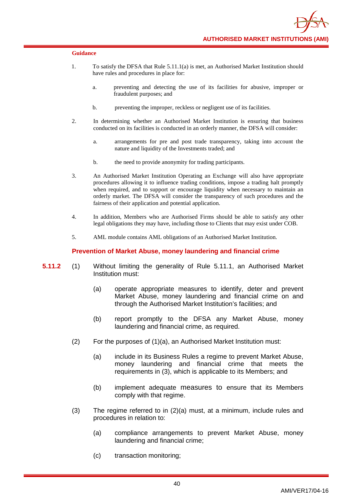- 1. To satisfy the DFSA that Rule 5.11.1(a) is met, an Authorised Market Institution should have rules and procedures in place for:
	- a. preventing and detecting the use of its facilities for abusive, improper or fraudulent purposes; and
	- b. preventing the improper, reckless or negligent use of its facilities.
- 2. In determining whether an Authorised Market Institution is ensuring that business conducted on its facilities is conducted in an orderly manner, the DFSA will consider:
	- a. arrangements for pre and post trade transparency, taking into account the nature and liquidity of the Investments traded; and
	- b. the need to provide anonymity for trading participants.
- 3. An Authorised Market Institution Operating an Exchange will also have appropriate procedures allowing it to influence trading conditions, impose a trading halt promptly when required, and to support or encourage liquidity when necessary to maintain an orderly market. The DFSA will consider the transparency of such procedures and the fairness of their application and potential application.
- 4. In addition, Members who are Authorised Firms should be able to satisfy any other legal obligations they may have, including those to Clients that may exist under COB.
- 5. AML module contains AML obligations of an Authorised Market Institution.

### **Prevention of Market Abuse, money laundering and financial crime**

- **5.11.2** (1) Without limiting the generality of Rule 5.11.1, an Authorised Market Institution must:
	- (a) operate appropriate measures to identify, deter and prevent Market Abuse, money laundering and financial crime on and through the Authorised Market Institution's facilities; and
	- (b) report promptly to the DFSA any Market Abuse, money laundering and financial crime, as required.
	- (2) For the purposes of (1)(a), an Authorised Market Institution must:
		- (a) include in its Business Rules a regime to prevent Market Abuse, money laundering and financial crime that meets the requirements in (3), which is applicable to its Members; and
		- (b) implement adequate measures to ensure that its Members comply with that regime.
	- (3) The regime referred to in (2)(a) must, at a minimum, include rules and procedures in relation to:
		- (a) compliance arrangements to prevent Market Abuse, money laundering and financial crime;
		- (c) transaction monitoring;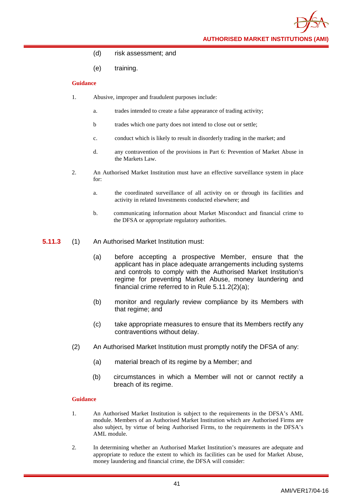**AUTHORISED MARKET INSTITUTIONS (AMI)**

- (d) risk assessment; and
- (e) training.

### **Guidance**

- 1. Abusive, improper and fraudulent purposes include:
	- a. trades intended to create a false appearance of trading activity;
	- b trades which one party does not intend to close out or settle;
	- c. conduct which is likely to result in disorderly trading in the market; and
	- d. any contravention of the provisions in Part 6: Prevention of Market Abuse in the Markets Law.
- 2. An Authorised Market Institution must have an effective surveillance system in place for:
	- a. the coordinated surveillance of all activity on or through its facilities and activity in related Investments conducted elsewhere; and
	- b. communicating information about Market Misconduct and financial crime to the DFSA or appropriate regulatory authorities.
- **5.11.3** (1) An Authorised Market Institution must:
	- (a) before accepting a prospective Member, ensure that the applicant has in place adequate arrangements including systems and controls to comply with the Authorised Market Institution's regime for preventing Market Abuse, money laundering and financial crime referred to in Rule 5.11.2(2)(a);
	- (b) monitor and regularly review compliance by its Members with that regime; and
	- (c) take appropriate measures to ensure that its Members rectify any contraventions without delay.
	- (2) An Authorised Market Institution must promptly notify the DFSA of any:
		- (a) material breach of its regime by a Member; and
		- (b) circumstances in which a Member will not or cannot rectify a breach of its regime.

- 1. An Authorised Market Institution is subject to the requirements in the DFSA's AML module. Members of an Authorised Market Institution which are Authorised Firms are also subject, by virtue of being Authorised Firms, to the requirements in the DFSA's AML module.
- 2. In determining whether an Authorised Market Institution's measures are adequate and appropriate to reduce the extent to which its facilities can be used for Market Abuse, money laundering and financial crime, the DFSA will consider: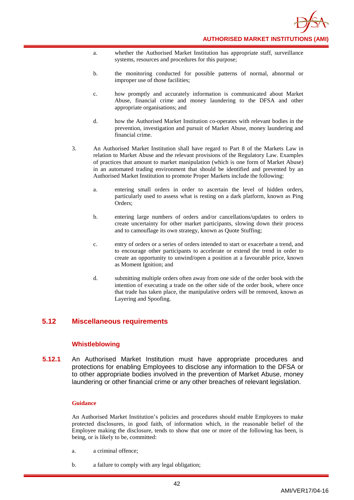

- a. whether the Authorised Market Institution has appropriate staff, surveillance systems, resources and procedures for this purpose;
- b. the monitoring conducted for possible patterns of normal, abnormal or improper use of those facilities;
- c. how promptly and accurately information is communicated about Market Abuse, financial crime and money laundering to the DFSA and other appropriate organisations; and
- d. how the Authorised Market Institution co-operates with relevant bodies in the prevention, investigation and pursuit of Market Abuse, money laundering and financial crime.
- 3. An Authorised Market Institution shall have regard to Part 8 of the Markets Law in relation to Market Abuse and the relevant provisions of the Regulatory Law. Examples of practices that amount to market manipulation (which is one form of Market Abuse) in an automated trading environment that should be identified and prevented by an Authorised Market Institution to promote Proper Markets include the following:
	- a. entering small orders in order to ascertain the level of hidden orders, particularly used to assess what is resting on a dark platform, known as Ping Orders;
	- b. entering large numbers of orders and/or cancellations/updates to orders to create uncertainty for other market participants, slowing down their process and to camouflage its own strategy, known as Quote Stuffing;
	- c. entry of orders or a series of orders intended to start or exacerbate a trend, and to encourage other participants to accelerate or extend the trend in order to create an opportunity to unwind/open a position at a favourable price, known as Moment Ignition; and
	- d. submitting multiple orders often away from one side of the order book with the intention of executing a trade on the other side of the order book, where once that trade has taken place, the manipulative orders will be removed, known as Layering and Spoofing.

## **5.12 Miscellaneous requirements**

### **Whistleblowing**

**5.12.1** An Authorised Market Institution must have appropriate procedures and protections for enabling Employees to disclose any information to the DFSA or to other appropriate bodies involved in the prevention of Market Abuse, money laundering or other financial crime or any other breaches of relevant legislation.

### **Guidance**

An Authorised Market Institution's policies and procedures should enable Employees to make protected disclosures, in good faith, of information which, in the reasonable belief of the Employee making the disclosure, tends to show that one or more of the following has been, is being, or is likely to be, committed:

- a. a criminal offence;
- b. a failure to comply with any legal obligation;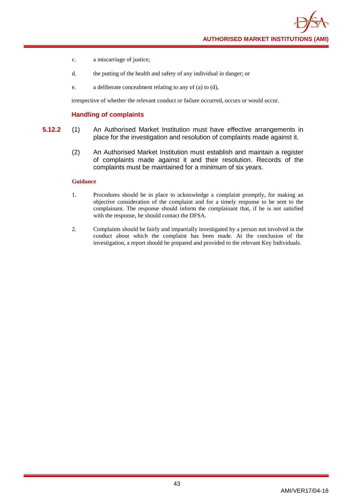**AUTHORISED MARKET INSTITUTIONS (AMI)**

- c. a miscarriage of justice;
- d. the putting of the health and safety of any individual in danger; or
- e. a deliberate concealment relating to any of (a) to (d),

irrespective of whether the relevant conduct or failure occurred, occurs or would occur.

### **Handling of complaints**

- **5.12.2** (1) An Authorised Market Institution must have effective arrangements in place for the investigation and resolution of complaints made against it.
	- (2) An Authorised Market Institution must establish and maintain a register of complaints made against it and their resolution. Records of the complaints must be maintained for a minimum of six years.

- 1. Procedures should be in place to acknowledge a complaint promptly, for making an objective consideration of the complaint and for a timely response to be sent to the complainant. The response should inform the complainant that, if he is not satisfied with the response, he should contact the DFSA.
- 2. Complaints should be fairly and impartially investigated by a person not involved in the conduct about which the complaint has been made. At the conclusion of the investigation, a report should be prepared and provided to the relevant Key Individuals.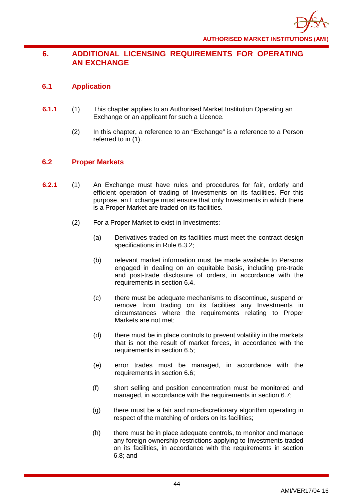# **6. ADDITIONAL LICENSING REQUIREMENTS FOR OPERATING AN EXCHANGE**

# **6.1 Application**

- **6.1.1** (1) This chapter applies to an Authorised Market Institution Operating an Exchange or an applicant for such a Licence.
	- (2) In this chapter, a reference to an "Exchange" is a reference to a Person referred to in (1).

# **6.2 Proper Markets**

- **6.2.1** (1) An Exchange must have rules and procedures for fair, orderly and efficient operation of trading of Investments on its facilities. For this purpose, an Exchange must ensure that only Investments in which there is a Proper Market are traded on its facilities.
	- (2) For a Proper Market to exist in Investments:
		- (a) Derivatives traded on its facilities must meet the contract design specifications in Rule 6.3.2;
		- (b) relevant market information must be made available to Persons engaged in dealing on an equitable basis, including pre-trade and post-trade disclosure of orders, in accordance with the requirements in section 6.4.
		- (c) there must be adequate mechanisms to discontinue, suspend or remove from trading on its facilities any Investments in circumstances where the requirements relating to Proper Markets are not met;
		- (d) there must be in place controls to prevent volatility in the markets that is not the result of market forces, in accordance with the requirements in section 6.5;
		- (e) error trades must be managed, in accordance with the requirements in section 6.6;
		- (f) short selling and position concentration must be monitored and managed, in accordance with the requirements in section 6.7;
		- (g) there must be a fair and non-discretionary algorithm operating in respect of the matching of orders on its facilities;
		- (h) there must be in place adequate controls, to monitor and manage any foreign ownership restrictions applying to Investments traded on its facilities, in accordance with the requirements in section 6.8; and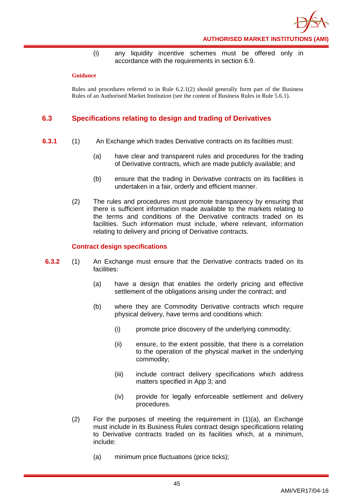

(i) any liquidity incentive schemes must be offered only in accordance with the requirements in section 6.9.

### **Guidance**

Rules and procedures referred to in Rule 6.2.1(2) should generally form part of the Business Rules of an Authorised Market Institution (see the content of Business Rules in Rule 5.6.1).

## **6.3 Specifications relating to design and trading of Derivatives**

- **6.3.1** (1) An Exchange which trades Derivative contracts on its facilities must:
	- (a) have clear and transparent rules and procedures for the trading of Derivative contracts, which are made publicly available; and
	- (b) ensure that the trading in Derivative contracts on its facilities is undertaken in a fair, orderly and efficient manner.
	- (2) The rules and procedures must promote transparency by ensuring that there is sufficient information made available to the markets relating to the terms and conditions of the Derivative contracts traded on its facilities. Such information must include, where relevant, information relating to delivery and pricing of Derivative contracts.

### **Contract design specifications**

- **6.3.2** (1) An Exchange must ensure that the Derivative contracts traded on its facilities:
	- (a) have a design that enables the orderly pricing and effective settlement of the obligations arising under the contract; and
	- (b) where they are Commodity Derivative contracts which require physical delivery, have terms and conditions which:
		- (i) promote price discovery of the underlying commodity;
		- (ii) ensure, to the extent possible, that there is a correlation to the operation of the physical market in the underlying commodity;
		- (iii) include contract delivery specifications which address matters specified in App 3; and
		- (iv) provide for legally enforceable settlement and delivery procedures.
	- $(2)$  For the purposes of meeting the requirement in  $(1)(a)$ , an Exchange must include in its Business Rules contract design specifications relating to Derivative contracts traded on its facilities which, at a minimum, include:
		- (a) minimum price fluctuations (price ticks);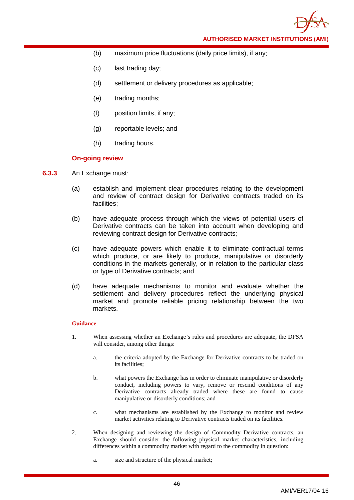**AUTHORISED MARKET INSTITUTIONS (AMI)**

- (b) maximum price fluctuations (daily price limits), if any;
- (c) last trading day;
- (d) settlement or delivery procedures as applicable;
- (e) trading months;
- (f) position limits, if any;
- (g) reportable levels; and
- (h) trading hours.

### **On-going review**

- **6.3.3** An Exchange must:
	- (a) establish and implement clear procedures relating to the development and review of contract design for Derivative contracts traded on its facilities;
	- (b) have adequate process through which the views of potential users of Derivative contracts can be taken into account when developing and reviewing contract design for Derivative contracts;
	- (c) have adequate powers which enable it to eliminate contractual terms which produce, or are likely to produce, manipulative or disorderly conditions in the markets generally, or in relation to the particular class or type of Derivative contracts; and
	- (d) have adequate mechanisms to monitor and evaluate whether the settlement and delivery procedures reflect the underlying physical market and promote reliable pricing relationship between the two markets.

- 1. When assessing whether an Exchange's rules and procedures are adequate, the DFSA will consider, among other things:
	- a. the criteria adopted by the Exchange for Derivative contracts to be traded on its facilities;
	- b. what powers the Exchange has in order to eliminate manipulative or disorderly conduct, including powers to vary, remove or rescind conditions of any Derivative contracts already traded where these are found to cause manipulative or disorderly conditions; and
	- c. what mechanisms are established by the Exchange to monitor and review market activities relating to Derivative contracts traded on its facilities.
- 2. When designing and reviewing the design of Commodity Derivative contracts, an Exchange should consider the following physical market characteristics, including differences within a commodity market with regard to the commodity in question:
	- a. size and structure of the physical market;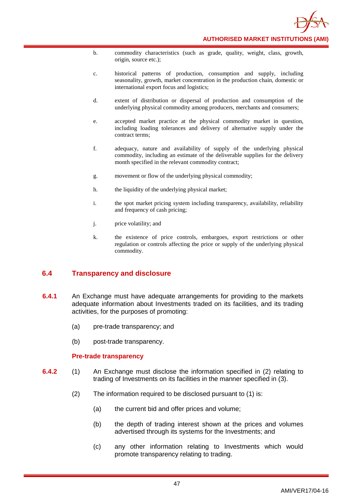

- b. commodity characteristics (such as grade, quality, weight, class, growth, origin, source etc.);
- c. historical patterns of production, consumption and supply, including seasonality, growth, market concentration in the production chain, domestic or international export focus and logistics;
- d. extent of distribution or dispersal of production and consumption of the underlying physical commodity among producers, merchants and consumers;
- e. accepted market practice at the physical commodity market in question, including loading tolerances and delivery of alternative supply under the contract terms;
- f. adequacy, nature and availability of supply of the underlying physical commodity, including an estimate of the deliverable supplies for the delivery month specified in the relevant commodity contract;
- g. movement or flow of the underlying physical commodity;
- h. the liquidity of the underlying physical market;
- i. the spot market pricing system including transparency, availability, reliability and frequency of cash pricing;
- j. price volatility; and
- k. the existence of price controls, embargoes, export restrictions or other regulation or controls affecting the price or supply of the underlying physical commodity.

# **6.4 Transparency and disclosure**

- **6.4.1** An Exchange must have adequate arrangements for providing to the markets adequate information about Investments traded on its facilities, and its trading activities, for the purposes of promoting:
	- (a) pre-trade transparency; and
	- (b) post-trade transparency.

### **Pre-trade transparency**

- **6.4.2** (1) An Exchange must disclose the information specified in (2) relating to trading of Investments on its facilities in the manner specified in (3).
	- (2) The information required to be disclosed pursuant to (1) is:
		- (a) the current bid and offer prices and volume;
		- (b) the depth of trading interest shown at the prices and volumes advertised through its systems for the Investments; and
		- (c) any other information relating to Investments which would promote transparency relating to trading.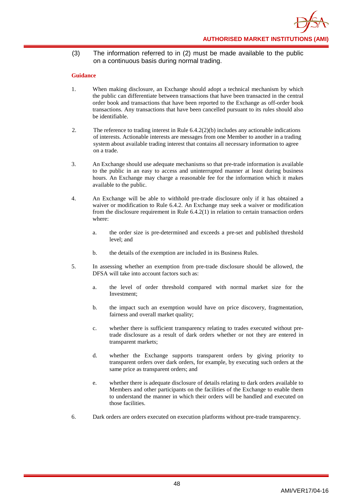(3) The information referred to in (2) must be made available to the public on a continuous basis during normal trading.

- 1. When making disclosure, an Exchange should adopt a technical mechanism by which the public can differentiate between transactions that have been transacted in the central order book and transactions that have been reported to the Exchange as off-order book transactions. Any transactions that have been cancelled pursuant to its rules should also be identifiable.
- 2. The reference to trading interest in Rule 6.4.2(2)(b) includes any actionable indications of interests. Actionable interests are messages from one Member to another in a trading system about available trading interest that contains all necessary information to agree on a trade.
- 3. An Exchange should use adequate mechanisms so that pre-trade information is available to the public in an easy to access and uninterrupted manner at least during business hours. An Exchange may charge a reasonable fee for the information which it makes available to the public.
- 4. An Exchange will be able to withhold pre-trade disclosure only if it has obtained a waiver or modification to Rule 6.4.2. An Exchange may seek a waiver or modification from the disclosure requirement in Rule 6.4.2(1) in relation to certain transaction orders where:
	- a. the order size is pre-determined and exceeds a pre-set and published threshold level; and
	- b. the details of the exemption are included in its Business Rules.
- 5. In assessing whether an exemption from pre-trade disclosure should be allowed, the DFSA will take into account factors such as:
	- a. the level of order threshold compared with normal market size for the Investment;
	- b. the impact such an exemption would have on price discovery, fragmentation, fairness and overall market quality;
	- c. whether there is sufficient transparency relating to trades executed without pretrade disclosure as a result of dark orders whether or not they are entered in transparent markets;
	- d. whether the Exchange supports transparent orders by giving priority to transparent orders over dark orders, for example, by executing such orders at the same price as transparent orders; and
	- e. whether there is adequate disclosure of details relating to dark orders available to Members and other participants on the facilities of the Exchange to enable them to understand the manner in which their orders will be handled and executed on those facilities.
- 6. Dark orders are orders executed on execution platforms without pre-trade transparency.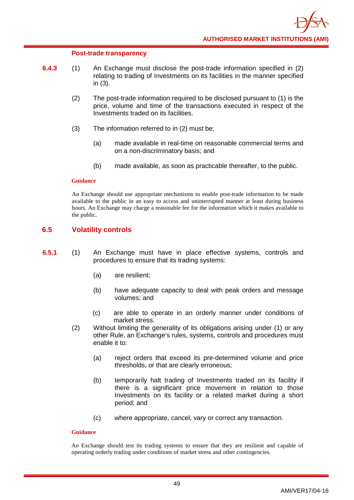### **Post-trade transparency**

- **6.4.3** (1) An Exchange must disclose the post-trade information specified in (2) relating to trading of Investments on its facilities in the manner specified in (3).
	- (2) The post-trade information required to be disclosed pursuant to (1) is the price, volume and time of the transactions executed in respect of the Investments traded on its facilities.
	- (3) The information referred to in (2) must be:
		- (a) made available in real-time on reasonable commercial terms and on a non-discriminatory basis; and
		- (b) made available, as soon as practicable thereafter, to the public.

### **Guidance**

An Exchange should use appropriate mechanisms to enable post-trade information to be made available to the public in an easy to access and uninterrupted manner at least during business hours. An Exchange may charge a reasonable fee for the information which it makes available to the public.

## **6.5 Volatility controls**

- **6.5.1** (1) An Exchange must have in place effective systems, controls and procedures to ensure that its trading systems:
	- (a) are resilient;
	- (b) have adequate capacity to deal with peak orders and message volumes; and
	- (c) are able to operate in an orderly manner under conditions of market stress.
	- (2) Without limiting the generality of its obligations arising under (1) or any other Rule, an Exchange's rules, systems, controls and procedures must enable it to:
		- (a) reject orders that exceed its pre-determined volume and price thresholds, or that are clearly erroneous;
		- (b) temporarily halt trading of Investments traded on its facility if there is a significant price movement in relation to those Investments on its facility or a related market during a short period; and
		- (c) where appropriate, cancel, vary or correct any transaction.

### **Guidance**

An Exchange should test its trading systems to ensure that they are resilient and capable of operating orderly trading under conditions of market stress and other contingencies.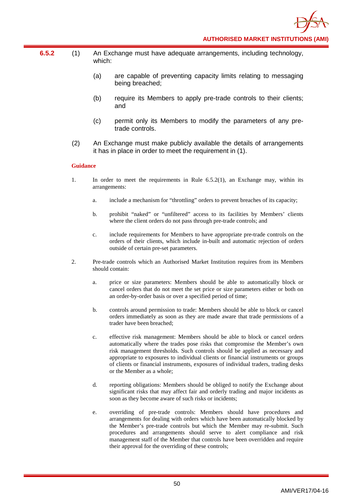- **6.5.2** (1) An Exchange must have adequate arrangements, including technology, which:
	- (a) are capable of preventing capacity limits relating to messaging being breached;
	- (b) require its Members to apply pre-trade controls to their clients; and
	- (c) permit only its Members to modify the parameters of any pretrade controls.
	- (2) An Exchange must make publicly available the details of arrangements it has in place in order to meet the requirement in (1).

- 1. In order to meet the requirements in Rule 6.5.2(1), an Exchange may, within its arrangements:
	- a. include a mechanism for "throttling" orders to prevent breaches of its capacity;
	- b. prohibit "naked" or "unfiltered" access to its facilities by Members' clients where the client orders do not pass through pre-trade controls; and
	- c. include requirements for Members to have appropriate pre-trade controls on the orders of their clients, which include in-built and automatic rejection of orders outside of certain pre-set parameters.
- 2. Pre-trade controls which an Authorised Market Institution requires from its Members should contain:
	- a. price or size parameters: Members should be able to automatically block or cancel orders that do not meet the set price or size parameters either or both on an order-by-order basis or over a specified period of time;
	- b. controls around permission to trade: Members should be able to block or cancel orders immediately as soon as they are made aware that trade permissions of a trader have been breached;
	- c. effective risk management: Members should be able to block or cancel orders automatically where the trades pose risks that compromise the Member's own risk management thresholds. Such controls should be applied as necessary and appropriate to exposures to individual clients or financial instruments or groups of clients or financial instruments, exposures of individual traders, trading desks or the Member as a whole;
	- d. reporting obligations: Members should be obliged to notify the Exchange about significant risks that may affect fair and orderly trading and major incidents as soon as they become aware of such risks or incidents;
	- e. overriding of pre-trade controls: Members should have procedures and arrangements for dealing with orders which have been automatically blocked by the Member's pre-trade controls but which the Member may re-submit. Such procedures and arrangements should serve to alert compliance and risk management staff of the Member that controls have been overridden and require their approval for the overriding of these controls;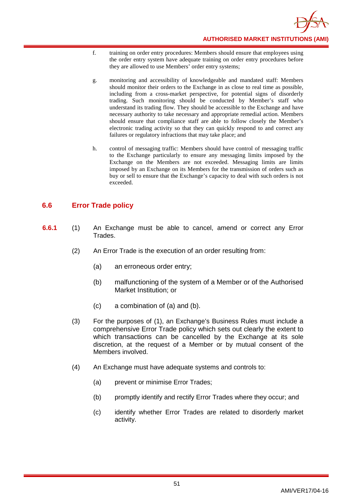

- f. training on order entry procedures: Members should ensure that employees using the order entry system have adequate training on order entry procedures before they are allowed to use Members' order entry systems;
- g. monitoring and accessibility of knowledgeable and mandated staff: Members should monitor their orders to the Exchange in as close to real time as possible, including from a cross-market perspective, for potential signs of disorderly trading. Such monitoring should be conducted by Member's staff who understand its trading flow. They should be accessible to the Exchange and have necessary authority to take necessary and appropriate remedial action. Members should ensure that compliance staff are able to follow closely the Member's electronic trading activity so that they can quickly respond to and correct any failures or regulatory infractions that may take place; and
- h. control of messaging traffic: Members should have control of messaging traffic to the Exchange particularly to ensure any messaging limits imposed by the Exchange on the Members are not exceeded. Messaging limits are limits imposed by an Exchange on its Members for the transmission of orders such as buy or sell to ensure that the Exchange's capacity to deal with such orders is not exceeded.

# **6.6 Error Trade policy**

- **6.6.1** (1) An Exchange must be able to cancel, amend or correct any Error Trades.
	- (2) An Error Trade is the execution of an order resulting from:
		- (a) an erroneous order entry;
		- (b) malfunctioning of the system of a Member or of the Authorised Market Institution; or
		- (c) a combination of (a) and (b).
	- (3) For the purposes of (1), an Exchange's Business Rules must include a comprehensive Error Trade policy which sets out clearly the extent to which transactions can be cancelled by the Exchange at its sole discretion, at the request of a Member or by mutual consent of the Members involved.
	- (4) An Exchange must have adequate systems and controls to:
		- (a) prevent or minimise Error Trades;
		- (b) promptly identify and rectify Error Trades where they occur; and
		- (c) identify whether Error Trades are related to disorderly market activity.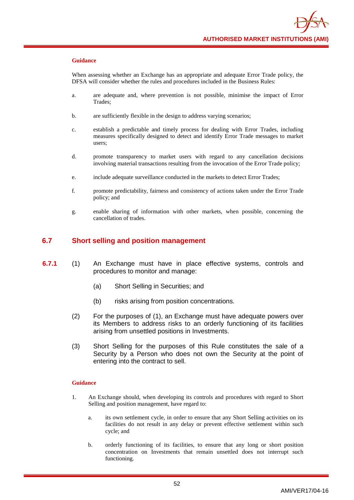When assessing whether an Exchange has an appropriate and adequate Error Trade policy, the DFSA will consider whether the rules and procedures included in the Business Rules:

- a. are adequate and, where prevention is not possible, minimise the impact of Error Trades;
- b. are sufficiently flexible in the design to address varying scenarios;
- c. establish a predictable and timely process for dealing with Error Trades, including measures specifically designed to detect and identify Error Trade messages to market users;
- d. promote transparency to market users with regard to any cancellation decisions involving material transactions resulting from the invocation of the Error Trade policy;
- e. include adequate surveillance conducted in the markets to detect Error Trades;
- f. promote predictability, fairness and consistency of actions taken under the Error Trade policy; and
- g. enable sharing of information with other markets, when possible, concerning the cancellation of trades.

## **6.7 Short selling and position management**

- **6.7.1** (1) An Exchange must have in place effective systems, controls and procedures to monitor and manage:
	- (a) Short Selling in Securities; and
	- (b) risks arising from position concentrations.
	- (2) For the purposes of (1), an Exchange must have adequate powers over its Members to address risks to an orderly functioning of its facilities arising from unsettled positions in Investments.
	- (3) Short Selling for the purposes of this Rule constitutes the sale of a Security by a Person who does not own the Security at the point of entering into the contract to sell.

- 1. An Exchange should, when developing its controls and procedures with regard to Short Selling and position management, have regard to:
	- a. its own settlement cycle, in order to ensure that any Short Selling activities on its facilities do not result in any delay or prevent effective settlement within such cycle; and
	- b. orderly functioning of its facilities, to ensure that any long or short position concentration on Investments that remain unsettled does not interrupt such functioning.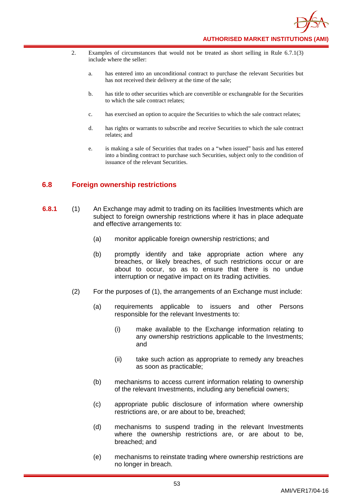- 2. Examples of circumstances that would not be treated as short selling in Rule 6.7.1(3) include where the seller:
	- a. has entered into an unconditional contract to purchase the relevant Securities but has not received their delivery at the time of the sale;
	- b. has title to other securities which are convertible or exchangeable for the Securities to which the sale contract relates;
	- c. has exercised an option to acquire the Securities to which the sale contract relates;
	- d. has rights or warrants to subscribe and receive Securities to which the sale contract relates; and
	- e. is making a sale of Securities that trades on a "when issued" basis and has entered into a binding contract to purchase such Securities, subject only to the condition of issuance of the relevant Securities.

# **6.8 Foreign ownership restrictions**

- **6.8.1** (1) An Exchange may admit to trading on its facilities Investments which are subject to foreign ownership restrictions where it has in place adequate and effective arrangements to:
	- (a) monitor applicable foreign ownership restrictions; and
	- (b) promptly identify and take appropriate action where any breaches, or likely breaches, of such restrictions occur or are about to occur, so as to ensure that there is no undue interruption or negative impact on its trading activities.
	- (2) For the purposes of (1), the arrangements of an Exchange must include:
		- (a) requirements applicable to issuers and other Persons responsible for the relevant Investments to:
			- (i) make available to the Exchange information relating to any ownership restrictions applicable to the Investments; and
			- (ii) take such action as appropriate to remedy any breaches as soon as practicable;
		- (b) mechanisms to access current information relating to ownership of the relevant Investments, including any beneficial owners;
		- (c) appropriate public disclosure of information where ownership restrictions are, or are about to be, breached;
		- (d) mechanisms to suspend trading in the relevant Investments where the ownership restrictions are, or are about to be, breached; and
		- (e) mechanisms to reinstate trading where ownership restrictions are no longer in breach.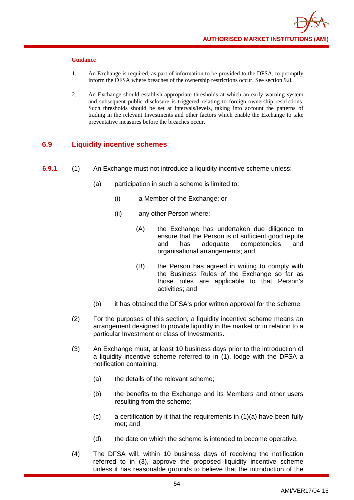- 1. An Exchange is required, as part of information to be provided to the DFSA, to promptly inform the DFSA where breaches of the ownership restrictions occur. See section 9.8.
- 2. An Exchange should establish appropriate thresholds at which an early warning system and subsequent public disclosure is triggered relating to foreign ownership restrictions. Such thresholds should be set at intervals/levels, taking into account the patterns of trading in the relevant Investments and other factors which enable the Exchange to take preventative measures before the breaches occur.

# **6.9 Liquidity incentive schemes**

- **6.9.1** (1) An Exchange must not introduce a liquidity incentive scheme unless:
	- (a) participation in such a scheme is limited to:
		- (i) a Member of the Exchange; or
		- (ii) any other Person where:
			- (A) the Exchange has undertaken due diligence to ensure that the Person is of sufficient good repute and has adequate competencies and organisational arrangements; and
			- (B) the Person has agreed in writing to comply with the Business Rules of the Exchange so far as those rules are applicable to that Person's activities; and
	- (b) it has obtained the DFSA's prior written approval for the scheme.
	- (2) For the purposes of this section, a liquidity incentive scheme means an arrangement designed to provide liquidity in the market or in relation to a particular Investment or class of Investments.
	- (3) An Exchange must, at least 10 business days prior to the introduction of a liquidity incentive scheme referred to in (1), lodge with the DFSA a notification containing:
		- (a) the details of the relevant scheme;
		- (b) the benefits to the Exchange and its Members and other users resulting from the scheme;
		- $(c)$  a certification by it that the requirements in  $(1)(a)$  have been fully met; and
		- (d) the date on which the scheme is intended to become operative.
	- (4) The DFSA will, within 10 business days of receiving the notification referred to in (3), approve the proposed liquidity incentive scheme unless it has reasonable grounds to believe that the introduction of the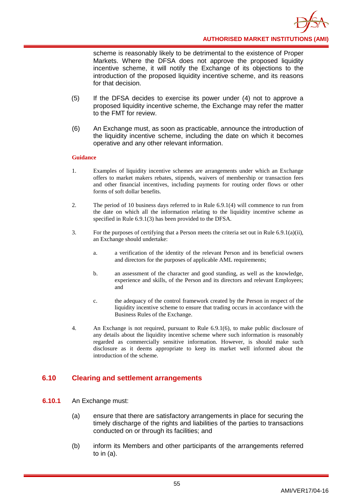**AUTHORISED MARKET INSTITUTIONS (AMI)**

scheme is reasonably likely to be detrimental to the existence of Proper Markets. Where the DFSA does not approve the proposed liquidity incentive scheme, it will notify the Exchange of its objections to the introduction of the proposed liquidity incentive scheme, and its reasons for that decision.

- (5) If the DFSA decides to exercise its power under (4) not to approve a proposed liquidity incentive scheme, the Exchange may refer the matter to the FMT for review.
- (6) An Exchange must, as soon as practicable, announce the introduction of the liquidity incentive scheme, including the date on which it becomes operative and any other relevant information.

### **Guidance**

- 1. Examples of liquidity incentive schemes are arrangements under which an Exchange offers to market makers rebates, stipends, waivers of membership or transaction fees and other financial incentives, including payments for routing order flows or other forms of soft dollar benefits.
- 2. The period of 10 business days referred to in Rule 6.9.1(4) will commence to run from the date on which all the information relating to the liquidity incentive scheme as specified in Rule 6.9.1(3) has been provided to the DFSA.
- 3. For the purposes of certifying that a Person meets the criteria set out in Rule 6.9.1(a)(ii), an Exchange should undertake:
	- a. a verification of the identity of the relevant Person and its beneficial owners and directors for the purposes of applicable AML requirements;
	- b. an assessment of the character and good standing, as well as the knowledge, experience and skills, of the Person and its directors and relevant Employees; and
	- c. the adequacy of the control framework created by the Person in respect of the liquidity incentive scheme to ensure that trading occurs in accordance with the Business Rules of the Exchange.
- 4. An Exchange is not required, pursuant to Rule 6.9.1(6), to make public disclosure of any details about the liquidity incentive scheme where such information is reasonably regarded as commercially sensitive information. However, is should make such disclosure as it deems appropriate to keep its market well informed about the introduction of the scheme.

## **6.10 Clearing and settlement arrangements**

- **6.10.1** An Exchange must:
	- (a) ensure that there are satisfactory arrangements in place for securing the timely discharge of the rights and liabilities of the parties to transactions conducted on or through its facilities; and
	- (b) inform its Members and other participants of the arrangements referred to in (a).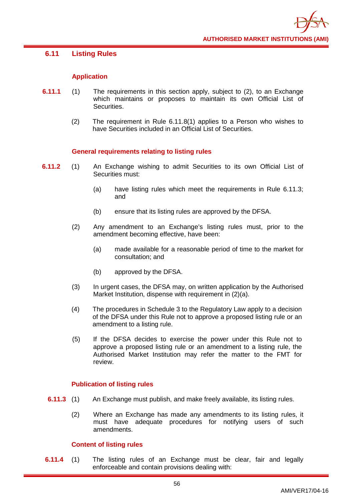## **6.11 Listing Rules**

## **Application**

- **6.11.1** (1) The requirements in this section apply, subject to (2), to an Exchange which maintains or proposes to maintain its own Official List of Securities.
	- (2) The requirement in Rule 6.11.8(1) applies to a Person who wishes to have Securities included in an Official List of Securities.

## **General requirements relating to listing rules**

- **6.11.2** (1) An Exchange wishing to admit Securities to its own Official List of Securities must:
	- (a) have listing rules which meet the requirements in Rule 6.11.3; and
	- (b) ensure that its listing rules are approved by the DFSA.
	- (2) Any amendment to an Exchange's listing rules must, prior to the amendment becoming effective, have been:
		- (a) made available for a reasonable period of time to the market for consultation; and
		- (b) approved by the DFSA.
	- (3) In urgent cases, the DFSA may, on written application by the Authorised Market Institution, dispense with requirement in (2)(a).
	- (4) The procedures in Schedule 3 to the Regulatory Law apply to a decision of the DFSA under this Rule not to approve a proposed listing rule or an amendment to a listing rule.
	- (5) If the DFSA decides to exercise the power under this Rule not to approve a proposed listing rule or an amendment to a listing rule, the Authorised Market Institution may refer the matter to the FMT for review.

### **Publication of listing rules**

- **6.11.3** (1) An Exchange must publish, and make freely available, its listing rules.
	- (2) Where an Exchange has made any amendments to its listing rules, it must have adequate procedures for notifying users of such amendments.

### **Content of listing rules**

**6.11.4** (1) The listing rules of an Exchange must be clear, fair and legally enforceable and contain provisions dealing with: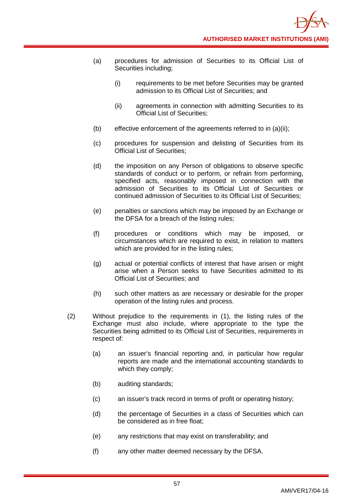- (a) procedures for admission of Securities to its Official List of Securities including;
	- (i) requirements to be met before Securities may be granted admission to its Official List of Securities; and
	- (ii) agreements in connection with admitting Securities to its Official List of Securities;
- (b) effective enforcement of the agreements referred to in (a)(ii);
- (c) procedures for suspension and delisting of Securities from its Official List of Securities;
- (d) the imposition on any Person of obligations to observe specific standards of conduct or to perform, or refrain from performing, specified acts, reasonably imposed in connection with the admission of Securities to its Official List of Securities or continued admission of Securities to its Official List of Securities;
- (e) penalties or sanctions which may be imposed by an Exchange or the DFSA for a breach of the listing rules;
- (f) procedures or conditions which may be imposed, or circumstances which are required to exist, in relation to matters which are provided for in the listing rules;
- (g) actual or potential conflicts of interest that have arisen or might arise when a Person seeks to have Securities admitted to its Official List of Securities; and
- (h) such other matters as are necessary or desirable for the proper operation of the listing rules and process.
- (2) Without prejudice to the requirements in (1), the listing rules of the Exchange must also include, where appropriate to the type the Securities being admitted to its Official List of Securities, requirements in respect of:
	- (a) an issuer's financial reporting and, in particular how regular reports are made and the international accounting standards to which they comply;
	- (b) auditing standards;
	- (c) an issuer's track record in terms of profit or operating history;
	- (d) the percentage of Securities in a class of Securities which can be considered as in free float;
	- (e) any restrictions that may exist on transferability; and
	- (f) any other matter deemed necessary by the DFSA.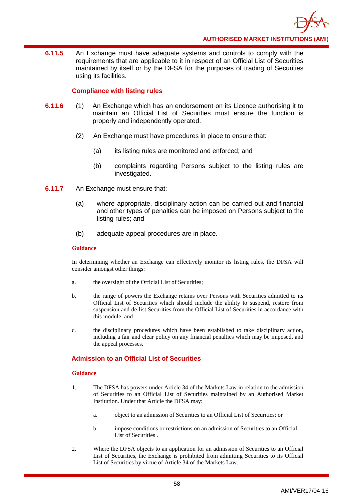

**6.11.5** An Exchange must have adequate systems and controls to comply with the requirements that are applicable to it in respect of an Official List of Securities maintained by itself or by the DFSA for the purposes of trading of Securities using its facilities.

## **Compliance with listing rules**

- **6.11.6** (1) An Exchange which has an endorsement on its Licence authorising it to maintain an Official List of Securities must ensure the function is properly and independently operated.
	- (2) An Exchange must have procedures in place to ensure that:
		- (a) its listing rules are monitored and enforced; and
		- (b) complaints regarding Persons subject to the listing rules are investigated.
- **6.11.7** An Exchange must ensure that:
	- (a) where appropriate, disciplinary action can be carried out and financial and other types of penalties can be imposed on Persons subject to the listing rules; and
	- (b) adequate appeal procedures are in place.

### **Guidance**

In determining whether an Exchange can effectively monitor its listing rules, the DFSA will consider amongst other things:

- a. the oversight of the Official List of Securities;
- b. the range of powers the Exchange retains over Persons with Securities admitted to its Official List of Securities which should include the ability to suspend, restore from suspension and de-list Securities from the Official List of Securities in accordance with this module; and
- c. the disciplinary procedures which have been established to take disciplinary action, including a fair and clear policy on any financial penalties which may be imposed, and the appeal processes.

## **Admission to an Official List of Securities**

- 1. The DFSA has powers under Article 34 of the Markets Law in relation to the admission of Securities to an Official List of Securities maintained by an Authorised Market Institution. Under that Article the DFSA may:
	- a. object to an admission of Securities to an Official List of Securities; or
	- b. impose conditions or restrictions on an admission of Securities to an Official List of Securities .
- 2. Where the DFSA objects to an application for an admission of Securities to an Official List of Securities, the Exchange is prohibited from admitting Securities to its Official List of Securities by virtue of Article 34 of the Markets Law.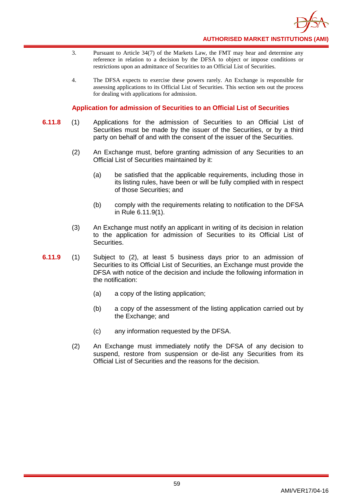

- 3. Pursuant to Article 34(7) of the Markets Law, the FMT may hear and determine any reference in relation to a decision by the DFSA to object or impose conditions or restrictions upon an admittance of Securities to an Official List of Securities.
- 4. The DFSA expects to exercise these powers rarely. An Exchange is responsible for assessing applications to its Official List of Securities. This section sets out the process for dealing with applications for admission.

## **Application for admission of Securities to an Official List of Securities**

- **6.11.8** (1) Applications for the admission of Securities to an Official List of Securities must be made by the issuer of the Securities, or by a third party on behalf of and with the consent of the issuer of the Securities.
	- (2) An Exchange must, before granting admission of any Securities to an Official List of Securities maintained by it:
		- (a) be satisfied that the applicable requirements, including those in its listing rules, have been or will be fully complied with in respect of those Securities; and
		- (b) comply with the requirements relating to notification to the DFSA in Rule 6.11.9(1).
	- (3) An Exchange must notify an applicant in writing of its decision in relation to the application for admission of Securities to its Official List of Securities.
- **6.11.9** (1) Subject to (2), at least 5 business days prior to an admission of Securities to its Official List of Securities, an Exchange must provide the DFSA with notice of the decision and include the following information in the notification:
	- (a) a copy of the listing application;
	- (b) a copy of the assessment of the listing application carried out by the Exchange; and
	- (c) any information requested by the DFSA.
	- (2) An Exchange must immediately notify the DFSA of any decision to suspend, restore from suspension or de-list any Securities from its Official List of Securities and the reasons for the decision.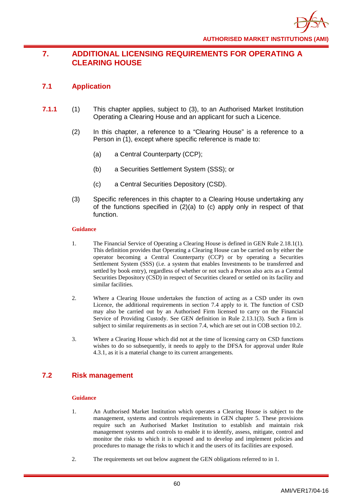# **7. ADDITIONAL LICENSING REQUIREMENTS FOR OPERATING A CLEARING HOUSE**

# **7.1 Application**

- **7.1.1** (1) This chapter applies, subject to (3), to an Authorised Market Institution Operating a Clearing House and an applicant for such a Licence.
	- (2) In this chapter, a reference to a "Clearing House" is a reference to a Person in (1), except where specific reference is made to:
		- (a) a Central Counterparty (CCP);
		- (b) a Securities Settlement System (SSS); or
		- (c) a Central Securities Depository (CSD).
	- (3) Specific references in this chapter to a Clearing House undertaking any of the functions specified in (2)(a) to (c) apply only in respect of that function.

### **Guidance**

- 1. The Financial Service of Operating a Clearing House is defined in GEN Rule 2.18.1(1). This definition provides that Operating a Clearing House can be carried on by either the operator becoming a Central Counterparty (CCP) or by operating a Securities Settlement System (SSS) (i.e. a system that enables Investments to be transferred and settled by book entry), regardless of whether or not such a Person also acts as a Central Securities Depository (CSD) in respect of Securities cleared or settled on its facility and similar facilities.
- 2. Where a Clearing House undertakes the function of acting as a CSD under its own Licence, the additional requirements in section 7.4 apply to it. The function of CSD may also be carried out by an Authorised Firm licensed to carry on the Financial Service of Providing Custody. See GEN definition in Rule 2.13.1(3). Such a firm is subject to similar requirements as in section 7.4, which are set out in COB section 10.2.
- 3. Where a Clearing House which did not at the time of licensing carry on CSD functions wishes to do so subsequently, it needs to apply to the DFSA for approval under Rule 4.3.1, as it is a material change to its current arrangements.

# **7.2 Risk management**

- 1. An Authorised Market Institution which operates a Clearing House is subject to the management, systems and controls requirements in GEN chapter 5. These provisions require such an Authorised Market Institution to establish and maintain risk management systems and controls to enable it to identify, assess, mitigate, control and monitor the risks to which it is exposed and to develop and implement policies and procedures to manage the risks to which it and the users of its facilities are exposed.
- 2. The requirements set out below augment the GEN obligations referred to in 1.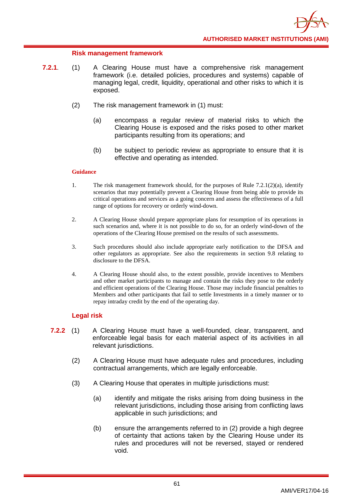## **Risk management framework**

- **7.2.1**. (1) A Clearing House must have a comprehensive risk management framework (i.e. detailed policies, procedures and systems) capable of managing legal, credit, liquidity, operational and other risks to which it is exposed.
	- (2) The risk management framework in (1) must:
		- (a) encompass a regular review of material risks to which the Clearing House is exposed and the risks posed to other market participants resulting from its operations; and
		- (b) be subject to periodic review as appropriate to ensure that it is effective and operating as intended.

### **Guidance**

- 1. The risk management framework should, for the purposes of Rule  $7.2.1(2)(a)$ , identify scenarios that may potentially prevent a Clearing House from being able to provide its critical operations and services as a going concern and assess the effectiveness of a full range of options for recovery or orderly wind-down.
- 2. A Clearing House should prepare appropriate plans for resumption of its operations in such scenarios and, where it is not possible to do so, for an orderly wind-down of the operations of the Clearing House premised on the results of such assessments.
- 3. Such procedures should also include appropriate early notification to the DFSA and other regulators as appropriate. See also the requirements in section 9.8 relating to disclosure to the DFSA.
- 4. A Clearing House should also, to the extent possible, provide incentives to Members and other market participants to manage and contain the risks they pose to the orderly and efficient operations of the Clearing House. Those may include financial penalties to Members and other participants that fail to settle Investments in a timely manner or to repay intraday credit by the end of the operating day.

## **Legal risk**

- **7.2.2** (1) A Clearing House must have a well-founded, clear, transparent, and enforceable legal basis for each material aspect of its activities in all relevant jurisdictions.
	- (2) A Clearing House must have adequate rules and procedures, including contractual arrangements, which are legally enforceable.
	- (3) A Clearing House that operates in multiple jurisdictions must:
		- (a) identify and mitigate the risks arising from doing business in the relevant jurisdictions, including those arising from conflicting laws applicable in such jurisdictions; and
		- (b) ensure the arrangements referred to in (2) provide a high degree of certainty that actions taken by the Clearing House under its rules and procedures will not be reversed, stayed or rendered void.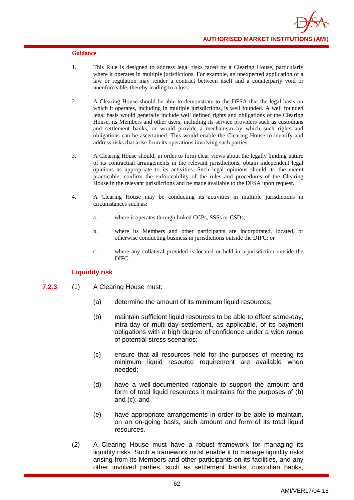- 1. This Rule is designed to address legal risks faced by a Clearing House, particularly where it operates in multiple jurisdictions. For example, an unexpected application of a law or regulation may render a contract between itself and a counterparty void or unenforceable, thereby leading to a loss.
- 2. A Clearing House should be able to demonstrate to the DFSA that the legal basis on which it operates, including in multiple jurisdictions, is well founded. A well founded legal basis would generally include well defined rights and obligations of the Clearing House, its Members and other users, including its service providers such as custodians and settlement banks, or would provide a mechanism by which such rights and obligations can be ascertained. This would enable the Clearing House to identify and address risks that arise from its operations involving such parties.
- 3. A Clearing House should, in order to form clear views about the legally binding nature of its contractual arrangements in the relevant jurisdictions, obtain independent legal opinions as appropriate to its activities. Such legal opinions should, to the extent practicable, confirm the enforceability of the rules and procedures of the Clearing House in the relevant jurisdictions and be made available to the DFSA upon request.
- 4. A Clearing House may be conducting its activities in multiple jurisdictions in circumstances such as:
	- a. where it operates through linked CCPs, SSSs or CSDs;
	- b. where its Members and other participants are incorporated, located, or otherwise conducting business in jurisdictions outside the DIFC; or
	- c. where any collateral provided is located or held in a jurisdiction outside the DIFC.

## **Liquidity risk**

- **7.2.3** (1) A Clearing House must:
	- (a) determine the amount of its minimum liquid resources;
	- (b) maintain sufficient liquid resources to be able to effect same-day, intra-day or multi-day settlement, as applicable, of its payment obligations with a high degree of confidence under a wide range of potential stress scenarios;
	- (c) ensure that all resources held for the purposes of meeting its minimum liquid resource requirement are available when needed;
	- (d) have a well-documented rationale to support the amount and form of total liquid resources it maintains for the purposes of (b) and (c); and
	- (e) have appropriate arrangements in order to be able to maintain, on an on-going basis, such amount and form of its total liquid resources.
	- (2) A Clearing House must have a robust framework for managing its liquidity risks. Such a framework must enable it to manage liquidity risks arising from its Members and other participants on its facilities, and any other involved parties, such as settlement banks, custodian banks,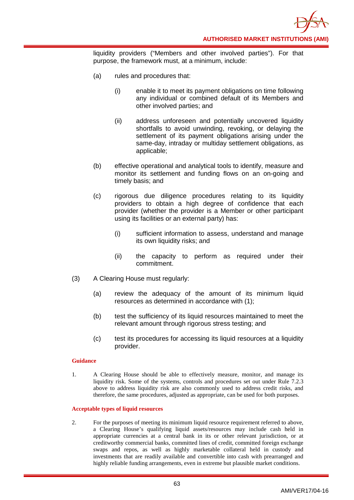

liquidity providers ("Members and other involved parties"). For that purpose, the framework must, at a minimum, include:

- (a) rules and procedures that:
	- (i) enable it to meet its payment obligations on time following any individual or combined default of its Members and other involved parties; and
	- (ii) address unforeseen and potentially uncovered liquidity shortfalls to avoid unwinding, revoking, or delaying the settlement of its payment obligations arising under the same-day, intraday or multiday settlement obligations, as applicable;
- (b) effective operational and analytical tools to identify, measure and monitor its settlement and funding flows on an on-going and timely basis; and
- (c) rigorous due diligence procedures relating to its liquidity providers to obtain a high degree of confidence that each provider (whether the provider is a Member or other participant using its facilities or an external party) has:
	- (i) sufficient information to assess, understand and manage its own liquidity risks; and
	- (ii) the capacity to perform as required under their commitment.
- (3) A Clearing House must regularly:
	- (a) review the adequacy of the amount of its minimum liquid resources as determined in accordance with (1);
	- (b) test the sufficiency of its liquid resources maintained to meet the relevant amount through rigorous stress testing; and
	- (c) test its procedures for accessing its liquid resources at a liquidity provider.

### **Guidance**

1. A Clearing House should be able to effectively measure, monitor, and manage its liquidity risk. Some of the systems, controls and procedures set out under Rule 7.2.3 above to address liquidity risk are also commonly used to address credit risks, and therefore, the same procedures, adjusted as appropriate, can be used for both purposes.

#### **Acceptable types of liquid resources**

2. For the purposes of meeting its minimum liquid resource requirement referred to above, a Clearing House's qualifying liquid assets/resources may include cash held in appropriate currencies at a central bank in its or other relevant jurisdiction, or at creditworthy commercial banks, committed lines of credit, committed foreign exchange swaps and repos, as well as highly marketable collateral held in custody and investments that are readily available and convertible into cash with prearranged and highly reliable funding arrangements, even in extreme but plausible market conditions.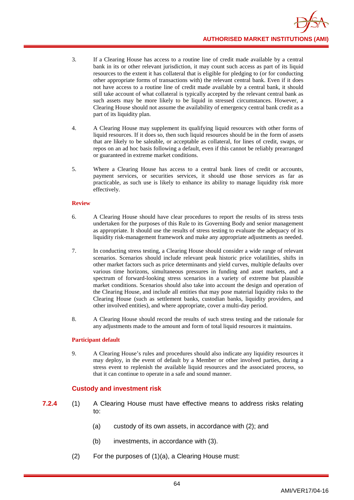- 3. If a Clearing House has access to a routine line of credit made available by a central bank in its or other relevant jurisdiction, it may count such access as part of its liquid resources to the extent it has collateral that is eligible for pledging to (or for conducting other appropriate forms of transactions with) the relevant central bank. Even if it does not have access to a routine line of credit made available by a central bank, it should still take account of what collateral is typically accepted by the relevant central bank as such assets may be more likely to be liquid in stressed circumstances. However, a Clearing House should not assume the availability of emergency central bank credit as a part of its liquidity plan.
- 4. A Clearing House may supplement its qualifying liquid resources with other forms of liquid resources. If it does so, then such liquid resources should be in the form of assets that are likely to be saleable, or acceptable as collateral, for lines of credit, swaps, or repos on an ad hoc basis following a default, even if this cannot be reliably prearranged or guaranteed in extreme market conditions.
- 5. Where a Clearing House has access to a central bank lines of credit or accounts, payment services, or securities services, it should use those services as far as practicable, as such use is likely to enhance its ability to manage liquidity risk more effectively.

### **Review**

- 6. A Clearing House should have clear procedures to report the results of its stress tests undertaken for the purposes of this Rule to its Governing Body and senior management as appropriate. It should use the results of stress testing to evaluate the adequacy of its liquidity risk-management framework and make any appropriate adjustments as needed.
- 7. In conducting stress testing, a Clearing House should consider a wide range of relevant scenarios. Scenarios should include relevant peak historic price volatilities, shifts in other market factors such as price determinants and yield curves, multiple defaults over various time horizons, simultaneous pressures in funding and asset markets, and a spectrum of forward-looking stress scenarios in a variety of extreme but plausible market conditions. Scenarios should also take into account the design and operation of the Clearing House, and include all entities that may pose material liquidity risks to the Clearing House (such as settlement banks, custodian banks, liquidity providers, and other involved entities), and where appropriate, cover a multi-day period.
- 8. A Clearing House should record the results of such stress testing and the rationale for any adjustments made to the amount and form of total liquid resources it maintains.

### **Participant default**

9. A Clearing House's rules and procedures should also indicate any liquidity resources it may deploy, in the event of default by a Member or other involved parties, during a stress event to replenish the available liquid resources and the associated process, so that it can continue to operate in a safe and sound manner.

## **Custody and investment risk**

- **7.2.4** (1) A Clearing House must have effective means to address risks relating to:
	- (a) custody of its own assets, in accordance with (2); and
	- (b) investments, in accordance with (3).
	- (2) For the purposes of (1)(a), a Clearing House must: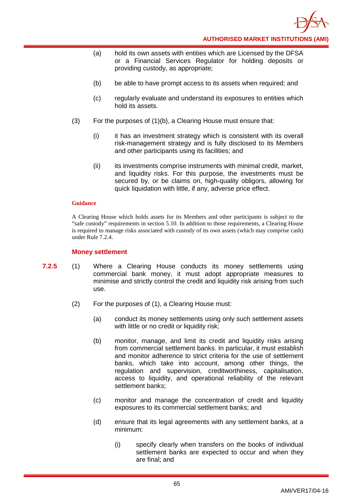

- (a) hold its own assets with entities which are Licensed by the DFSA or a Financial Services Regulator for holding deposits or providing custody, as appropriate;
- (b) be able to have prompt access to its assets when required; and
- (c) regularly evaluate and understand its exposures to entities which hold its assets.
- (3) For the purposes of (1)(b), a Clearing House must ensure that:
	- (i) it has an investment strategy which is consistent with its overall risk-management strategy and is fully disclosed to its Members and other participants using its facilities; and
	- (ii) its investments comprise instruments with minimal credit, market, and liquidity risks. For this purpose, the investments must be secured by, or be claims on, high-quality obligors, allowing for quick liquidation with little, if any, adverse price effect.

A Clearing House which holds assets for its Members and other participants is subject to the "safe custody" requirements in section 5.10. In addition to those requirements, a Clearing House is required to manage risks associated with custody of its own assets (which may comprise cash) under Rule 7.2.4.

### **Money settlement**

- **7.2.5** (1) Where a Clearing House conducts its money settlements using commercial bank money, it must adopt appropriate measures to minimise and strictly control the credit and liquidity risk arising from such use.
	- (2) For the purposes of (1), a Clearing House must:
		- (a) conduct its money settlements using only such settlement assets with little or no credit or liquidity risk;
		- (b) monitor, manage, and limit its credit and liquidity risks arising from commercial settlement banks. In particular, it must establish and monitor adherence to strict criteria for the use of settlement banks, which take into account, among other things, the regulation and supervision, creditworthiness, capitalisation, access to liquidity, and operational reliability of the relevant settlement banks;
		- (c) monitor and manage the concentration of credit and liquidity exposures to its commercial settlement banks; and
		- (d) ensure that its legal agreements with any settlement banks, at a minimum:
			- (i) specify clearly when transfers on the books of individual settlement banks are expected to occur and when they are final; and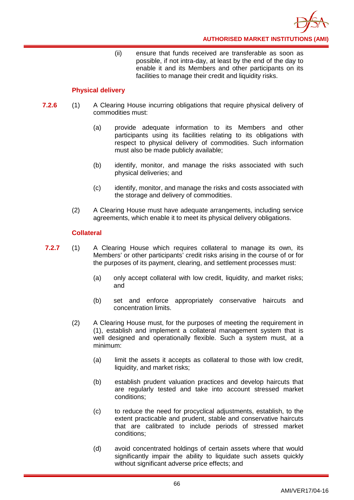(ii) ensure that funds received are transferable as soon as possible, if not intra-day, at least by the end of the day to enable it and its Members and other participants on its facilities to manage their credit and liquidity risks.

## **Physical delivery**

- **7.2.6** (1) A Clearing House incurring obligations that require physical delivery of commodities must:
	- (a) provide adequate information to its Members and other participants using its facilities relating to its obligations with respect to physical delivery of commodities. Such information must also be made publicly available;
	- (b) identify, monitor, and manage the risks associated with such physical deliveries; and
	- (c) identify, monitor, and manage the risks and costs associated with the storage and delivery of commodities.
	- (2) A Clearing House must have adequate arrangements, including service agreements, which enable it to meet its physical delivery obligations.

## **Collateral**

- **7.2.7** (1) A Clearing House which requires collateral to manage its own, its Members' or other participants' credit risks arising in the course of or for the purposes of its payment, clearing, and settlement processes must:
	- (a) only accept collateral with low credit, liquidity, and market risks; and
	- (b) set and enforce appropriately conservative haircuts and concentration limits.
	- (2) A Clearing House must, for the purposes of meeting the requirement in (1), establish and implement a collateral management system that is well designed and operationally flexible. Such a system must, at a minimum:
		- (a) limit the assets it accepts as collateral to those with low credit, liquidity, and market risks;
		- (b) establish prudent valuation practices and develop haircuts that are regularly tested and take into account stressed market conditions;
		- (c) to reduce the need for procyclical adjustments, establish, to the extent practicable and prudent, stable and conservative haircuts that are calibrated to include periods of stressed market conditions;
		- (d) avoid concentrated holdings of certain assets where that would significantly impair the ability to liquidate such assets quickly without significant adverse price effects; and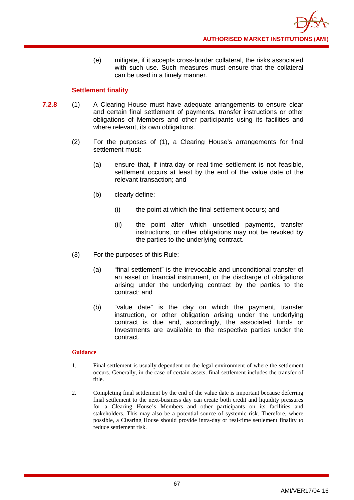(e) mitigate, if it accepts cross-border collateral, the risks associated with such use. Such measures must ensure that the collateral can be used in a timely manner.

## **Settlement finality**

- **7.2.8** (1) A Clearing House must have adequate arrangements to ensure clear and certain final settlement of payments, transfer instructions or other obligations of Members and other participants using its facilities and where relevant, its own obligations.
	- (2) For the purposes of (1), a Clearing House's arrangements for final settlement must:
		- (a) ensure that, if intra-day or real-time settlement is not feasible, settlement occurs at least by the end of the value date of the relevant transaction; and
		- (b) clearly define:
			- (i) the point at which the final settlement occurs; and
			- (ii) the point after which unsettled payments, transfer instructions, or other obligations may not be revoked by the parties to the underlying contract.
	- (3) For the purposes of this Rule:
		- (a) "final settlement" is the irrevocable and unconditional transfer of an asset or financial instrument, or the discharge of obligations arising under the underlying contract by the parties to the contract; and
		- (b) "value date" is the day on which the payment, transfer instruction, or other obligation arising under the underlying contract is due and, accordingly, the associated funds or Investments are available to the respective parties under the contract.

- 1. Final settlement is usually dependent on the legal environment of where the settlement occurs. Generally, in the case of certain assets, final settlement includes the transfer of title.
- 2. Completing final settlement by the end of the value date is important because deferring final settlement to the next-business day can create both credit and liquidity pressures for a Clearing House's Members and other participants on its facilities and stakeholders. This may also be a potential source of systemic risk. Therefore, where possible, a Clearing House should provide intra-day or real-time settlement finality to reduce settlement risk.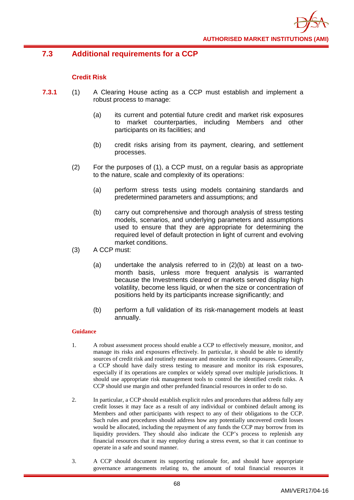

# **7.3 Additional requirements for a CCP**

## **Credit Risk**

- **7.3.1** (1) A Clearing House acting as a CCP must establish and implement a robust process to manage:
	- (a) its current and potential future credit and market risk exposures to market counterparties, including Members and other participants on its facilities; and
	- (b) credit risks arising from its payment, clearing, and settlement processes.
	- (2) For the purposes of (1), a CCP must, on a regular basis as appropriate to the nature, scale and complexity of its operations:
		- (a) perform stress tests using models containing standards and predetermined parameters and assumptions; and
		- (b) carry out comprehensive and thorough analysis of stress testing models, scenarios, and underlying parameters and assumptions used to ensure that they are appropriate for determining the required level of default protection in light of current and evolving market conditions.
	- (3) A CCP must:
		- (a) undertake the analysis referred to in (2)(b) at least on a twomonth basis, unless more frequent analysis is warranted because the Investments cleared or markets served display high volatility, become less liquid, or when the size or concentration of positions held by its participants increase significantly; and
		- (b) perform a full validation of its risk-management models at least annually.

- 1. A robust assessment process should enable a CCP to effectively measure, monitor, and manage its risks and exposures effectively. In particular, it should be able to identify sources of credit risk and routinely measure and monitor its credit exposures. Generally, a CCP should have daily stress testing to measure and monitor its risk exposures, especially if its operations are complex or widely spread over multiple jurisdictions. It should use appropriate risk management tools to control the identified credit risks. A CCP should use margin and other prefunded financial resources in order to do so.
- 2. In particular, a CCP should establish explicit rules and procedures that address fully any credit losses it may face as a result of any individual or combined default among its Members and other participants with respect to any of their obligations to the CCP. Such rules and procedures should address how any potentially uncovered credit losses would be allocated, including the repayment of any funds the CCP may borrow from its liquidity providers. They should also indicate the CCP's process to replenish any financial resources that it may employ during a stress event, so that it can continue to operate in a safe and sound manner.
- 3. A CCP should document its supporting rationale for, and should have appropriate governance arrangements relating to, the amount of total financial resources it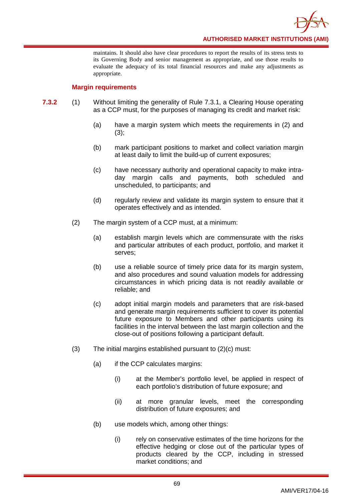**AUTHORISED MARKET INSTITUTIONS (AMI)**

maintains. It should also have clear procedures to report the results of its stress tests to its Governing Body and senior management as appropriate, and use those results to evaluate the adequacy of its total financial resources and make any adjustments as appropriate.

### **Margin requirements**

- **7.3.2** (1) Without limiting the generality of Rule 7.3.1, a Clearing House operating as a CCP must, for the purposes of managing its credit and market risk:
	- (a) have a margin system which meets the requirements in (2) and  $(3);$
	- (b) mark participant positions to market and collect variation margin at least daily to limit the build-up of current exposures;
	- (c) have necessary authority and operational capacity to make intraday margin calls and payments, both scheduled and unscheduled, to participants; and
	- (d) regularly review and validate its margin system to ensure that it operates effectively and as intended.
	- (2) The margin system of a CCP must, at a minimum:
		- (a) establish margin levels which are commensurate with the risks and particular attributes of each product, portfolio, and market it serves;
		- (b) use a reliable source of timely price data for its margin system, and also procedures and sound valuation models for addressing circumstances in which pricing data is not readily available or reliable; and
		- (c) adopt initial margin models and parameters that are risk-based and generate margin requirements sufficient to cover its potential future exposure to Members and other participants using its facilities in the interval between the last margin collection and the close-out of positions following a participant default.
	- (3) The initial margins established pursuant to (2)(c) must:
		- (a) if the CCP calculates margins:
			- (i) at the Member's portfolio level, be applied in respect of each portfolio's distribution of future exposure; and
			- (ii) at more granular levels, meet the corresponding distribution of future exposures; and
		- (b) use models which, among other things:
			- (i) rely on conservative estimates of the time horizons for the effective hedging or close out of the particular types of products cleared by the CCP, including in stressed market conditions; and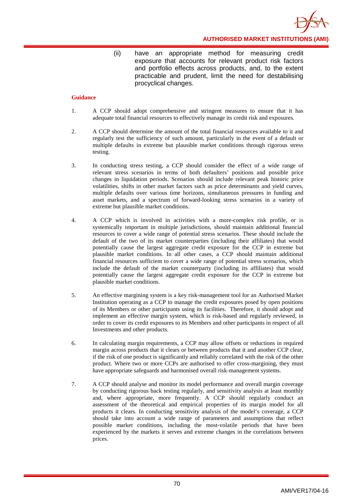

(ii) have an appropriate method for measuring credit exposure that accounts for relevant product risk factors and portfolio effects across products, and, to the extent practicable and prudent, limit the need for destabilising procyclical changes.

- 1. A CCP should adopt comprehensive and stringent measures to ensure that it has adequate total financial resources to effectively manage its credit risk and exposures.
- 2. A CCP should determine the amount of the total financial resources available to it and regularly test the sufficiency of such amount, particularly in the event of a default or multiple defaults in extreme but plausible market conditions through rigorous stress testing.
- 3. In conducting stress testing, a CCP should consider the effect of a wide range of relevant stress scenarios in terms of both defaulters' positions and possible price changes in liquidation periods. Scenarios should include relevant peak historic price volatilities, shifts in other market factors such as price determinants and yield curves, multiple defaults over various time horizons, simultaneous pressures in funding and asset markets, and a spectrum of forward-looking stress scenarios in a variety of extreme but plausible market conditions.
- 4. A CCP which is involved in activities with a more-complex risk profile, or is systemically important in multiple jurisdictions, should maintain additional financial resources to cover a wide range of potential stress scenarios. These should include the default of the two of its market counterparties (including their affiliates) that would potentially cause the largest aggregate credit exposure for the CCP in extreme but plausible market conditions. In all other cases, a CCP should maintain additional financial resources sufficient to cover a wide range of potential stress scenarios, which include the default of the market counterparty (including its affiliates) that would potentially cause the largest aggregate credit exposure for the CCP in extreme but plausible market conditions.
- 5. An effective margining system is a key risk-management tool for an Authorised Market Institution operating as a CCP to manage the credit exposures posed by open positions of its Members or other participants using its facilities. Therefore, it should adopt and implement an effective margin system, which is risk-based and regularly reviewed, in order to cover its credit exposures to its Members and other participants in respect of all Investments and other products.
- 6. In calculating margin requirements, a CCP may allow offsets or reductions in required margin across products that it clears or between products that it and another CCP clear, if the risk of one product is significantly and reliably correlated with the risk of the other product. Where two or more CCPs are authorised to offer cross-margining, they must have appropriate safeguards and harmonised overall risk-management systems.
- 7. A CCP should analyse and monitor its model performance and overall margin coverage by conducting rigorous back testing regularly, and sensitivity analysis at least monthly and, where appropriate, more frequently. A CCP should regularly conduct an assessment of the theoretical and empirical properties of its margin model for all products it clears. In conducting sensitivity analysis of the model's coverage, a CCP should take into account a wide range of parameters and assumptions that reflect possible market conditions, including the most-volatile periods that have been experienced by the markets it serves and extreme changes in the correlations between prices.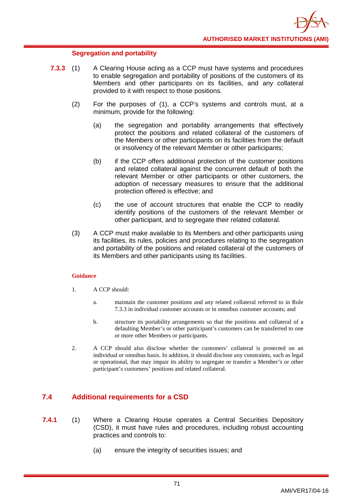### **Segregation and portability**

- **7.3.3** (1) A Clearing House acting as a CCP must have systems and procedures to enable segregation and portability of positions of the customers of its Members and other participants on its facilities, and any collateral provided to it with respect to those positions.
	- (2) For the purposes of (1), a CCP's systems and controls must, at a minimum, provide for the following:
		- (a) the segregation and portability arrangements that effectively protect the positions and related collateral of the customers of the Members or other participants on its facilities from the default or insolvency of the relevant Member or other participants;
		- (b) if the CCP offers additional protection of the customer positions and related collateral against the concurrent default of both the relevant Member or other participants or other customers, the adoption of necessary measures to ensure that the additional protection offered is effective; and
		- (c) the use of account structures that enable the CCP to readily identify positions of the customers of the relevant Member or other participant, and to segregate their related collateral.
	- (3) A CCP must make available to its Members and other participants using its facilities, its rules, policies and procedures relating to the segregation and portability of the positions and related collateral of the customers of its Members and other participants using its facilities.

### **Guidance**

- 1. A CCP should:
	- a. maintain the customer positions and any related collateral referred to in Rule 7.3.3 in individual customer accounts or in omnibus customer accounts; and
	- b. structure its portability arrangements so that the positions and collateral of a defaulting Member's or other participant's customers can be transferred to one or more other Members or participants.
- 2. A CCP should also disclose whether the customers' collateral is protected on an individual or omnibus basis. In addition, it should disclose any constraints, such as legal or operational, that may impair its ability to segregate or transfer a Member's or other participant's customers' positions and related collateral.

# **7.4 Additional requirements for a CSD**

- **7.4.1** (1) Where a Clearing House operates a Central Securities Depository (CSD), it must have rules and procedures, including robust accounting practices and controls to:
	- (a) ensure the integrity of securities issues; and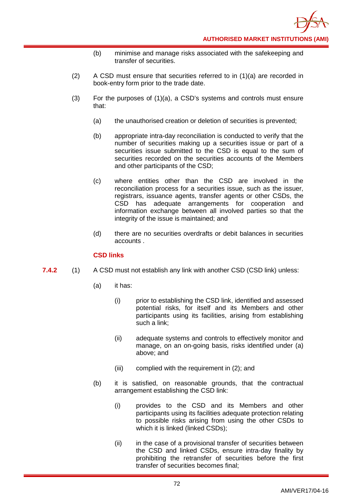- (b) minimise and manage risks associated with the safekeeping and transfer of securities.
- (2) A CSD must ensure that securities referred to in (1)(a) are recorded in book-entry form prior to the trade date.
- (3) For the purposes of (1)(a), a CSD's systems and controls must ensure that:
	- (a) the unauthorised creation or deletion of securities is prevented;
	- (b) appropriate intra-day reconciliation is conducted to verify that the number of securities making up a securities issue or part of a securities issue submitted to the CSD is equal to the sum of securities recorded on the securities accounts of the Members and other participants of the CSD;
	- (c) where entities other than the CSD are involved in the reconciliation process for a securities issue, such as the issuer, registrars, issuance agents, transfer agents or other CSDs, the CSD has adequate arrangements for cooperation and information exchange between all involved parties so that the integrity of the issue is maintained; and
	- (d) there are no securities overdrafts or debit balances in securities accounts .

### **CSD links**

- **7.4.2** (1) A CSD must not establish any link with another CSD (CSD link) unless:
	- (a) it has:
		- (i) prior to establishing the CSD link, identified and assessed potential risks, for itself and its Members and other participants using its facilities, arising from establishing such a link;
		- (ii) adequate systems and controls to effectively monitor and manage, on an on-going basis, risks identified under (a) above; and
		- (iii) complied with the requirement in (2); and
	- (b) it is satisfied, on reasonable grounds, that the contractual arrangement establishing the CSD link:
		- (i) provides to the CSD and its Members and other participants using its facilities adequate protection relating to possible risks arising from using the other CSDs to which it is linked (linked CSDs);
		- (ii) in the case of a provisional transfer of securities between the CSD and linked CSDs, ensure intra-day finality by prohibiting the retransfer of securities before the first transfer of securities becomes final;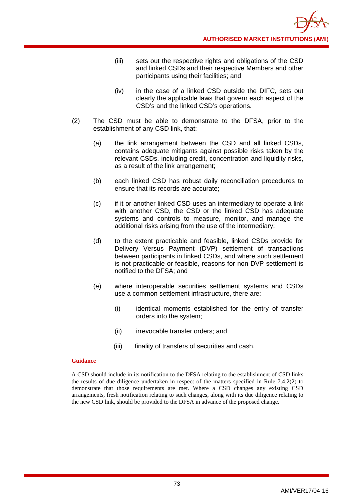- (iii) sets out the respective rights and obligations of the CSD and linked CSDs and their respective Members and other participants using their facilities; and
- (iv) in the case of a linked CSD outside the DIFC, sets out clearly the applicable laws that govern each aspect of the CSD's and the linked CSD's operations.
- (2) The CSD must be able to demonstrate to the DFSA, prior to the establishment of any CSD link, that:
	- (a) the link arrangement between the CSD and all linked CSDs, contains adequate mitigants against possible risks taken by the relevant CSDs, including credit, concentration and liquidity risks, as a result of the link arrangement;
	- (b) each linked CSD has robust daily reconciliation procedures to ensure that its records are accurate;
	- (c) if it or another linked CSD uses an intermediary to operate a link with another CSD, the CSD or the linked CSD has adequate systems and controls to measure, monitor, and manage the additional risks arising from the use of the intermediary;
	- (d) to the extent practicable and feasible, linked CSDs provide for Delivery Versus Payment (DVP) settlement of transactions between participants in linked CSDs, and where such settlement is not practicable or feasible, reasons for non-DVP settlement is notified to the DFSA; and
	- (e) where interoperable securities settlement systems and CSDs use a common settlement infrastructure, there are:
		- (i) identical moments established for the entry of transfer orders into the system;
		- (ii) irrevocable transfer orders; and
		- (iii) finality of transfers of securities and cash.

A CSD should include in its notification to the DFSA relating to the establishment of CSD links the results of due diligence undertaken in respect of the matters specified in Rule 7.4.2(2) to demonstrate that those requirements are met. Where a CSD changes any existing CSD arrangements, fresh notification relating to such changes, along with its due diligence relating to the new CSD link, should be provided to the DFSA in advance of the proposed change.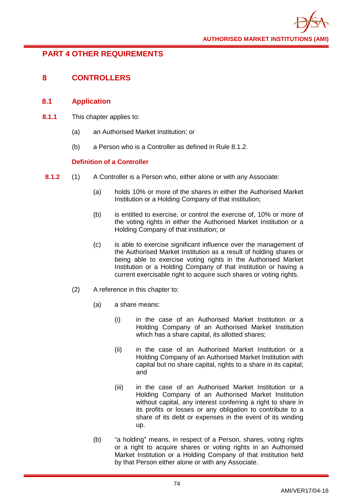# **PART 4 OTHER REQUIREMENTS**

# **8 CONTROLLERS**

# **8.1 Application**

- **8.1.1** This chapter applies to:
	- (a) an Authorised Market Institution; or
	- (b) a Person who is a Controller as defined in Rule 8.1.2.

# **Definition of a Controller**

- **8.1.2** (1) A Controller is a Person who, either alone or with any Associate:
	- (a) holds 10% or more of the shares in either the Authorised Market Institution or a Holding Company of that institution;
	- (b) is entitled to exercise, or control the exercise of, 10% or more of the voting rights in either the Authorised Market Institution or a Holding Company of that institution; or
	- (c) is able to exercise significant influence over the management of the Authorised Market Institution as a result of holding shares or being able to exercise voting rights in the Authorised Market Institution or a Holding Company of that institution or having a current exercisable right to acquire such shares or voting rights.
	- (2) A reference in this chapter to:
		- (a) a share means:
			- (i) in the case of an Authorised Market Institution or a Holding Company of an Authorised Market Institution which has a share capital, its allotted shares;
			- (ii) in the case of an Authorised Market Institution or a Holding Company of an Authorised Market Institution with capital but no share capital, rights to a share in its capital; and
			- (iii) in the case of an Authorised Market Institution or a Holding Company of an Authorised Market Institution without capital, any interest conferring a right to share in its profits or losses or any obligation to contribute to a share of its debt or expenses in the event of its winding up.
		- (b) "a holding" means, in respect of a Person, shares, voting rights or a right to acquire shares or voting rights in an Authorised Market Institution or a Holding Company of that institution held by that Person either alone or with any Associate.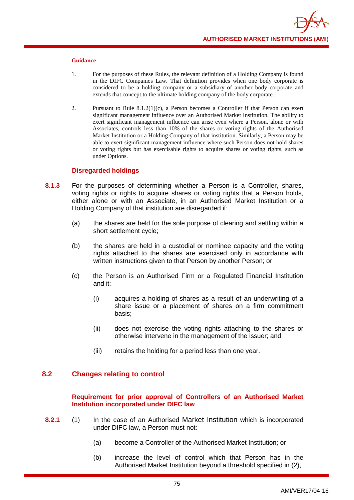- 1. For the purposes of these Rules, the relevant definition of a Holding Company is found in the DIFC Companies Law. That definition provides when one body corporate is considered to be a holding company or a subsidiary of another body corporate and extends that concept to the ultimate holding company of the body corporate.
- 2. Pursuant to Rule  $8.1.2(1)(c)$ , a Person becomes a Controller if that Person can exert significant management influence over an Authorised Market Institution. The ability to exert significant management influence can arise even where a Person, alone or with Associates, controls less than 10% of the shares or voting rights of the Authorised Market Institution or a Holding Company of that institution. Similarly, a Person may be able to exert significant management influence where such Person does not hold shares or voting rights but has exercisable rights to acquire shares or voting rights, such as under Options.

### **Disregarded holdings**

- **8.1.3** For the purposes of determining whether a Person is a Controller, shares, voting rights or rights to acquire shares or voting rights that a Person holds. either alone or with an Associate, in an Authorised Market Institution or a Holding Company of that institution are disregarded if:
	- (a) the shares are held for the sole purpose of clearing and settling within a short settlement cycle;
	- (b) the shares are held in a custodial or nominee capacity and the voting rights attached to the shares are exercised only in accordance with written instructions given to that Person by another Person; or
	- (c) the Person is an Authorised Firm or a Regulated Financial Institution and it:
		- (i) acquires a holding of shares as a result of an underwriting of a share issue or a placement of shares on a firm commitment basis;
		- (ii) does not exercise the voting rights attaching to the shares or otherwise intervene in the management of the issuer; and
		- (iii) retains the holding for a period less than one year.

# **8.2 Changes relating to control**

### **Requirement for prior approval of Controllers of an Authorised Market Institution incorporated under DIFC law**

- **8.2.1** (1) In the case of an Authorised Market Institution which is incorporated under DIFC law, a Person must not:
	- (a) become a Controller of the Authorised Market Institution; or
	- (b) increase the level of control which that Person has in the Authorised Market Institution beyond a threshold specified in (2),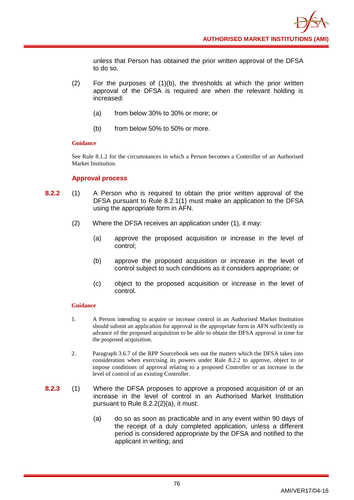unless that Person has obtained the prior written approval of the DFSA to do so.

- (2) For the purposes of (1)(b), the thresholds at which the prior written approval of the DFSA is required are when the relevant holding is increased:
	- (a) from below 30% to 30% or more; or
	- (b) from below 50% to 50% or more.

### **Guidance**

See Rule 8.1.2 for the circumstances in which a Person becomes a Controller of an Authorised Market Institution.

### **Approval process**

- **8.2.2** (1) A Person who is required to obtain the prior written approval of the DFSA pursuant to Rule 8.2.1(1) must make an application to the DFSA using the appropriate form in AFN.
	- (2) Where the DFSA receives an application under (1), it may:
		- (a) approve the proposed acquisition or increase in the level of control;
		- (b) approve the proposed acquisition or increase in the level of control subject to such conditions as it considers appropriate; or
		- (c) object to the proposed acquisition or increase in the level of control.

- 1. A Person intending to acquire or increase control in an Authorised Market Institution should submit an application for approval in the appropriate form in AFN sufficiently in advance of the proposed acquisition to be able to obtain the DFSA approval in time for the proposed acquisition.
- 2. Paragraph 3.6.7 of the RPP Sourcebook sets out the matters which the DFSA takes into consideration when exercising its powers under Rule 8.2.2 to approve, object to or impose conditions of approval relating to a proposed Controller or an increase in the level of control of an existing Controller.
- **8.2.3** (1) Where the DFSA proposes to approve a proposed acquisition of or an increase in the level of control in an Authorised Market Institution pursuant to Rule 8.2.2(2)(a), it must:
	- (a) do so as soon as practicable and in any event within 90 days of the receipt of a duly completed application, unless a different period is considered appropriate by the DFSA and notified to the applicant in writing; and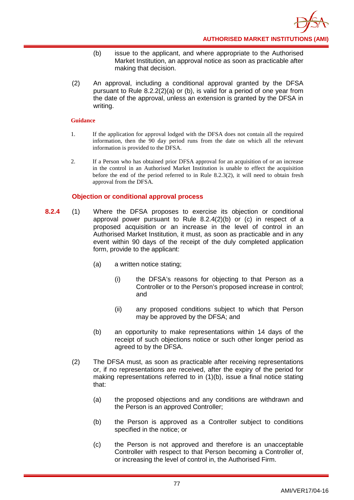- (b) issue to the applicant, and where appropriate to the Authorised Market Institution, an approval notice as soon as practicable after making that decision.
- (2) An approval, including a conditional approval granted by the DFSA pursuant to Rule 8.2.2(2)(a) or (b), is valid for a period of one year from the date of the approval, unless an extension is granted by the DFSA in writing.

- 1. If the application for approval lodged with the DFSA does not contain all the required information, then the 90 day period runs from the date on which all the relevant information is provided to the DFSA.
- 2. If a Person who has obtained prior DFSA approval for an acquisition of or an increase in the control in an Authorised Market Institution is unable to effect the acquisition before the end of the period referred to in Rule 8.2.3(2), it will need to obtain fresh approval from the DFSA.

# **Objection or conditional approval process**

- **8.2.4** (1) Where the DFSA proposes to exercise its objection or conditional approval power pursuant to Rule 8.2.4(2)(b) or (c) in respect of a proposed acquisition or an increase in the level of control in an Authorised Market Institution, it must, as soon as practicable and in any event within 90 days of the receipt of the duly completed application form, provide to the applicant:
	- (a) a written notice stating;
		- (i) the DFSA's reasons for objecting to that Person as a Controller or to the Person's proposed increase in control; and
		- (ii) any proposed conditions subject to which that Person may be approved by the DFSA; and
	- (b) an opportunity to make representations within 14 days of the receipt of such objections notice or such other longer period as agreed to by the DFSA.
	- (2) The DFSA must, as soon as practicable after receiving representations or, if no representations are received, after the expiry of the period for making representations referred to in (1)(b), issue a final notice stating that:
		- (a) the proposed objections and any conditions are withdrawn and the Person is an approved Controller;
		- (b) the Person is approved as a Controller subject to conditions specified in the notice; or
		- (c) the Person is not approved and therefore is an unacceptable Controller with respect to that Person becoming a Controller of, or increasing the level of control in, the Authorised Firm.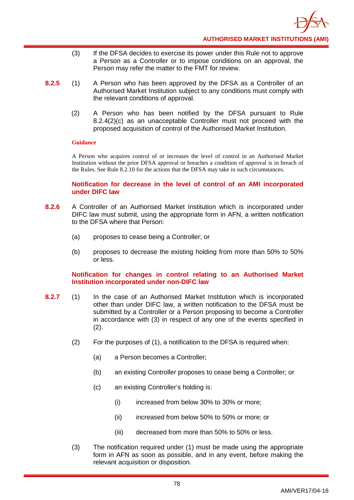- (3) If the DFSA decides to exercise its power under this Rule not to approve a Person as a Controller or to impose conditions on an approval, the Person may refer the matter to the FMT for review.
- **8.2.5** (1) A Person who has been approved by the DFSA as a Controller of an Authorised Market Institution subject to any conditions must comply with the relevant conditions of approval.
	- (2) A Person who has been notified by the DFSA pursuant to Rule 8.2.4(2)(c) as an unacceptable Controller must not proceed with the proposed acquisition of control of the Authorised Market Institution.

A Person who acquires control of or increases the level of control in an Authorised Market Institution without the prior DFSA approval or breaches a condition of approval is in breach of the Rules. See Rule 8.2.10 for the actions that the DFSA may take in such circumstances.

### **Notification for decrease in the level of control of an AMI incorporated under DIFC law**

- **8.2.6** A Controller of an Authorised Market Institution which is incorporated under DIFC law must submit, using the appropriate form in AFN, a written notification to the DFSA where that Person:
	- (a) proposes to cease being a Controller; or
	- (b) proposes to decrease the existing holding from more than 50% to 50% or less.

**Notification for changes in control relating to an Authorised Market Institution incorporated under non-DIFC law** 

- **8.2.7** (1) In the case of an Authorised Market Institution which is incorporated other than under DIFC law, a written notification to the DFSA must be submitted by a Controller or a Person proposing to become a Controller in accordance with (3) in respect of any one of the events specified in  $(2).$ 
	- (2) For the purposes of (1), a notification to the DFSA is required when:
		- (a) a Person becomes a Controller;
		- (b) an existing Controller proposes to cease being a Controller; or
		- (c) an existing Controller's holding is:
			- (i) increased from below 30% to 30% or more;
			- (ii) increased from below 50% to 50% or more; or
			- (iii) decreased from more than 50% to 50% or less.
	- (3) The notification required under (1) must be made using the appropriate form in AFN as soon as possible, and in any event, before making the relevant acquisition or disposition.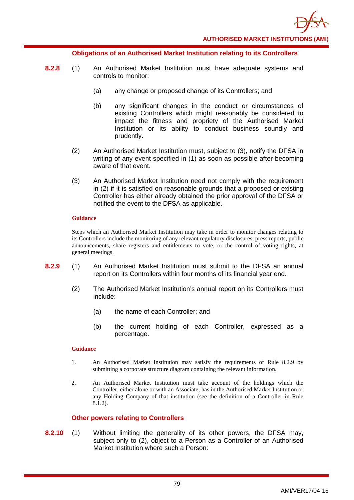

#### **Obligations of an Authorised Market Institution relating to its Controllers**

- **8.2.8** (1) An Authorised Market Institution must have adequate systems and controls to monitor:
	- (a) any change or proposed change of its Controllers; and
	- (b) any significant changes in the conduct or circumstances of existing Controllers which might reasonably be considered to impact the fitness and propriety of the Authorised Market Institution or its ability to conduct business soundly and prudently.
	- (2) An Authorised Market Institution must, subject to (3), notify the DFSA in writing of any event specified in (1) as soon as possible after becoming aware of that event.
	- (3) An Authorised Market Institution need not comply with the requirement in (2) if it is satisfied on reasonable grounds that a proposed or existing Controller has either already obtained the prior approval of the DFSA or notified the event to the DFSA as applicable.

#### **Guidance**

Steps which an Authorised Market Institution may take in order to monitor changes relating to its Controllers include the monitoring of any relevant regulatory disclosures, press reports, public announcements, share registers and entitlements to vote, or the control of voting rights, at general meetings.

- **8.2.9** (1) An Authorised Market Institution must submit to the DFSA an annual report on its Controllers within four months of its financial year end.
	- (2) The Authorised Market Institution's annual report on its Controllers must include:
		- (a) the name of each Controller; and
		- (b) the current holding of each Controller, expressed as a percentage.

#### **Guidance**

- 1. An Authorised Market Institution may satisfy the requirements of Rule 8.2.9 by submitting a corporate structure diagram containing the relevant information.
- 2. An Authorised Market Institution must take account of the holdings which the Controller, either alone or with an Associate, has in the Authorised Market Institution or any Holding Company of that institution (see the definition of a Controller in Rule 8.1.2).

### **Other powers relating to Controllers**

**8.2.10** (1) Without limiting the generality of its other powers, the DFSA may, subject only to (2), object to a Person as a Controller of an Authorised Market Institution where such a Person: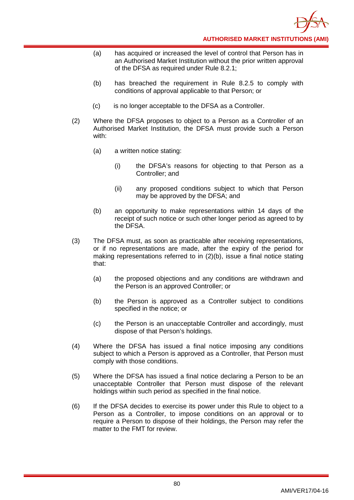- (a) has acquired or increased the level of control that Person has in an Authorised Market Institution without the prior written approval of the DFSA as required under Rule 8.2.1;
- (b) has breached the requirement in Rule 8.2.5 to comply with conditions of approval applicable to that Person; or
- (c) is no longer acceptable to the DFSA as a Controller.
- (2) Where the DFSA proposes to object to a Person as a Controller of an Authorised Market Institution, the DFSA must provide such a Person with:
	- (a) a written notice stating:
		- (i) the DFSA's reasons for objecting to that Person as a Controller; and
		- (ii) any proposed conditions subject to which that Person may be approved by the DFSA; and
	- (b) an opportunity to make representations within 14 days of the receipt of such notice or such other longer period as agreed to by the DFSA.
- (3) The DFSA must, as soon as practicable after receiving representations, or if no representations are made, after the expiry of the period for making representations referred to in (2)(b), issue a final notice stating that:
	- (a) the proposed objections and any conditions are withdrawn and the Person is an approved Controller; or
	- (b) the Person is approved as a Controller subject to conditions specified in the notice; or
	- (c) the Person is an unacceptable Controller and accordingly, must dispose of that Person's holdings.
- (4) Where the DFSA has issued a final notice imposing any conditions subject to which a Person is approved as a Controller, that Person must comply with those conditions.
- (5) Where the DFSA has issued a final notice declaring a Person to be an unacceptable Controller that Person must dispose of the relevant holdings within such period as specified in the final notice.
- (6) If the DFSA decides to exercise its power under this Rule to object to a Person as a Controller, to impose conditions on an approval or to require a Person to dispose of their holdings, the Person may refer the matter to the FMT for review.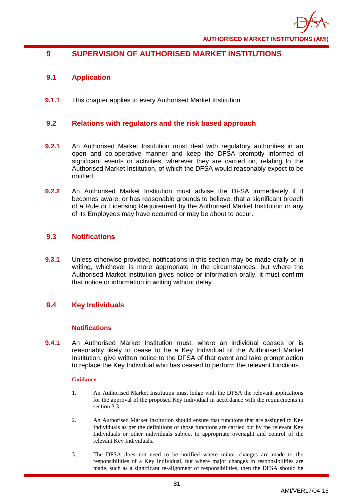

# **9 SUPERVISION OF AUTHORISED MARKET INSTITUTIONS**

# **9.1 Application**

**9.1.1** This chapter applies to every Authorised Market Institution.

### **9.2 Relations with regulators and the risk based approach**

- **9.2.1** An Authorised Market Institution must deal with regulatory authorities in an open and co-operative manner and keep the DFSA promptly informed of significant events or activities, wherever they are carried on, relating to the Authorised Market Institution, of which the DFSA would reasonably expect to be notified.
- **9.2.2** An Authorised Market Institution must advise the DFSA immediately if it becomes aware, or has reasonable grounds to believe, that a significant breach of a Rule or Licensing Requirement by the Authorised Market Institution or any of its Employees may have occurred or may be about to occur.

### **9.3 Notifications**

**9.3.1** Unless otherwise provided, notifications in this section may be made orally or in writing, whichever is more appropriate in the circumstances, but where the Authorised Market Institution gives notice or information orally, it must confirm that notice or information in writing without delay.

# **9.4 Key Individuals**

### **Notifications**

**9.4.1** An Authorised Market Institution must, where an individual ceases or is reasonably likely to cease to be a Key Individual of the Authorised Market Institution, give written notice to the DFSA of that event and take prompt action to replace the Key Individual who has ceased to perform the relevant functions.

- 1. An Authorised Market Institution must lodge with the DFSA the relevant applications for the approval of the proposed Key Individual in accordance with the requirements in section 3.3.
- 2. An Authorised Market Institution should ensure that functions that are assigned to Key Individuals as per the definitions of those functions are carried out by the relevant Key Individuals or other individuals subject to appropriate oversight and control of the relevant Key Individuals.
- 3. The DFSA does not need to be notified where minor changes are made to the responsibilities of a Key Individual, but where major changes in responsibilities are made, such as a significant re-alignment of responsibilities, then the DFSA should be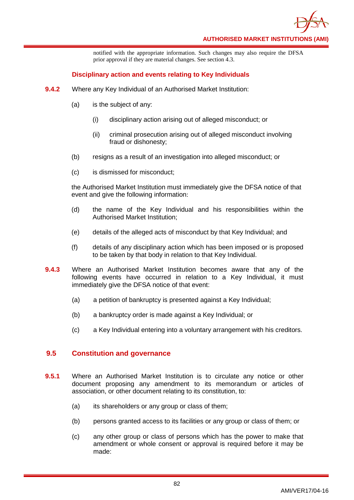

notified with the appropriate information. Such changes may also require the DFSA prior approval if they are material changes. See section 4.3.

### **Disciplinary action and events relating to Key Individuals**

- **9.4.2** Where any Key Individual of an Authorised Market Institution:
	- (a) is the subject of any:
		- (i) disciplinary action arising out of alleged misconduct; or
		- (ii) criminal prosecution arising out of alleged misconduct involving fraud or dishonesty;
	- (b) resigns as a result of an investigation into alleged misconduct; or
	- (c) is dismissed for misconduct;

the Authorised Market Institution must immediately give the DFSA notice of that event and give the following information:

- (d) the name of the Key Individual and his responsibilities within the Authorised Market Institution;
- (e) details of the alleged acts of misconduct by that Key Individual; and
- (f) details of any disciplinary action which has been imposed or is proposed to be taken by that body in relation to that Key Individual.
- **9.4.3** Where an Authorised Market Institution becomes aware that any of the following events have occurred in relation to a Key Individual, it must immediately give the DFSA notice of that event:
	- (a) a petition of bankruptcy is presented against a Key Individual;
	- (b) a bankruptcy order is made against a Key Individual; or
	- (c) a Key Individual entering into a voluntary arrangement with his creditors.

# **9.5 Constitution and governance**

- **9.5.1** Where an Authorised Market Institution is to circulate any notice or other document proposing any amendment to its memorandum or articles of association, or other document relating to its constitution, to:
	- (a) its shareholders or any group or class of them;
	- (b) persons granted access to its facilities or any group or class of them; or
	- (c) any other group or class of persons which has the power to make that amendment or whole consent or approval is required before it may be made: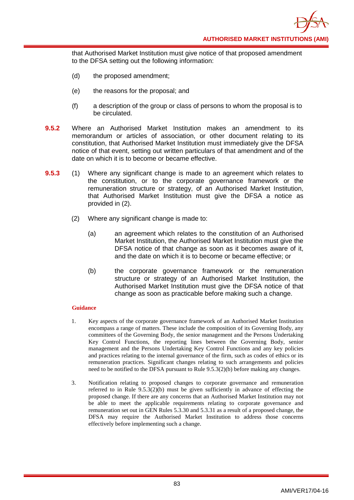**AUTHORISED MARKET INSTITUTIONS (AMI)**

that Authorised Market Institution must give notice of that proposed amendment to the DFSA setting out the following information:

- (d) the proposed amendment;
- (e) the reasons for the proposal; and
- (f) a description of the group or class of persons to whom the proposal is to be circulated.
- **9.5.2** Where an Authorised Market Institution makes an amendment to its memorandum or articles of association, or other document relating to its constitution, that Authorised Market Institution must immediately give the DFSA notice of that event, setting out written particulars of that amendment and of the date on which it is to become or became effective.
- **9.5.3** (1) Where any significant change is made to an agreement which relates to the constitution, or to the corporate governance framework or the remuneration structure or strategy, of an Authorised Market Institution, that Authorised Market Institution must give the DFSA a notice as provided in (2).
	- (2) Where any significant change is made to:
		- (a) an agreement which relates to the constitution of an Authorised Market Institution, the Authorised Market Institution must give the DFSA notice of that change as soon as it becomes aware of it, and the date on which it is to become or became effective; or
		- (b) the corporate governance framework or the remuneration structure or strategy of an Authorised Market Institution, the Authorised Market Institution must give the DFSA notice of that change as soon as practicable before making such a change.

- 1. Key aspects of the corporate governance framework of an Authorised Market Institution encompass a range of matters. These include the composition of its Governing Body, any committees of the Governing Body, the senior management and the Persons Undertaking Key Control Functions, the reporting lines between the Governing Body, senior management and the Persons Undertaking Key Control Functions and any key policies and practices relating to the internal governance of the firm, such as codes of ethics or its remuneration practices. Significant changes relating to such arrangements and policies need to be notified to the DFSA pursuant to Rule 9.5.3(2)(b) before making any changes.
- 3. Notification relating to proposed changes to corporate governance and remuneration referred to in Rule  $9.5.3(2)(b)$  must be given sufficiently in advance of effecting the proposed change. If there are any concerns that an Authorised Market Institution may not be able to meet the applicable requirements relating to corporate governance and remuneration set out in GEN Rules 5.3.30 and 5.3.31 as a result of a proposed change, the DFSA may require the Authorised Market Institution to address those concerns effectively before implementing such a change.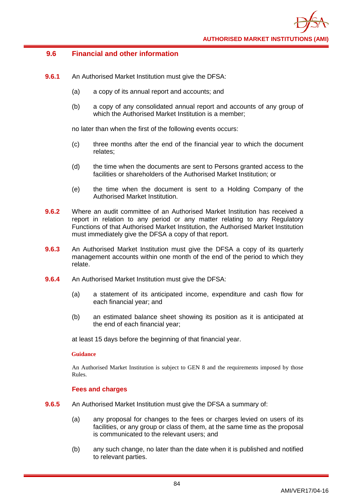# **9.6 Financial and other information**

- **9.6.1** An Authorised Market Institution must give the DFSA:
	- (a) a copy of its annual report and accounts; and
	- (b) a copy of any consolidated annual report and accounts of any group of which the Authorised Market Institution is a member;

no later than when the first of the following events occurs:

- (c) three months after the end of the financial year to which the document relates;
- (d) the time when the documents are sent to Persons granted access to the facilities or shareholders of the Authorised Market Institution; or
- (e) the time when the document is sent to a Holding Company of the Authorised Market Institution.
- **9.6.2** Where an audit committee of an Authorised Market Institution has received a report in relation to any period or any matter relating to any Regulatory Functions of that Authorised Market Institution, the Authorised Market Institution must immediately give the DFSA a copy of that report.
- **9.6.3** An Authorised Market Institution must give the DFSA a copy of its quarterly management accounts within one month of the end of the period to which they relate.
- **9.6.4** An Authorised Market Institution must give the DFSA:
	- (a) a statement of its anticipated income, expenditure and cash flow for each financial year; and
	- (b) an estimated balance sheet showing its position as it is anticipated at the end of each financial year;

at least 15 days before the beginning of that financial year.

### **Guidance**

An Authorised Market Institution is subject to GEN 8 and the requirements imposed by those Rules.

### **Fees and charges**

- **9.6.5** An Authorised Market Institution must give the DFSA a summary of:
	- (a) any proposal for changes to the fees or charges levied on users of its facilities, or any group or class of them, at the same time as the proposal is communicated to the relevant users; and
	- (b) any such change, no later than the date when it is published and notified to relevant parties.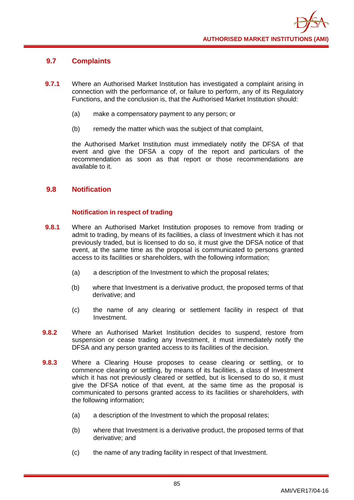# **9.7 Complaints**

- **9.7.1** Where an Authorised Market Institution has investigated a complaint arising in connection with the performance of, or failure to perform, any of its Regulatory Functions, and the conclusion is, that the Authorised Market Institution should:
	- (a) make a compensatory payment to any person; or
	- (b) remedy the matter which was the subject of that complaint,

the Authorised Market Institution must immediately notify the DFSA of that event and give the DFSA a copy of the report and particulars of the recommendation as soon as that report or those recommendations are available to it.

# **9.8 Notification**

# **Notification in respect of trading**

- **9.8.1** Where an Authorised Market Institution proposes to remove from trading or admit to trading, by means of its facilities, a class of Investment which it has not previously traded, but is licensed to do so, it must give the DFSA notice of that event, at the same time as the proposal is communicated to persons granted access to its facilities or shareholders, with the following information;
	- (a) a description of the Investment to which the proposal relates;
	- (b) where that Investment is a derivative product, the proposed terms of that derivative; and
	- (c) the name of any clearing or settlement facility in respect of that Investment.
- **9.8.2** Where an Authorised Market Institution decides to suspend, restore from suspension or cease trading any Investment, it must immediately notify the DFSA and any person granted access to its facilities of the decision.
- **9.8.3** Where a Clearing House proposes to cease clearing or settling, or to commence clearing or settling, by means of its facilities, a class of Investment which it has not previously cleared or settled, but is licensed to do so, it must give the DFSA notice of that event, at the same time as the proposal is communicated to persons granted access to its facilities or shareholders, with the following information;
	- (a) a description of the Investment to which the proposal relates;
	- (b) where that Investment is a derivative product, the proposed terms of that derivative; and
	- (c) the name of any trading facility in respect of that Investment.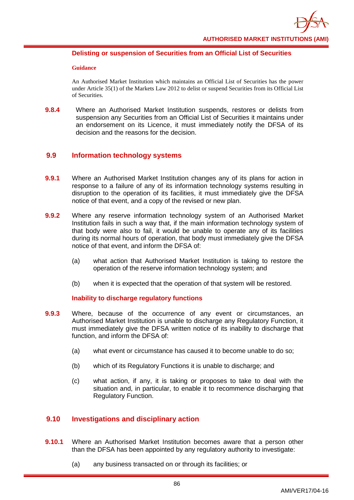

### **Delisting or suspension of Securities from an Official List of Securities**

#### **Guidance**

An Authorised Market Institution which maintains an Official List of Securities has the power under Article 35(1) of the Markets Law 2012 to delist or suspend Securities from its Official List of Securities.

**9.8.4** Where an Authorised Market Institution suspends, restores or delists from suspension any Securities from an Official List of Securities it maintains under an endorsement on its Licence, it must immediately notify the DFSA of its decision and the reasons for the decision.

# **9.9 Information technology systems**

- **9.9.1** Where an Authorised Market Institution changes any of its plans for action in response to a failure of any of its information technology systems resulting in disruption to the operation of its facilities, it must immediately give the DFSA notice of that event, and a copy of the revised or new plan.
- **9.9.2** Where any reserve information technology system of an Authorised Market Institution fails in such a way that, if the main information technology system of that body were also to fail, it would be unable to operate any of its facilities during its normal hours of operation, that body must immediately give the DFSA notice of that event, and inform the DFSA of:
	- (a) what action that Authorised Market Institution is taking to restore the operation of the reserve information technology system; and
	- (b) when it is expected that the operation of that system will be restored.

# **Inability to discharge regulatory functions**

- **9.9.3** Where, because of the occurrence of any event or circumstances, an Authorised Market Institution is unable to discharge any Regulatory Function, it must immediately give the DFSA written notice of its inability to discharge that function, and inform the DFSA of:
	- (a) what event or circumstance has caused it to become unable to do so;
	- (b) which of its Regulatory Functions it is unable to discharge; and
	- (c) what action, if any, it is taking or proposes to take to deal with the situation and, in particular, to enable it to recommence discharging that Regulatory Function.

# **9.10 Investigations and disciplinary action**

- **9.10.1** Where an Authorised Market Institution becomes aware that a person other than the DFSA has been appointed by any regulatory authority to investigate:
	- (a) any business transacted on or through its facilities; or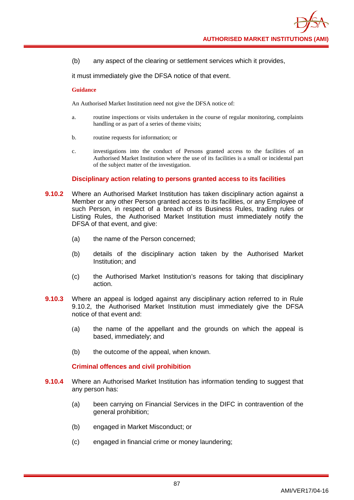(b) any aspect of the clearing or settlement services which it provides,

it must immediately give the DFSA notice of that event.

#### **Guidance**

An Authorised Market Institution need not give the DFSA notice of:

- a. routine inspections or visits undertaken in the course of regular monitoring, complaints handling or as part of a series of theme visits;
- b. routine requests for information; or
- c. investigations into the conduct of Persons granted access to the facilities of an Authorised Market Institution where the use of its facilities is a small or incidental part of the subject matter of the investigation.

#### **Disciplinary action relating to persons granted access to its facilities**

- **9.10.2** Where an Authorised Market Institution has taken disciplinary action against a Member or any other Person granted access to its facilities, or any Employee of such Person, in respect of a breach of its Business Rules, trading rules or Listing Rules, the Authorised Market Institution must immediately notify the DFSA of that event, and give:
	- (a) the name of the Person concerned;
	- (b) details of the disciplinary action taken by the Authorised Market Institution; and
	- (c) the Authorised Market Institution's reasons for taking that disciplinary action.
- **9.10.3** Where an appeal is lodged against any disciplinary action referred to in Rule 9.10.2, the Authorised Market Institution must immediately give the DFSA notice of that event and:
	- (a) the name of the appellant and the grounds on which the appeal is based, immediately; and
	- (b) the outcome of the appeal, when known.

### **Criminal offences and civil prohibition**

- **9.10.4** Where an Authorised Market Institution has information tending to suggest that any person has:
	- (a) been carrying on Financial Services in the DIFC in contravention of the general prohibition;
	- (b) engaged in Market Misconduct; or
	- (c) engaged in financial crime or money laundering;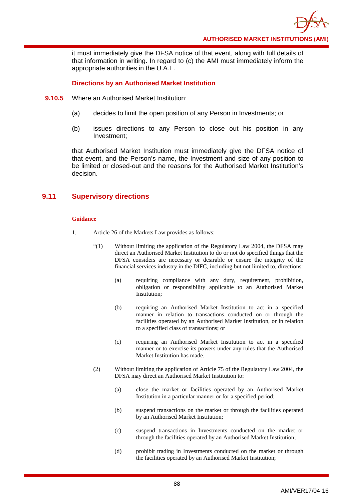it must immediately give the DFSA notice of that event, along with full details of that information in writing. In regard to (c) the AMI must immediately inform the appropriate authorities in the U.A.E.

### **Directions by an Authorised Market Institution**

- **9.10.5** Where an Authorised Market Institution:
	- (a) decides to limit the open position of any Person in Investments; or
	- (b) issues directions to any Person to close out his position in any Investment;

that Authorised Market Institution must immediately give the DFSA notice of that event, and the Person's name, the Investment and size of any position to be limited or closed-out and the reasons for the Authorised Market Institution's decision.

# **9.11 Supervisory directions**

- 1. Article 26 of the Markets Law provides as follows:
	- "(1) Without limiting the application of the Regulatory Law 2004, the DFSA may direct an Authorised Market Institution to do or not do specified things that the DFSA considers are necessary or desirable or ensure the integrity of the financial services industry in the DIFC, including but not limited to, directions:
		- (a) requiring compliance with any duty, requirement, prohibition, obligation or responsibility applicable to an Authorised Market Institution;
		- (b) requiring an Authorised Market Institution to act in a specified manner in relation to transactions conducted on or through the facilities operated by an Authorised Market Institution, or in relation to a specified class of transactions; or
		- (c) requiring an Authorised Market Institution to act in a specified manner or to exercise its powers under any rules that the Authorised Market Institution has made.
	- (2) Without limiting the application of Article 75 of the Regulatory Law 2004, the DFSA may direct an Authorised Market Institution to:
		- (a) close the market or facilities operated by an Authorised Market Institution in a particular manner or for a specified period;
		- (b) suspend transactions on the market or through the facilities operated by an Authorised Market Institution;
		- (c) suspend transactions in Investments conducted on the market or through the facilities operated by an Authorised Market Institution;
		- (d) prohibit trading in Investments conducted on the market or through the facilities operated by an Authorised Market Institution;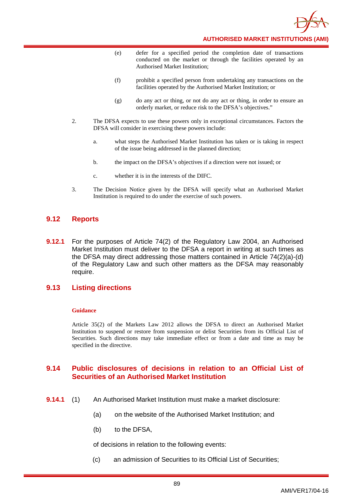

**AUTHORISED MARKET INSTITUTIONS (AMI)**

- (e) defer for a specified period the completion date of transactions conducted on the market or through the facilities operated by an Authorised Market Institution;
- (f) prohibit a specified person from undertaking any transactions on the facilities operated by the Authorised Market Institution; or
- (g) do any act or thing, or not do any act or thing, in order to ensure an orderly market, or reduce risk to the DFSA's objectives."
- 2. The DFSA expects to use these powers only in exceptional circumstances. Factors the DFSA will consider in exercising these powers include:
	- a. what steps the Authorised Market Institution has taken or is taking in respect of the issue being addressed in the planned direction;
	- b. the impact on the DFSA's objectives if a direction were not issued; or
	- c. whether it is in the interests of the DIFC.
- 3. The Decision Notice given by the DFSA will specify what an Authorised Market Institution is required to do under the exercise of such powers.

# **9.12 Reports**

**9.12.1** For the purposes of Article 74(2) of the Regulatory Law 2004, an Authorised Market Institution must deliver to the DFSA a report in writing at such times as the DFSA may direct addressing those matters contained in Article 74(2)(a)-(d) of the Regulatory Law and such other matters as the DFSA may reasonably require.

# **9.13 Listing directions**

#### **Guidance**

Article 35(2) of the Markets Law 2012 allows the DFSA to direct an Authorised Market Institution to suspend or restore from suspension or delist Securities from its Official List of Securities. Such directions may take immediate effect or from a date and time as may be specified in the directive.

# **9.14 Public disclosures of decisions in relation to an Official List of Securities of an Authorised Market Institution**

- **9.14.1** (1) An Authorised Market Institution must make a market disclosure:
	- (a) on the website of the Authorised Market Institution; and
	- (b) to the DFSA,

of decisions in relation to the following events:

(c) an admission of Securities to its Official List of Securities;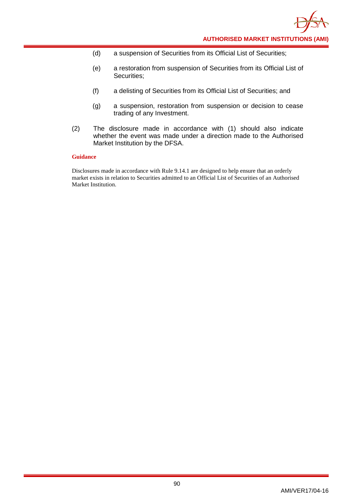- (d) a suspension of Securities from its Official List of Securities;
- (e) a restoration from suspension of Securities from its Official List of Securities;
- (f) a delisting of Securities from its Official List of Securities; and
- (g) a suspension, restoration from suspension or decision to cease trading of any Investment.
- (2) The disclosure made in accordance with (1) should also indicate whether the event was made under a direction made to the Authorised Market Institution by the DFSA.

Disclosures made in accordance with Rule 9.14.1 are designed to help ensure that an orderly market exists in relation to Securities admitted to an Official List of Securities of an Authorised Market Institution.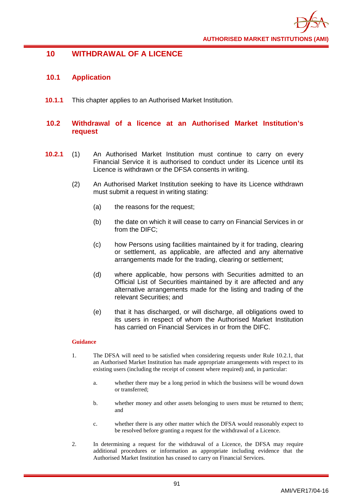

# **10 WITHDRAWAL OF A LICENCE**

# **10.1 Application**

**10.1.1** This chapter applies to an Authorised Market Institution.

# **10.2 Withdrawal of a licence at an Authorised Market Institution's request**

- **10.2.1** (1) An Authorised Market Institution must continue to carry on every Financial Service it is authorised to conduct under its Licence until its Licence is withdrawn or the DFSA consents in writing.
	- (2) An Authorised Market Institution seeking to have its Licence withdrawn must submit a request in writing stating:
		- (a) the reasons for the request;
		- (b) the date on which it will cease to carry on Financial Services in or from the DIFC;
		- (c) how Persons using facilities maintained by it for trading, clearing or settlement, as applicable, are affected and any alternative arrangements made for the trading, clearing or settlement;
		- (d) where applicable, how persons with Securities admitted to an Official List of Securities maintained by it are affected and any alternative arrangements made for the listing and trading of the relevant Securities; and
		- (e) that it has discharged, or will discharge, all obligations owed to its users in respect of whom the Authorised Market Institution has carried on Financial Services in or from the DIFC.

- 1. The DFSA will need to be satisfied when considering requests under Rule 10.2.1, that an Authorised Market Institution has made appropriate arrangements with respect to its existing users (including the receipt of consent where required) and, in particular:
	- a. whether there may be a long period in which the business will be wound down or transferred;
	- b. whether money and other assets belonging to users must be returned to them; and
	- c. whether there is any other matter which the DFSA would reasonably expect to be resolved before granting a request for the withdrawal of a Licence.
- 2. In determining a request for the withdrawal of a Licence, the DFSA may require additional procedures or information as appropriate including evidence that the Authorised Market Institution has ceased to carry on Financial Services.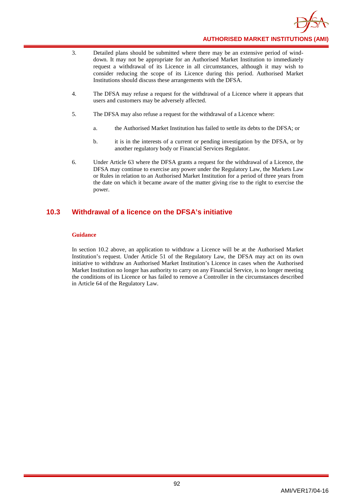

- 3. Detailed plans should be submitted where there may be an extensive period of winddown. It may not be appropriate for an Authorised Market Institution to immediately request a withdrawal of its Licence in all circumstances, although it may wish to consider reducing the scope of its Licence during this period. Authorised Market Institutions should discuss these arrangements with the DFSA.
- 4. The DFSA may refuse a request for the withdrawal of a Licence where it appears that users and customers may be adversely affected.
- 5. The DFSA may also refuse a request for the withdrawal of a Licence where:
	- a. the Authorised Market Institution has failed to settle its debts to the DFSA; or
	- b. it is in the interests of a current or pending investigation by the DFSA, or by another regulatory body or Financial Services Regulator.
- 6. Under Article 63 where the DFSA grants a request for the withdrawal of a Licence, the DFSA may continue to exercise any power under the Regulatory Law, the Markets Law or Rules in relation to an Authorised Market Institution for a period of three years from the date on which it became aware of the matter giving rise to the right to exercise the power.

# **10.3 Withdrawal of a licence on the DFSA's initiative**

#### **Guidance**

In section 10.2 above, an application to withdraw a Licence will be at the Authorised Market Institution's request. Under Article 51 of the Regulatory Law, the DFSA may act on its own initiative to withdraw an Authorised Market Institution's Licence in cases when the Authorised Market Institution no longer has authority to carry on any Financial Service, is no longer meeting the conditions of its Licence or has failed to remove a Controller in the circumstances described in Article 64 of the Regulatory Law.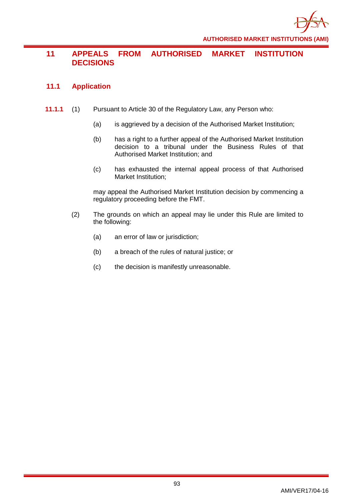

# **11 APPEALS FROM AUTHORISED MARKET INSTITUTION DECISIONS**

# **11.1 Application**

- **11.1.1** (1) Pursuant to Article 30 of the Regulatory Law, any Person who:
	- (a) is aggrieved by a decision of the Authorised Market Institution;
	- (b) has a right to a further appeal of the Authorised Market Institution decision to a tribunal under the Business Rules of that Authorised Market Institution; and
	- (c) has exhausted the internal appeal process of that Authorised Market Institution;

may appeal the Authorised Market Institution decision by commencing a regulatory proceeding before the FMT.

- (2) The grounds on which an appeal may lie under this Rule are limited to the following:
	- (a) an error of law or jurisdiction;
	- (b) a breach of the rules of natural justice; or
	- (c) the decision is manifestly unreasonable.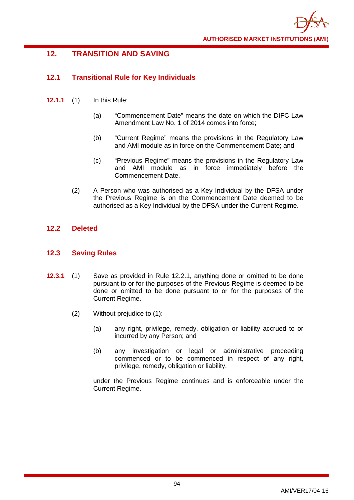

# **12. TRANSITION AND SAVING**

# **12.1 Transitional Rule for Key Individuals**

- **12.1.1** (1) In this Rule:
	- (a) "Commencement Date" means the date on which the DIFC Law Amendment Law No. 1 of 2014 comes into force;
	- (b) "Current Regime" means the provisions in the Regulatory Law and AMI module as in force on the Commencement Date; and
	- (c) "Previous Regime" means the provisions in the Regulatory Law and AMI module as in force immediately before the Commencement Date.
	- (2) A Person who was authorised as a Key Individual by the DFSA under the Previous Regime is on the Commencement Date deemed to be authorised as a Key Individual by the DFSA under the Current Regime.

# **12.2 Deleted**

# **12.3 Saving Rules**

- **12.3.1** (1) Save as provided in Rule 12.2.1, anything done or omitted to be done pursuant to or for the purposes of the Previous Regime is deemed to be done or omitted to be done pursuant to or for the purposes of the Current Regime.
	- (2) Without prejudice to (1):
		- (a) any right, privilege, remedy, obligation or liability accrued to or incurred by any Person; and
		- (b) any investigation or legal or administrative proceeding commenced or to be commenced in respect of any right, privilege, remedy, obligation or liability,

under the Previous Regime continues and is enforceable under the Current Regime.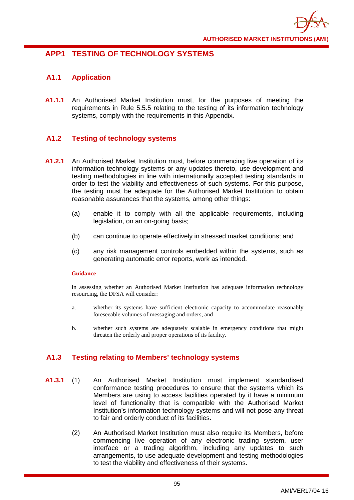

# **APP1 TESTING OF TECHNOLOGY SYSTEMS**

# **A1.1 Application**

**A1.1.1** An Authorised Market Institution must, for the purposes of meeting the requirements in Rule 5.5.5 relating to the testing of its information technology systems, comply with the requirements in this Appendix.

# **A1.2 Testing of technology systems**

- **A1.2.1** An Authorised Market Institution must, before commencing live operation of its information technology systems or any updates thereto, use development and testing methodologies in line with internationally accepted testing standards in order to test the viability and effectiveness of such systems. For this purpose, the testing must be adequate for the Authorised Market Institution to obtain reasonable assurances that the systems, among other things:
	- (a) enable it to comply with all the applicable requirements, including legislation, on an on-going basis;
	- (b) can continue to operate effectively in stressed market conditions; and
	- (c) any risk management controls embedded within the systems, such as generating automatic error reports, work as intended.

### **Guidance**

In assessing whether an Authorised Market Institution has adequate information technology resourcing, the DFSA will consider:

- a. whether its systems have sufficient electronic capacity to accommodate reasonably foreseeable volumes of messaging and orders, and
- b. whether such systems are adequately scalable in emergency conditions that might threaten the orderly and proper operations of its facility.

# **A1.3 Testing relating to Members' technology systems**

- **A1.3.1** (1) An Authorised Market Institution must implement standardised conformance testing procedures to ensure that the systems which its Members are using to access facilities operated by it have a minimum level of functionality that is compatible with the Authorised Market Institution's information technology systems and will not pose any threat to fair and orderly conduct of its facilities.
	- (2) An Authorised Market Institution must also require its Members, before commencing live operation of any electronic trading system, user interface or a trading algorithm, including any updates to such arrangements, to use adequate development and testing methodologies to test the viability and effectiveness of their systems.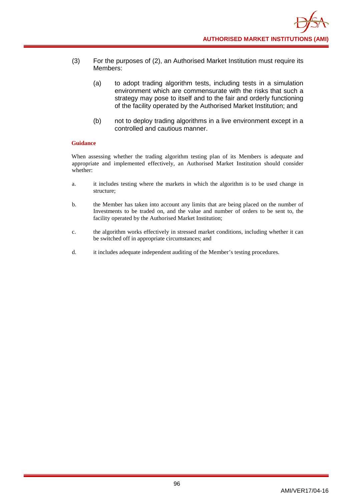- (3) For the purposes of (2), an Authorised Market Institution must require its Members:
	- (a) to adopt trading algorithm tests, including tests in a simulation environment which are commensurate with the risks that such a strategy may pose to itself and to the fair and orderly functioning of the facility operated by the Authorised Market Institution; and
	- (b) not to deploy trading algorithms in a live environment except in a controlled and cautious manner.

When assessing whether the trading algorithm testing plan of its Members is adequate and appropriate and implemented effectively, an Authorised Market Institution should consider whether:

- a. it includes testing where the markets in which the algorithm is to be used change in structure;
- b. the Member has taken into account any limits that are being placed on the number of Investments to be traded on, and the value and number of orders to be sent to, the facility operated by the Authorised Market Institution;
- c. the algorithm works effectively in stressed market conditions, including whether it can be switched off in appropriate circumstances; and
- d. it includes adequate independent auditing of the Member's testing procedures.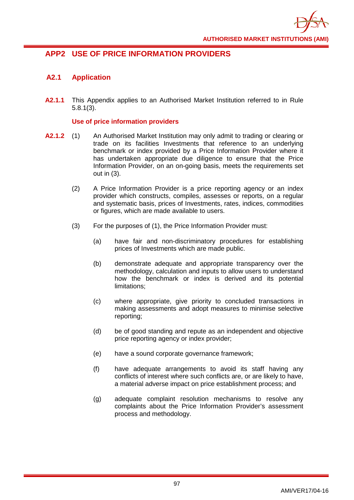

# **APP2 USE OF PRICE INFORMATION PROVIDERS**

# **A2.1 Application**

**A2.1.1** This Appendix applies to an Authorised Market Institution referred to in Rule 5.8.1(3).

### **Use of price information providers**

- **A2.1.2** (1) An Authorised Market Institution may only admit to trading or clearing or trade on its facilities Investments that reference to an underlying benchmark or index provided by a Price Information Provider where it has undertaken appropriate due diligence to ensure that the Price Information Provider, on an on-going basis, meets the requirements set out in (3).
	- (2) A Price Information Provider is a price reporting agency or an index provider which constructs, compiles, assesses or reports, on a regular and systematic basis, prices of Investments, rates, indices, commodities or figures, which are made available to users.
	- (3) For the purposes of (1), the Price Information Provider must:
		- (a) have fair and non-discriminatory procedures for establishing prices of Investments which are made public.
		- (b) demonstrate adequate and appropriate transparency over the methodology, calculation and inputs to allow users to understand how the benchmark or index is derived and its potential limitations;
		- (c) where appropriate, give priority to concluded transactions in making assessments and adopt measures to minimise selective reporting;
		- (d) be of good standing and repute as an independent and objective price reporting agency or index provider;
		- (e) have a sound corporate governance framework;
		- (f) have adequate arrangements to avoid its staff having any conflicts of interest where such conflicts are, or are likely to have, a material adverse impact on price establishment process; and
		- (g) adequate complaint resolution mechanisms to resolve any complaints about the Price Information Provider's assessment process and methodology.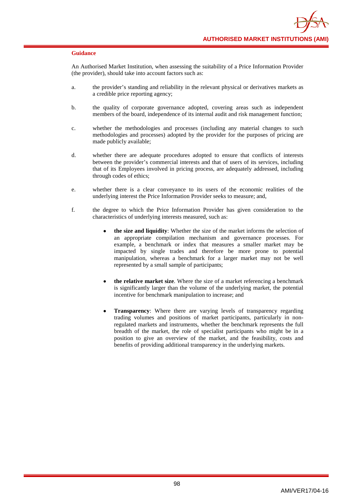An Authorised Market Institution, when assessing the suitability of a Price Information Provider (the provider), should take into account factors such as:

- a. the provider's standing and reliability in the relevant physical or derivatives markets as a credible price reporting agency;
- b. the quality of corporate governance adopted, covering areas such as independent members of the board, independence of its internal audit and risk management function;
- c. whether the methodologies and processes (including any material changes to such methodologies and processes) adopted by the provider for the purposes of pricing are made publicly available;
- d. whether there are adequate procedures adopted to ensure that conflicts of interests between the provider's commercial interests and that of users of its services, including that of its Employees involved in pricing process, are adequately addressed, including through codes of ethics;
- e. whether there is a clear conveyance to its users of the economic realities of the underlying interest the Price Information Provider seeks to measure; and,
- f. the degree to which the Price Information Provider has given consideration to the characteristics of underlying interests measured, such as:
	- **the size and liquidity**: Whether the size of the market informs the selection of an appropriate compilation mechanism and governance processes. For example, a benchmark or index that measures a smaller market may be impacted by single trades and therefore be more prone to potential manipulation, whereas a benchmark for a larger market may not be well represented by a small sample of participants;
	- **the relative market size**. Where the size of a market referencing a benchmark is significantly larger than the volume of the underlying market, the potential incentive for benchmark manipulation to increase; and
	- **Transparency**: Where there are varying levels of transparency regarding trading volumes and positions of market participants, particularly in nonregulated markets and instruments, whether the benchmark represents the full breadth of the market, the role of specialist participants who might be in a position to give an overview of the market, and the feasibility, costs and benefits of providing additional transparency in the underlying markets.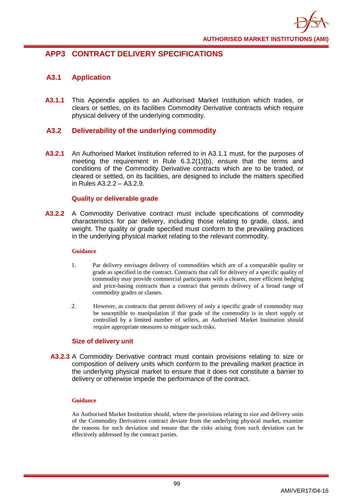

# **APP3 CONTRACT DELIVERY SPECIFICATIONS**

# **A3.1 Application**

**A3.1.1** This Appendix applies to an Authorised Market Institution which trades, or clears or settles, on its facilities Commodity Derivative contracts which require physical delivery of the underlying commodity.

# **A3.2 Deliverability of the underlying commodity**

**A3.2.1** An Authorised Market Institution referred to in A3.1.1 must, for the purposes of meeting the requirement in Rule 6.3.2(1)(b), ensure that the terms and conditions of the Commodity Derivative contracts which are to be traded, or cleared or settled, on its facilities, are designed to include the matters specified in Rules A3.2.2 – A3.2.9.

### **Quality or deliverable grade**

**A3.2.2** A Commodity Derivative contract must include specifications of commodity characteristics for par delivery, including those relating to grade, class, and weight. The quality or grade specified must conform to the prevailing practices in the underlying physical market relating to the relevant commodity.

#### **Guidance**

- 1. Par delivery envisages delivery of commodities which are of a comparable quality or grade as specified in the contract. Contracts that call for delivery of a specific quality of commodity may provide commercial participants with a clearer, more efficient hedging and price-basing contracts than a contract that permits delivery of a broad range of commodity grades or classes.
- 2. However, as contracts that permit delivery of only a specific grade of commodity may be susceptible to manipulation if that grade of the commodity is in short supply or controlled by a limited number of sellers, an Authorised Market Institution should require appropriate measures to mitigate such risks.

# **Size of delivery unit**

**A3.2.3** A Commodity Derivative contract must contain provisions relating to size or composition of delivery units which conform to the prevailing market practice in the underlying physical market to ensure that it does not constitute a barrier to delivery or otherwise impede the performance of the contract.

#### **Guidance**

An Authorised Market Institution should, where the provisions relating to size and delivery units of the Commodity Derivatives contract deviate from the underlying physical market, examine the reasons for such deviation and ensure that the risks arising from such deviation can be effectively addressed by the contract parties.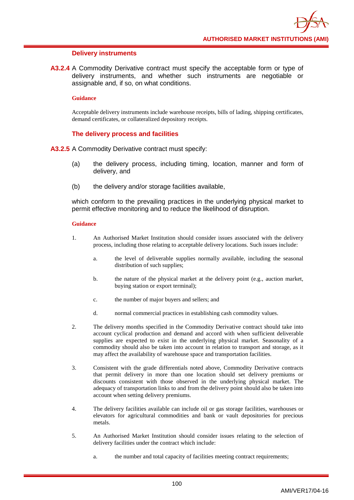#### **Delivery instruments**

**A3.2.4** A Commodity Derivative contract must specify the acceptable form or type of delivery instruments, and whether such instruments are negotiable or assignable and, if so, on what conditions.

#### **Guidance**

Acceptable delivery instruments include warehouse receipts, bills of lading, shipping certificates, demand certificates, or collateralized depository receipts.

### **The delivery process and facilities**

**A3.2.5** A Commodity Derivative contract must specify:

- (a) the delivery process, including timing, location, manner and form of delivery, and
- (b) the delivery and/or storage facilities available,

which conform to the prevailing practices in the underlying physical market to permit effective monitoring and to reduce the likelihood of disruption.

- 1. An Authorised Market Institution should consider issues associated with the delivery process, including those relating to acceptable delivery locations. Such issues include:
	- a. the level of deliverable supplies normally available, including the seasonal distribution of such supplies;
	- b. the nature of the physical market at the delivery point (e.g., auction market, buying station or export terminal);
	- c. the number of major buyers and sellers; and
	- d. normal commercial practices in establishing cash commodity values.
- 2. The delivery months specified in the Commodity Derivative contract should take into account cyclical production and demand and accord with when sufficient deliverable supplies are expected to exist in the underlying physical market. Seasonality of a commodity should also be taken into account in relation to transport and storage, as it may affect the availability of warehouse space and transportation facilities.
- 3. Consistent with the grade differentials noted above, Commodity Derivative contracts that permit delivery in more than one location should set delivery premiums or discounts consistent with those observed in the underlying physical market. The adequacy of transportation links to and from the delivery point should also be taken into account when setting delivery premiums.
- 4. The delivery facilities available can include oil or gas storage facilities, warehouses or elevators for agricultural commodities and bank or vault depositories for precious metals.
- 5. An Authorised Market Institution should consider issues relating to the selection of delivery facilities under the contract which include:
	- a. the number and total capacity of facilities meeting contract requirements;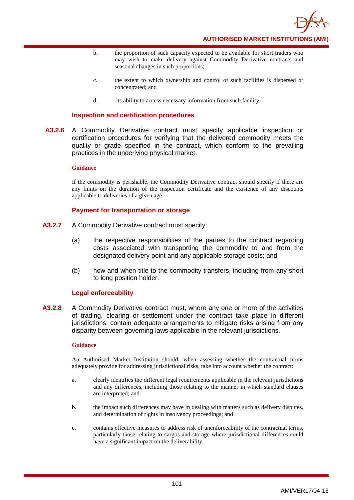

- b. the proportion of such capacity expected to be available for short traders who may wish to make delivery against Commodity Derivative contracts and seasonal changes in such proportions;
- c. the extent to which ownership and control of such facilities is dispersed or concentrated; and
- d. its ability to access necessary information from such facility.

#### **Inspection and certification procedures**

**A3.2.6** A Commodity Derivative contract must specify applicable inspection or certification procedures for verifying that the delivered commodity meets the quality or grade specified in the contract, which conform to the prevailing practices in the underlying physical market.

### **Guidance**

If the commodity is perishable, the Commodity Derivative contract should specify if there are any limits on the duration of the inspection certificate and the existence of any discounts applicable to deliveries of a given age.

#### **Payment for transportation or storage**

- **A3.2.7** A Commodity Derivative contract must specify:
	- (a) the respective responsibilities of the parties to the contract regarding costs associated with transporting the commodity to and from the designated delivery point and any applicable storage costs; and
	- (b) how and when title to the commodity transfers, including from any short to long position holder.

#### **Legal enforceability**

**A3.2.8** A Commodity Derivative contract must, where any one or more of the activities of trading, clearing or settlement under the contract take place in different jurisdictions, contain adequate arrangements to mitigate risks arising from any disparity between governing laws applicable in the relevant jurisdictions.

#### **Guidance**

An Authorised Market Institution should, when assessing whether the contractual terms adequately provide for addressing jurisdictional risks, take into account whether the contract:

- a. clearly identifies the different legal requirements applicable in the relevant jurisdictions and any differences, including those relating to the manner in which standard clauses are interpreted; and
- b. the impact such differences may have in dealing with matters such as delivery disputes, and determination of rights in insolvency proceedings; and
- c. contains effective measures to address risk of unenforceability of the contractual terms, particularly those relating to cargos and storage where jurisdictional differences could have a significant impact on the deliverability.